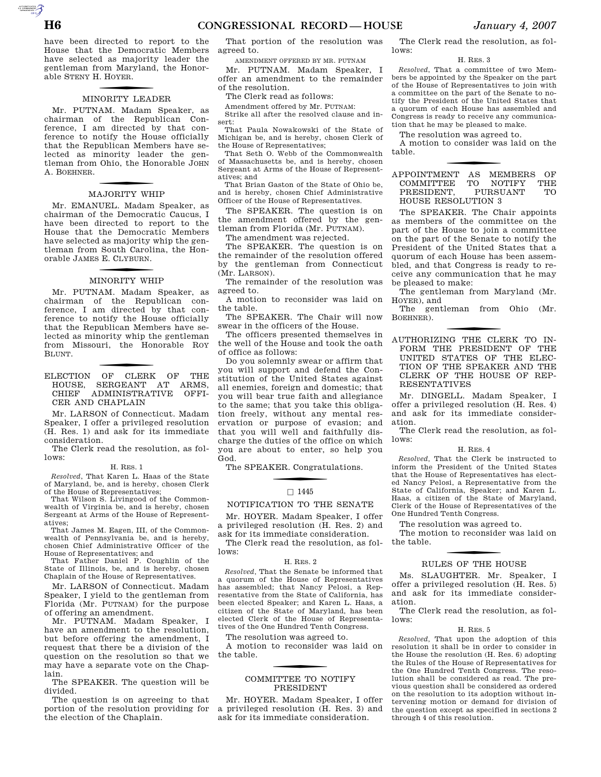have been directed to report to the House that the Democratic Members have selected as majority leader the gentleman from Maryland, the Honorable STENY H. H OYER.

## f MINORITY LEADER

Mr. PUTNAM. Madam Speaker, as chairman of the Republican Conference, I am directed by that conference to notify the House officially that the Republican Members have selected as minority leader the gentleman from Ohio, the Honorable JOHN A. BOEHNER.

## f MAJORITY WHIP

Mr. EMANUEL. Madam Speaker, as chairman of the Democratic Caucus, I have been directed to report to the House that the Democratic Members have selected as majority whip the gentleman from South Carolina, the Honorable JAMES E. CLYBURN.

## f MINORITY WHIP

Mr. PUTNAM. Madam Speaker, as chairman of the Republican conference, I am directed by that conference to notify the House officially that the Republican Members have selected as minority whip the gentleman from Missouri, the Honorable ROY BLUNT.

f ELECTION OF CLERK OF THE HOUSE, SERGEANT AT ARMS,<br>CHIEF ADMINISTRATIVE OFFI-ADMINISTRATIVE OFFI-CER AND CHAPLAIN

Mr. LARSON of Connecticut. Madam Speaker, I offer a privileged resolution (H. Res. 1) and ask for its immediate consideration.

The Clerk read the resolution, as follows:

#### H. RES. 1

*Resolved*, That Karen L. Haas of the State of Maryland, be, and is hereby, chosen Clerk of the House of Representatives;

That Wilson S. Livingood of the Commonwealth of Virginia be, and is hereby, chosen Sergeant at Arms of the House of Representatives;

That James M. Eagen, III, of the Commonwealth of Pennsylvania be, and is hereby, chosen Chief Administrative Officer of the House of Representatives; and

That Father Daniel P. Coughlin of the State of Illinois, be, and is hereby, chosen Chaplain of the House of Representatives.

Mr. LARSON of Connecticut. Madam Speaker, I yield to the gentleman from Florida (Mr. PUTNAM) for the purpose of offering an amendment.

Mr. PUTNAM. Madam Speaker, I have an amendment to the resolution. but before offering the amendment, I request that there be a division of the question on the resolution so that we may have a separate vote on the Chaplain.

The SPEAKER. The question will be divided.

The question is on agreeing to that portion of the resolution providing for the election of the Chaplain.

That portion of the resolution was agreed to.

AMENDMENT OFFERED BY MR. PUTNAM

Mr. PUTNAM. Madam Speaker, I offer an amendment to the remainder of the resolution.

The Clerk read as follows:

Amendment offered by Mr. PUTNAM:

Strike all after the resolved clause and insert:

That Paula Nowakowski of the State of Michigan be, and is hereby, chosen Clerk of the House of Representatives;

That Seth O. Webb of the Commonwealth of Massachusetts be, and is hereby, chosen Sergeant at Arms of the House of Representatives; and

That Brian Gaston of the State of Ohio be, and is hereby, chosen Chief Administrative Officer of the House of Representatives.

The SPEAKER. The question is on the amendment offered by the gentleman from Florida (Mr. PUTNAM).

The amendment was rejected.

The SPEAKER. The question is on the remainder of the resolution offered by the gentleman from Connecticut (Mr. LARSON).

The remainder of the resolution was agreed to.

A motion to reconsider was laid on the table.

The SPEAKER. The Chair will now swear in the officers of the House.

The officers presented themselves in the well of the House and took the oath of office as follows:

Do you solemnly swear or affirm that you will support and defend the Constitution of the United States against all enemies, foreign and domestic; that you will bear true faith and allegiance to the same; that you take this obligation freely, without any mental reservation or purpose of evasion; and that you will well and faithfully discharge the duties of the office on which you are about to enter, so help you God.

The SPEAKER. Congratulations.

#### $\Box$  1445

#### NOTIFICATION TO THE SENATE

Mr. HOYER. Madam Speaker, I offer a privileged resolution (H. Res. 2) and

ask for its immediate consideration. The Clerk read the resolution, as follows:

#### H. RES. 2

*Resolved,* That the Senate be informed that a quorum of the House of Representatives has assembled; that Nancy Pelosi, a Representative from the State of California, has been elected Speaker; and Karen L. Haas, a citizen of the State of Maryland, has been elected Clerk of the House of Representatives of the One Hundred Tenth Congress.

The resolution was agreed to. A motion to reconsider was laid on the table.

### COMMITTEE TO NOTIFY PRESIDENT

Mr. HOYER. Madam Speaker, I offer a privileged resolution (H. Res. 3) and ask for its immediate consideration.

The Clerk read the resolution, as follows:

#### H. RES. 3

*Resolved*, That a committee of two Members be appointed by the Speaker on the part of the House of Representatives to join with a committee on the part of the Senate to notify the President of the United States that a quorum of each House has assembled and Congress is ready to receive any communication that he may be pleased to make.

The resolution was agreed to.

A motion to consider was laid on the table.

f APPOINTMENT AS MEMBERS OF COMMITTEE TO NOTIFY THE PRESIDENT, PURSUANT TO HOUSE RESOLUTION 3

The SPEAKER. The Chair appoints as members of the committee on the part of the House to join a committee on the part of the Senate to notify the President of the United States that a quorum of each House has been assembled, and that Congress is ready to receive any communication that he may be pleased to make:

The gentleman from Maryland (Mr. HOYER), and

The gentleman from Ohio (Mr. BOEHNER).

f AUTHORIZING THE CLERK TO IN-FORM THE PRESIDENT OF THE UNITED STATES OF THE ELEC-TION OF THE SPEAKER AND THE CLERK OF THE HOUSE OF REP-RESENTATIVES

Mr. DINGELL. Madam Speaker, I offer a privileged resolution (H. Res. 4) and ask for its immediate consideration.

The Clerk read the resolution, as follows:

#### H. RES. 4

*Resolved,* That the Clerk be instructed to inform the President of the United States that the House of Representatives has elected Nancy Pelosi, a Representative from the State of California, Speaker; and Karen L. Haas, a citizen of the State of Maryland, Clerk of the House of Representatives of the One Hundred Tenth Congress.

The resolution was agreed to.

The motion to reconsider was laid on the table.

## f RULES OF THE HOUSE

Ms. SLAUGHTER. Mr. Speaker, I offer a privileged resolution (H. Res. 5) and ask for its immediate consideration.

The Clerk read the resolution, as follows:

### H. RES. 5

*Resolved,* That upon the adoption of this resolution it shall be in order to consider in the House the resolution (H. Res. 6) adopting the Rules of the House of Representatives for the One Hundred Tenth Congress. The resolution shall be considered as read. The previous question shall be considered as ordered on the resolution to its adoption without intervening motion or demand for division of the question except as specified in sections 2 through 4 of this resolution.

AUTOROUGHE CROS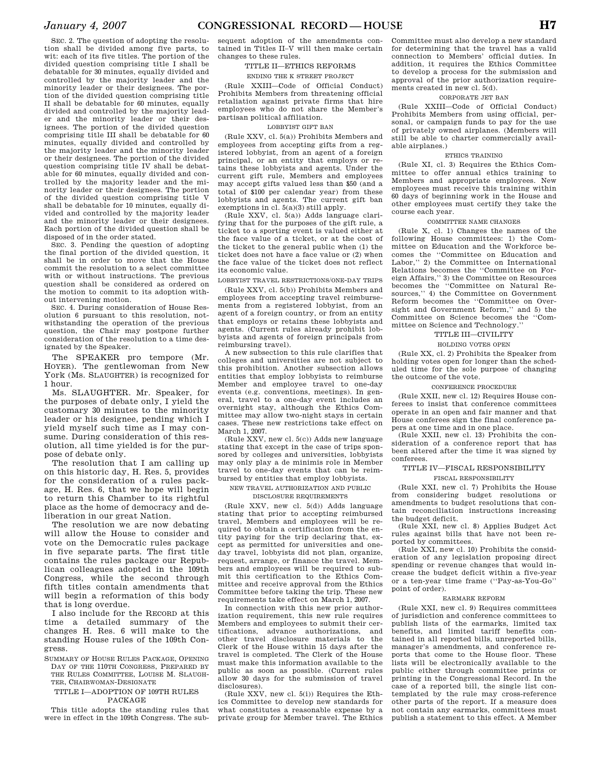SEC. 2. The question of adopting the resolution shall be divided among five parts, to wit: each of its five titles. The portion of the divided question comprising title I shall be debatable for 30 minutes, equally divided and controlled by the majority leader and the minority leader or their designees. The portion of the divided question comprising title II shall be debatable for 60 minutes, equally divided and controlled by the majority leader and the minority leader or their designees. The portion of the divided question comprising title III shall be debatable for 60 minutes, equally divided and controlled by the majority leader and the minority leader or their designees. The portion of the divided question comprising title IV shall be debatable for 60 minutes, equally divided and controlled by the majority leader and the minority leader or their designees. The portion of the divided question comprising title V shall be debatable for 10 minutes, equally divided and controlled by the majority leader and the minority leader or their designees. Each portion of the divided question shall be disposed of in the order stated.

SEC. 3. Pending the question of adopting the final portion of the divided question, it shall be in order to move that the House commit the resolution to a select committee with or without instructions. The previous question shall be considered as ordered on the motion to commit to its adoption without intervening motion.

SEC. 4. During consideration of House Resolution 6 pursuant to this resolution, notwithstanding the operation of the previous question, the Chair may postpone further consideration of the resolution to a time designated by the Speaker.

The SPEAKER pro tempore (Mr. HOYER). The gentlewoman from New York (Ms. SLAUGHTER) is recognized for 1 hour.

Ms. SLAUGHTER. Mr. Speaker, for the purposes of debate only, I yield the customary 30 minutes to the minority leader or his designee, pending which I yield myself such time as I may consume. During consideration of this resolution, all time yielded is for the purpose of debate only.

The resolution that I am calling up on this historic day, H. Res. 5, provides for the consideration of a rules package, H. Res. 6, that we hope will begin to return this Chamber to its rightful place as the home of democracy and deliberation in our great Nation.

The resolution we are now debating will allow the House to consider and vote on the Democratic rules package in five separate parts. The first title contains the rules package our Republican colleagues adopted in the 109th Congress, while the second through fifth titles contain amendments that will begin a reformation of this body that is long overdue.

I also include for the RECORD at this time a detailed summary of the changes H. Res. 6 will make to the standing House rules of the 109th Congress.

SUMMARY OF HOUSE RULES PACKAGE, OPENING DAY OF THE 110TH CONGRESS, PREPARED BY THE RULES COMMITTEE, LOUISE M. SLAUGH-TER, CHAIRWOMAN-DESIGNATE

#### TITLE I—ADOPTION OF 109TH RULES PACKAGE

This title adopts the standing rules that were in effect in the 109th Congress. The subsequent adoption of the amendments contained in Titles II–V will then make certain changes to these rules.

#### TITLE II—ETHICS REFORMS

#### ENDING THE K STREET PROJECT

(Rule XXIII—Code of Official Conduct) Prohibits Members from threatening official retaliation against private firms that hire employees who do not share the Member's partisan political affiliation.

#### LOBBYIST GIFT BAN

(Rule XXV, cl. 5(a)) Prohibits Members and employees from accepting gifts from a registered lobbyist, from an agent of a foreign principal, or an entity that employs or retains these lobbyists and agents. Under the current gift rule, Members and employees may accept gifts valued less than \$50 (and a total of \$100 per calendar year) from these lobbyists and agents. The current gift ban exemptions in cl. 5(a)(3) still apply.

(Rule XXV, cl. 5(a)) Adds language clarifying that for the purposes of the gift rule, a ticket to a sporting event is valued either at the face value of a ticket, or at the cost of the ticket to the general public when (1) the ticket does not have a face value or (2) when the face value of the ticket does not reflect its economic value.

### LOBBYIST TRAVEL RESTRICTIONS/ONE-DAY TRIPS

(Rule XXV, cl. 5(b)) Prohibits Members and employees from accepting travel reimbursements from a registered lobbyist, from an agent of a foreign country, or from an entity that employs or retains these lobbyists and agents. (Current rules already prohibit lobbyists and agents of foreign principals from reimbursing travel).

A new subsection to this rule clarifies that colleges and universities are not subject to this prohibition. Another subsection allows entities that employ lobbyists to reimburse Member and employee travel to one-day events (e.g. conventions, meetings). In general, travel to a one-day event includes an overnight stay, although the Ethics Committee may allow two-night stays in certain cases. These new restrictions take effect on March 1, 2007.

(Rule XXV, new cl. 5(c)) Adds new language stating that except in the case of trips sponsored by colleges and universities, lobbyists may only play a de minimis role in Member travel to one-day events that can be reimbursed by entities that employ lobbyists.

NEW TRAVEL AUTHORIZATION AND PUBLIC DISCLOSURE REQUIREMENTS

(Rule XXV, new cl. 5(d)) Adds language stating that prior to accepting reimbursed travel, Members and employees will be required to obtain a certification from the entity paying for the trip declaring that, except as permitted for universities and oneday travel, lobbyists did not plan, organize, request, arrange, or finance the travel. Members and employees will be required to submit this certification to the Ethics Committee and receive approval from the Ethics Committee before taking the trip. These new requirements take effect on March 1, 2007.

In connection with this new prior authorization requirement, this new rule requires Members and employees to submit their certifications, advance authorizations, and other travel disclosure materials to the Clerk of the House within 15 days after the travel is completed. The Clerk of the House must make this information available to the public as soon as possible. (Current rules allow 30 days for the submission of travel disclosures).

(Rule XXV, new cl. 5(i)) Requires the Ethics Committee to develop new standards for what constitutes a reasonable expense by a private group for Member travel. The Ethics

Committee must also develop a new standard for determining that the travel has a valid connection to Members' official duties. In addition, it requires the Ethics Committee to develop a process for the submission and approval of the prior authorization requirements created in new cl. 5(d).

#### CORPORATE JET BAN

(Rule XXIII—Code of Official Conduct) Prohibits Members from using official, personal, or campaign funds to pay for the use of privately owned airplanes. (Members will still be able to charter commercially available airplanes.)

#### ETHICS TRAINING

(Rule XI, cl. 3) Requires the Ethics Committee to offer annual ethics training to Members and appropriate employees. New employees must receive this training within 60 days of beginning work in the House and other employees must certify they take the course each year.

#### COMMITTEE NAME CHANGES

(Rule X, cl. 1) Changes the names of the following House committees: 1) the Committee on Education and the Workforce becomes the ''Committee on Education and Labor,'' 2) the Committee on International Relations becomes the ''Committee on Foreign Affairs,'' 3) the Committee on Resources becomes the ''Committee on Natural Resources,'' 4) the Committee on Government Reform becomes the ''Committee on Oversight and Government Reform,'' and 5) the Committee on Science becomes the ''Committee on Science and Technology.''

#### TITLE III—CIVILITY

#### HOLDING VOTES OPEN

(Rule XX, cl. 2) Prohibits the Speaker from holding votes open for longer than the scheduled time for the sole purpose of changing the outcome of the vote.

#### CONFERENCE PROCEDURE

(Rule XXII, new cl. 12) Requires House conferees to insist that conference committees operate in an open and fair manner and that House conferees sign the final conference papers at one time and in one place.

(Rule XXII, new cl. 13) Prohibits the consideration of a conference report that has been altered after the time it was signed by conferees.

#### TITLE IV—FISCAL RESPONSIBILITY

#### FISCAL RESPONSIBILITY

(Rule XXI, new cl. 7) Prohibits the House from considering budget resolutions or amendments to budget resolutions that contain reconciliation instructions increasing the budget deficit.

(Rule XXI, new cl. 8) Applies Budget Act rules against bills that have not been reported by committees.

(Rule XXI, new cl. 10) Prohibits the consideration of any legislation proposing direct spending or revenue changes that would increase the budget deficit within a five-year or a ten-year time frame (''Pay-as-You-Go'' point of order).

#### EARMARK REFORM

(Rule XXI, new cl. 9) Requires committees of jurisdiction and conference committees to publish lists of the earmarks, limited tax benefits, and limited tariff benefits contained in all reported bills, unreported bills, manager's amendments, and conference reports that come to the House floor. These lists will be electronically available to the public either through committee prints or printing in the Congressional Record. In the case of a reported bill, the single list contemplated by the rule may cross-reference other parts of the report. If a measure does not contain any earmarks, committees must publish a statement to this effect. A Member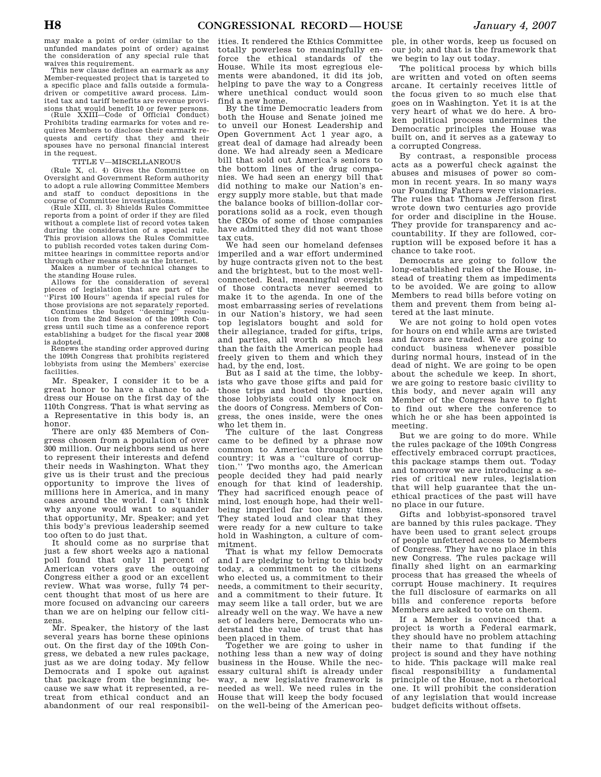may make a point of order (similar to the unfunded mandates point of order) against the consideration of any special rule that waives this requirement.

This new clause defines an earmark as any Member-requested project that is targeted to a specific place and falls outside a formuladriven or competitive award process. Limited tax and tariff benefits are revenue provi-

sions that would benefit 10 or fewer persons. (Rule XXIII—Code of Official Conduct) Prohibits trading earmarks for votes and requires Members to disclose their earmark requests and certify that they and their spouses have no personal financial interest in the request.

#### TITLE V—MISCELLANEOUS

(Rule X, cl. 4) Gives the Committee on Oversight and Government Reform authority to adopt a rule allowing Committee Members and staff to conduct depositions in the

course of Committee investigations. (Rule XIII, cl. 3) Shields Rules Committee reports from a point of order if they are filed without a complete list of record votes taken during the consideration of a special rule. This provision allows the Rules Committee to publish recorded votes taken during Committee hearings in committee reports and/or through other means such as the Internet.

Makes a number of technical changes to the standing House rules.

Allows for the consideration of several pieces of legislation that are part of the ''First 100 Hours'' agenda if special rules for those provisions are not separately reported.

Continues the budget "deeming" tion from the 2nd Session of the 109th Congress until such time as a conference report establishing a budget for the fiscal year 2008 is adopted.

Renews the standing order approved during the 109th Congress that prohibits registered lobbyists from using the Members' exercise facilities.

Mr. Speaker, I consider it to be a great honor to have a chance to address our House on the first day of the 110th Congress. That is what serving as a Representative in this body is, an honor.

There are only 435 Members of Congress chosen from a population of over 300 million. Our neighbors send us here to represent their interests and defend their needs in Washington. What they give us is their trust and the precious opportunity to improve the lives of millions here in America, and in many cases around the world. I can't think why anyone would want to squander that opportunity, Mr. Speaker; and yet this body's previous leadership seemed too often to do just that.

It should come as no surprise that just a few short weeks ago a national poll found that only 11 percent of American voters gave the outgoing Congress either a good or an excellent review. What was worse, fully 74 percent thought that most of us here are more focused on advancing our careers than we are on helping our fellow citi-

zens. Mr. Speaker, the history of the last several years has borne these opinions out. On the first day of the 109th Congress, we debated a new rules package, just as we are doing today. My fellow Democrats and I spoke out against that package from the beginning because we saw what it represented, a retreat from ethical conduct and an abandonment of our real responsibil-

ities. It rendered the Ethics Committee totally powerless to meaningfully enforce the ethical standards of the House. While its most egregious elements were abandoned, it did its job, helping to pave the way to a Congress where unethical conduct would soon find a new home.

By the time Democratic leaders from both the House and Senate joined me to unveil our Honest Leadership and Open Government Act 1 year ago, a great deal of damage had already been done. We had already seen a Medicare bill that sold out America's seniors to the bottom lines of the drug companies. We had seen an energy bill that did nothing to make our Nation's energy supply more stable, but that made the balance books of billion-dollar corporations solid as a rock, even though the CEOs of some of those companies have admitted they did not want those tax cuts.

We had seen our homeland defenses imperiled and a war effort undermined by huge contracts given not to the best and the brightest, but to the most wellconnected. Real, meaningful oversight of those contracts never seemed to make it to the agenda. In one of the most embarrassing series of revelations in our Nation's history, we had seen top legislators bought and sold for their allegiance, traded for gifts, trips, and parties, all worth so much less than the faith the American people had freely given to them and which they had, by the end, lost.

But as I said at the time, the lobbyists who gave those gifts and paid for those trips and hosted those parties, those lobbyists could only knock on the doors of Congress. Members of Congress, the ones inside, were the ones who let them in.

The culture of the last Congress came to be defined by a phrase now common to America throughout the country: it was a ''culture of corruption.'' Two months ago, the American people decided they had paid nearly enough for that kind of leadership. They had sacrificed enough peace of mind, lost enough hope, had their wellbeing imperiled far too many times. They stated loud and clear that they were ready for a new culture to take hold in Washington, a culture of commitment.

That is what my fellow Democrats and I are pledging to bring to this body today, a commitment to the citizens who elected us, a commitment to their needs, a commitment to their security, and a commitment to their future. It may seem like a tall order, but we are already well on the way. We have a new set of leaders here, Democrats who understand the value of trust that has been placed in them.

Together we are going to usher in nothing less than a new way of doing business in the House. While the necessary cultural shift is already under way, a new legislative framework is needed as well. We need rules in the House that will keep the body focused on the well-being of the American peo-

ple, in other words, keep us focused on our job; and that is the framework that we begin to lay out today.

The political process by which bills are written and voted on often seems arcane. It certainly receives little of the focus given to so much else that goes on in Washington. Yet it is at the very heart of what we do here. A broken political process undermines the Democratic principles the House was built on, and it serves as a gateway to a corrupted Congress.

By contrast, a responsible process acts as a powerful check against the abuses and misuses of power so common in recent years. In so many ways our Founding Fathers were visionaries. The rules that Thomas Jefferson first wrote down two centuries ago provide for order and discipline in the House. They provide for transparency and accountability. If they are followed, corruption will be exposed before it has a chance to take root.

Democrats are going to follow the long-established rules of the House, instead of treating them as impediments to be avoided. We are going to allow Members to read bills before voting on them and prevent them from being altered at the last minute.

We are not going to hold open votes for hours on end while arms are twisted and favors are traded. We are going to conduct business whenever possible during normal hours, instead of in the dead of night. We are going to be open about the schedule we keep. In short, we are going to restore basic civility to this body, and never again will any Member of the Congress have to fight to find out where the conference to which he or she has been appointed is meeting.

But we are going to do more. While the rules package of the 109th Congress effectively embraced corrupt practices, this package stamps them out. Today and tomorrow we are introducing a series of critical new rules, legislation that will help guarantee that the unethical practices of the past will have no place in our future.

Gifts and lobbyist-sponsored travel are banned by this rules package. They have been used to grant select groups of people unfettered access to Members of Congress. They have no place in this new Congress. The rules package will finally shed light on an earmarking process that has greased the wheels of corrupt House machinery. It requires the full disclosure of earmarks on all bills and conference reports before Members are asked to vote on them.

If a Member is convinced that a project is worth a Federal earmark, they should have no problem attaching their name to that funding if the project is sound and they have nothing to hide. This package will make real fiscal responsibility a fundamental principle of the House, not a rhetorical one. It will prohibit the consideration of any legislation that would increase budget deficits without offsets.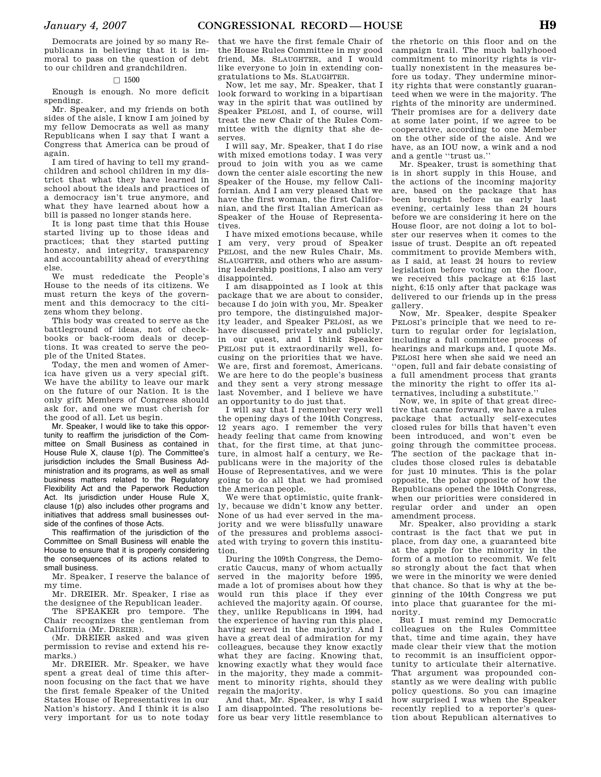Democrats are joined by so many Republicans in believing that it is immoral to pass on the question of debt to our children and grandchildren.

#### $\square$  1500

Enough is enough. No more deficit spending.

Mr. Speaker, and my friends on both sides of the aisle, I know I am joined by my fellow Democrats as well as many Republicans when I say that I want a Congress that America can be proud of again.

I am tired of having to tell my grandchildren and school children in my district that what they have learned in school about the ideals and practices of a democracy isn't true anymore, and what they have learned about how a bill is passed no longer stands here.

It is long past time that this House started living up to those ideas and practices; that they started putting honesty, and integrity, transparency and accountability ahead of everything else.

We must rededicate the People's House to the needs of its citizens. We must return the keys of the government and this democracy to the citizens whom they belong.

This body was created to serve as the battleground of ideas, not of checkbooks or back-room deals or deceptions. It was created to serve the people of the United States.

Today, the men and women of America have given us a very special gift. We have the ability to leave our mark on the future of our Nation. It is the only gift Members of Congress should ask for, and one we must cherish for the good of all. Let us begin.

Mr. Speaker, I would like to take this opportunity to reaffirm the jurisdiction of the Committee on Small Business as contained in House Rule X, clause 1(p). The Committee's jurisdiction includes the Small Business Administration and its programs, as well as small business matters related to the Regulatory Flexibility Act and the Paperwork Reduction Act. Its jurisdiction under House Rule X, clause 1(p) also includes other programs and initiatives that address small businesses outside of the confines of those Acts.

This reaffirmation of the jurisdiction of the Committee on Small Business will enable the House to ensure that it is properly considering the consequences of its actions related to small business.

Mr. Speaker, I reserve the balance of my time.

Mr. DREIER. Mr. Speaker, I rise as the designee of the Republican leader.

The SPEAKER pro tempore. The Chair recognizes the gentleman from California (Mr. DREIER).

(Mr. DREIER asked and was given permission to revise and extend his remarks.)

Mr. DREIER. Mr. Speaker, we have spent a great deal of time this afternoon focusing on the fact that we have the first female Speaker of the United States House of Representatives in our Nation's history. And I think it is also very important for us to note today

that we have the first female Chair of the House Rules Committee in my good friend, Ms. SLAUGHTER, and I would like everyone to join in extending congratulations to Ms. SLAUGHTER.

Now, let me say, Mr. Speaker, that I look forward to working in a bipartisan way in the spirit that was outlined by Speaker PELOSI, and I, of course, will treat the new Chair of the Rules Committee with the dignity that she deserves.

I will say, Mr. Speaker, that I do rise with mixed emotions today. I was very proud to join with you as we came down the center aisle escorting the new Speaker of the House, my fellow Californian. And I am very pleased that we have the first woman, the first Californian, and the first Italian American as Speaker of the House of Representatives.

I have mixed emotions because, while I am very, very proud of Speaker PELOSI, and the new Rules Chair, Ms. SLAUGHTER, and others who are assuming leadership positions, I also am very disappointed.

I am disappointed as I look at this package that we are about to consider, because I do join with you, Mr. Speaker pro tempore, the distinguished majority leader, and Speaker PELOSI, as we have discussed privately and publicly, in our quest, and I think Speaker PELOSI put it extraordinarily well, focusing on the priorities that we have. We are, first and foremost, Americans. We are here to do the people's business and they sent a very strong message last November, and I believe we have an opportunity to do just that.

I will say that I remember very well the opening days of the 104th Congress, 12 years ago. I remember the very heady feeling that came from knowing that, for the first time, at that juncture, in almost half a century, we Republicans were in the majority of the House of Representatives, and we were going to do all that we had promised the American people.

We were that optimistic, quite frankly, because we didn't know any better. None of us had ever served in the majority and we were blissfully unaware of the pressures and problems associated with trying to govern this institution.

During the 109th Congress, the Democratic Caucus, many of whom actually served in the majority before 1995, made a lot of promises about how they would run this place if they ever achieved the majority again. Of course, they, unlike Republicans in 1994, had the experience of having run this place, having served in the majority. And I have a great deal of admiration for my colleagues, because they know exactly what they are facing. Knowing that, knowing exactly what they would face in the majority, they made a commitment to minority rights, should they regain the majority.

And that, Mr. Speaker, is why I said I am disappointed. The resolutions before us bear very little resemblance to the rhetoric on this floor and on the campaign trail. The much ballyhooed commitment to minority rights is virtually nonexistent in the measures before us today. They undermine minority rights that were constantly guaranteed when we were in the majority. The rights of the minority are undermined. Their promises are for a delivery date at some later point, if we agree to be cooperative, according to one Member on the other side of the aisle. And we have, as an IOU now, a wink and a nod and a gentle ''trust us.''

Mr. Speaker, trust is something that is in short supply in this House, and the actions of the incoming majority are, based on the package that has been brought before us early last evening, certainly less than 24 hours before we are considering it here on the House floor, are not doing a lot to bolster our reserves when it comes to the issue of trust. Despite an oft repeated commitment to provide Members with, as I said, at least 24 hours to review legislation before voting on the floor, we received this package at 6:15 last night, 6:15 only after that package was delivered to our friends up in the press gallery.

Now, Mr. Speaker, despite Speaker PELOSI's principle that we need to return to regular order for legislation, including a full committee process of hearings and markups and, I quote Ms. PELOSI here when she said we need an ''open, full and fair debate consisting of a full amendment process that grants the minority the right to offer its alternatives, including a substitute.''

Now, we, in spite of that great directive that came forward, we have a rules package that actually self-executes closed rules for bills that haven't even been introduced, and won't even be going through the committee process. The section of the package that includes those closed rules is debatable for just 10 minutes. This is the polar opposite, the polar opposite of how the Republicans opened the 104th Congress, when our priorities were considered in regular order and under an open amendment process.

Mr. Speaker, also providing a stark contrast is the fact that we put in place, from day one, a guaranteed bite at the apple for the minority in the form of a motion to recommit. We felt so strongly about the fact that when we were in the minority we were denied that chance. So that is why at the beginning of the 104th Congress we put into place that guarantee for the minority.

But I must remind my Democratic colleagues on the Rules Committee that, time and time again, they have made clear their view that the motion to recommit is an insufficient opportunity to articulate their alternative. That argument was propounded constantly as we were dealing with public policy questions. So you can imagine how surprised I was when the Speaker recently replied to a reporter's question about Republican alternatives to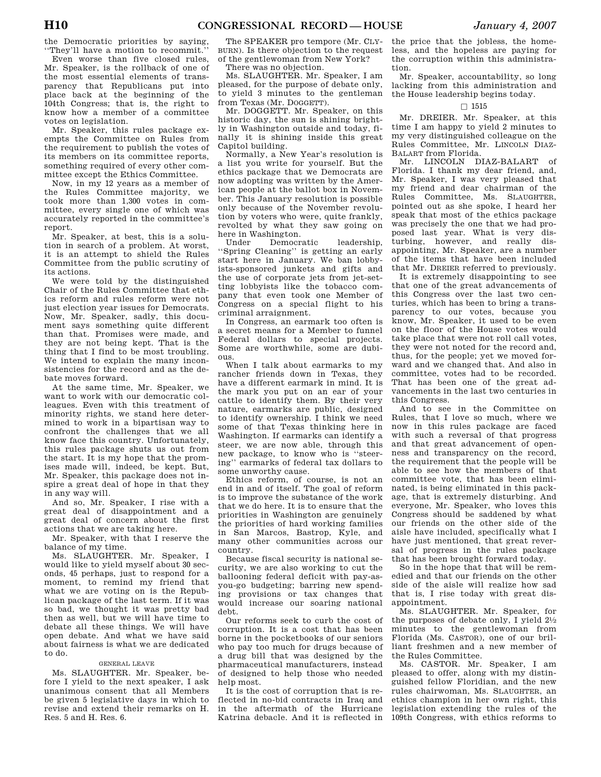the Democratic priorities by saying, ''They'll have a motion to recommit.''

Even worse than five closed rules, Mr. Speaker, is the rollback of one of the most essential elements of transparency that Republicans put into place back at the beginning of the 104th Congress; that is, the right to know how a member of a committee votes on legislation.

Mr. Speaker, this rules package exempts the Committee on Rules from the requirement to publish the votes of its members on its committee reports, something required of every other committee except the Ethics Committee.

Now, in my 12 years as a member of the Rules Committee majority, we took more than 1,300 votes in committee, every single one of which was accurately reported in the committee's report.

Mr. Speaker, at best, this is a solution in search of a problem. At worst, it is an attempt to shield the Rules Committee from the public scrutiny of its actions.

We were told by the distinguished Chair of the Rules Committee that ethics reform and rules reform were not just election year issues for Democrats. Now, Mr. Speaker, sadly, this document says something quite different than that. Promises were made, and they are not being kept. That is the thing that I find to be most troubling. We intend to explain the many inconsistencies for the record and as the debate moves forward.

At the same time, Mr. Speaker, we want to work with our democratic colleagues. Even with this treatment of minority rights, we stand here determined to work in a bipartisan way to confront the challenges that we all know face this country. Unfortunately, this rules package shuts us out from the start. It is my hope that the promises made will, indeed, be kept. But, Mr. Speaker, this package does not inspire a great deal of hope in that they in any way will.

And so, Mr. Speaker, I rise with a great deal of disappointment and a great deal of concern about the first actions that we are taking here.

Mr. Speaker, with that I reserve the balance of my time.

Ms. SLAUGHTER. Mr. Speaker, I would like to yield myself about 30 seconds, 45 perhaps, just to respond for a moment, to remind my friend that what we are voting on is the Republican package of the last term. If it was so bad, we thought it was pretty bad then as well, but we will have time to debate all these things. We will have open debate. And what we have said about fairness is what we are dedicated to do.

#### GENERAL LEAVE

Ms. SLAUGHTER. Mr. Speaker, before I yield to the next speaker, I ask unanimous consent that all Members be given 5 legislative days in which to revise and extend their remarks on H. Res. 5 and H. Res. 6.

The SPEAKER pro tempore (Mr. CLY-BURN). Is there objection to the request of the gentlewoman from New York? There was no objection.

Ms. SLAUGHTER. Mr. Speaker, I am pleased, for the purpose of debate only, to yield 3 minutes to the gentleman from Texas (Mr. DOGGETT).

Mr. DOGGETT. Mr. Speaker, on this historic day, the sun is shining brightly in Washington outside and today, finally it is shining inside this great Capitol building.

Normally, a New Year's resolution is a list you write for yourself. But the ethics package that we Democrats are now adopting was written by the American people at the ballot box in November. This January resolution is possible only because of the November revolution by voters who were, quite frankly, revolted by what they saw going on here in Washington.

Under Democratic leadership, ''Spring Cleaning'' is getting an early start here in January. We ban lobbyists-sponsored junkets and gifts and the use of corporate jets from jet-setting lobbyists like the tobacco company that even took one Member of Congress on a special flight to his criminal arraignment.

In Congress, an earmark too often is a secret means for a Member to funnel Federal dollars to special projects. Some are worthwhile, some are dubious.

When I talk about earmarks to my rancher friends down in Texas, they have a different earmark in mind. It is the mark you put on an ear of your cattle to identify them. By their very nature, earmarks are public, designed to identify ownership. I think we need some of that Texas thinking here in Washington. If earmarks can identify a steer, we are now able, through this new package, to know who is ''steering'' earmarks of federal tax dollars to some unworthy cause.

Ethics reform, of course, is not an end in and of itself. The goal of reform is to improve the substance of the work that we do here. It is to ensure that the priorities in Washington are genuinely the priorities of hard working families in San Marcos, Bastrop, Kyle, and many other communities across our country.

Because fiscal security is national security, we are also working to cut the ballooning federal deficit with pay-asyou-go budgeting; barring new spending provisions or tax changes that would increase our soaring national debt.

Our reforms seek to curb the cost of corruption. It is a cost that has been borne in the pocketbooks of our seniors who pay too much for drugs because of a drug bill that was designed by the pharmaceutical manufacturers, instead of designed to help those who needed help most.

It is the cost of corruption that is reflected in no-bid contracts in Iraq and in the aftermath of the Hurricane Katrina debacle. And it is reflected in

the price that the jobless, the homeless, and the hopeless are paying for the corruption within this administration.

Mr. Speaker, accountability, so long lacking from this administration and the House leadership begins today.

#### $\Box$  1515

Mr. DREIER. Mr. Speaker, at this time I am happy to yield 2 minutes to my very distinguished colleague on the Rules Committee, Mr. LINCOLN DIAZ-BALART from Florida.

Mr. LINCOLN DIAZ-BALART of Florida. I thank my dear friend, and, Mr. Speaker, I was very pleased that my friend and dear chairman of the Rules Committee, Ms. SLAUGHTER, pointed out as she spoke, I heard her speak that most of the ethics package was precisely the one that we had proposed last year. What is very disturbing, however, and really disappointing, Mr. Speaker, are a number of the items that have been included that Mr. DREIER referred to previously.

It is extremely disappointing to see that one of the great advancements of this Congress over the last two centuries, which has been to bring a transparency to our votes, because you know, Mr. Speaker, it used to be even on the floor of the House votes would take place that were not roll call votes, they were not noted for the record and, thus, for the people; yet we moved forward and we changed that. And also in committee, votes had to be recorded. That has been one of the great advancements in the last two centuries in this Congress.

And to see in the Committee on Rules, that I love so much, where we now in this rules package are faced with such a reversal of that progress and that great advancement of openness and transparency on the record, the requirement that the people will be able to see how the members of that committee vote, that has been eliminated, is being eliminated in this package, that is extremely disturbing. And everyone, Mr. Speaker, who loves this Congress should be saddened by what our friends on the other side of the aisle have included, specifically what I have just mentioned, that great reversal of progress in the rules package that has been brought forward today.

So in the hope that that will be remedied and that our friends on the other side of the aisle will realize how sad that is, I rise today with great disappointment.

Ms. SLAUGHTER. Mr. Speaker, for the purposes of debate only, I yield 21⁄2 minutes to the gentlewoman from Florida (Ms. CASTOR), one of our brilliant freshmen and a new member of the Rules Committee.

Ms. CASTOR. Mr. Speaker, I am pleased to offer, along with my distinguished fellow Floridian, and the new rules chairwoman, Ms. SLAUGHTER, an ethics champion in her own right, this legislation extending the rules of the 109th Congress, with ethics reforms to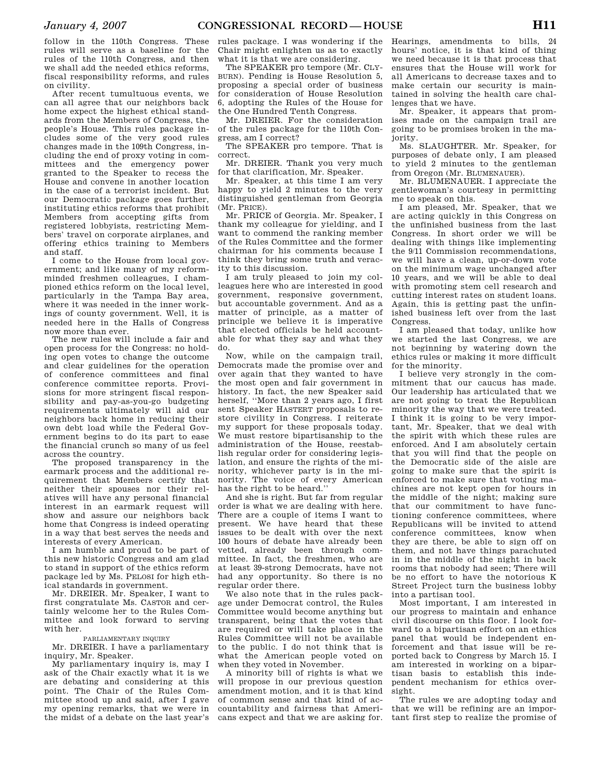follow in the 110th Congress. These rules will serve as a baseline for the rules of the 110th Congress, and then we shall add the needed ethics reforms, fiscal responsibility reforms, and rules on civility.

After recent tumultuous events, we can all agree that our neighbors back home expect the highest ethical standards from the Members of Congress, the people's House. This rules package includes some of the very good rules changes made in the 109th Congress, including the end of proxy voting in committees and the emergency power granted to the Speaker to recess the House and convene in another location in the case of a terrorist incident. But our Democratic package goes further, instituting ethics reforms that prohibit Members from accepting gifts from registered lobbyists, restricting Members' travel on corporate airplanes, and offering ethics training to Members and staff.

I come to the House from local government; and like many of my reformminded freshmen colleagues, I championed ethics reform on the local level, particularly in the Tampa Bay area, where it was needed in the inner workings of county government. Well, it is needed here in the Halls of Congress now more than ever.

The new rules will include a fair and open process for the Congress: no holding open votes to change the outcome and clear guidelines for the operation of conference committees and final conference committee reports. Provisions for more stringent fiscal responsibility and pay-as-you-go budgeting requirements ultimately will aid our neighbors back home in reducing their own debt load while the Federal Government begins to do its part to ease the financial crunch so many of us feel across the country.

The proposed transparency in the earmark process and the additional requirement that Members certify that neither their spouses nor their relatives will have any personal financial interest in an earmark request will show and assure our neighbors back home that Congress is indeed operating in a way that best serves the needs and interests of every American.

I am humble and proud to be part of this new historic Congress and am glad to stand in support of the ethics reform package led by Ms. PELOSI for high ethical standards in government.

Mr. DREIER. Mr. Speaker, I want to first congratulate Ms. CASTOR and certainly welcome her to the Rules Committee and look forward to serving with her.

#### PARLIAMENTARY INQUIRY

Mr. DREIER. I have a parliamentary inquiry, Mr. Speaker.

My parliamentary inquiry is, may I ask of the Chair exactly what it is we are debating and considering at this point. The Chair of the Rules Committee stood up and said, after I gave my opening remarks, that we were in the midst of a debate on the last year's

rules package. I was wondering if the Chair might enlighten us as to exactly what it is that we are considering.

The SPEAKER pro tempore (Mr. CLY-BURN). Pending is House Resolution 5, proposing a special order of business for consideration of House Resolution 6, adopting the Rules of the House for the One Hundred Tenth Congress.

Mr. DREIER. For the consideration of the rules package for the 110th Congress, am I correct?

The SPEAKER pro tempore. That is correct.

Mr. DREIER. Thank you very much for that clarification, Mr. Speaker.

Mr. Speaker, at this time I am very happy to yield 2 minutes to the very distinguished gentleman from Georgia (Mr. PRICE).

Mr. PRICE of Georgia. Mr. Speaker, I thank my colleague for yielding, and I want to commend the ranking member of the Rules Committee and the former chairman for his comments because I think they bring some truth and veracity to this discussion.

I am truly pleased to join my colleagues here who are interested in good government, responsive government, but accountable government. And as a matter of principle, as a matter of principle we believe it is imperative that elected officials be held accountable for what they say and what they do.

Now, while on the campaign trail, Democrats made the promise over and over again that they wanted to have the most open and fair government in history. In fact, the new Speaker said herself, ''More than 2 years ago, I first sent Speaker HASTERT proposals to restore civility in Congress. I reiterate my support for these proposals today. We must restore bipartisanship to the administration of the House, reestablish regular order for considering legislation, and ensure the rights of the minority, whichever party is in the minority. The voice of every American has the right to be heard.''

And she is right. But far from regular order is what we are dealing with here. There are a couple of items I want to present. We have heard that these issues to be dealt with over the next 100 hours of debate have already been vetted, already been through committee. In fact, the freshmen, who are at least 39-strong Democrats, have not had any opportunity. So there is no regular order there.

We also note that in the rules package under Democrat control, the Rules Committee would become anything but transparent, being that the votes that are required or will take place in the Rules Committee will not be available to the public. I do not think that is what the American people voted on when they voted in November.

A minority bill of rights is what we will propose in our previous question amendment motion, and it is that kind of common sense and that kind of accountability and fairness that Americans expect and that we are asking for.

Hearings, amendments to bills, 24 hours' notice, it is that kind of thing we need because it is that process that ensures that the House will work for all Americans to decrease taxes and to make certain our security is maintained in solving the health care challenges that we have.

Mr. Speaker, it appears that promises made on the campaign trail are going to be promises broken in the majority.

Ms. SLAUGHTER. Mr. Speaker, for purposes of debate only, I am pleased to yield 2 minutes to the gentleman from Oregon (Mr. BLUMENAUER).

Mr. BLUMENAUER. I appreciate the gentlewoman's courtesy in permitting me to speak on this.

I am pleased, Mr. Speaker, that we are acting quickly in this Congress on the unfinished business from the last Congress. In short order we will be dealing with things like implementing the 9/11 Commission recommendations, we will have a clean, up-or-down vote on the minimum wage unchanged after 10 years, and we will be able to deal with promoting stem cell research and cutting interest rates on student loans. Again, this is getting past the unfinished business left over from the last **Congress** 

I am pleased that today, unlike how we started the last Congress, we are not beginning by watering down the ethics rules or making it more difficult for the minority.

I believe very strongly in the commitment that our caucus has made. Our leadership has articulated that we are not going to treat the Republican minority the way that we were treated. I think it is going to be very important, Mr. Speaker, that we deal with the spirit with which these rules are enforced. And I am absolutely certain that you will find that the people on the Democratic side of the aisle are going to make sure that the spirit is enforced to make sure that voting machines are not kept open for hours in the middle of the night; making sure that our commitment to have functioning conference committees, where Republicans will be invited to attend conference committees, know when they are there, be able to sign off on them, and not have things parachuted in in the middle of the night in back rooms that nobody had seen; There will be no effort to have the notorious K Street Project turn the business lobby into a partisan tool.

Most important, I am interested in our progress to maintain and enhance civil discourse on this floor. I look forward to a bipartisan effort on an ethics panel that would be independent enforcement and that issue will be reported back to Congress by March 15. I am interested in working on a bipartisan basis to establish this independent mechanism for ethics oversight.

The rules we are adopting today and that we will be refining are an important first step to realize the promise of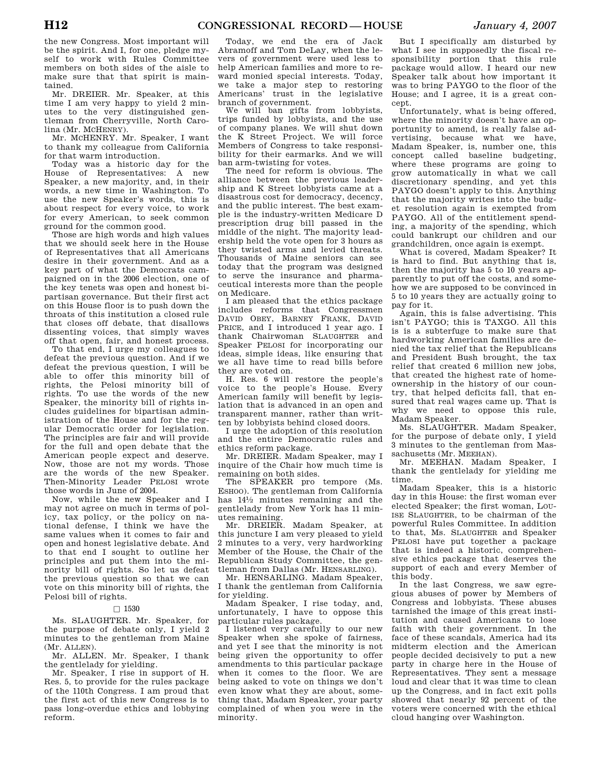the new Congress. Most important will be the spirit. And I, for one, pledge myself to work with Rules Committee members on both sides of the aisle to make sure that that spirit is maintained.

Mr. DREIER. Mr. Speaker, at this time I am very happy to yield 2 minutes to the very distinguished gentleman from Cherryville, North Carolina (Mr. MCHENRY).

Mr. MCHENRY. Mr. Speaker, I want to thank my colleague from California for that warm introduction.

Today was a historic day for the House of Representatives: A new Speaker, a new majority, and, in their words, a new time in Washington. To use the new Speaker's words, this is about respect for every voice, to work for every American, to seek common ground for the common good.

Those are high words and high values that we should seek here in the House of Representatives that all Americans desire in their government. And as a key part of what the Democrats campaigned on in the 2006 election, one of the key tenets was open and honest bipartisan governance. But their first act on this House floor is to push down the throats of this institution a closed rule that closes off debate, that disallows dissenting voices, that simply waves off that open, fair, and honest process.

To that end, I urge my colleagues to defeat the previous question. And if we defeat the previous question, I will be able to offer this minority bill of rights, the Pelosi minority bill of rights. To use the words of the new Speaker, the minority bill of rights includes guidelines for bipartisan administration of the House and for the regular Democratic order for legislation. The principles are fair and will provide for the full and open debate that the American people expect and deserve. Now, those are not my words. Those are the words of the new Speaker. Then-Minority Leader PELOSI wrote those words in June of 2004.

Now, while the new Speaker and I may not agree on much in terms of policy, tax policy, or the policy on national defense, I think we have the same values when it comes to fair and open and honest legislative debate. And to that end I sought to outline her principles and put them into the minority bill of rights. So let us defeat the previous question so that we can vote on this minority bill of rights, the Pelosi bill of rights.

#### $\square$  1530

Ms. SLAUGHTER. Mr. Speaker, for the purpose of debate only, I yield 2 minutes to the gentleman from Maine (Mr. ALLEN).

Mr. ALLEN. Mr. Speaker, I thank the gentlelady for yielding.

Mr. Speaker, I rise in support of H. Res. 5, to provide for the rules package of the 110th Congress. I am proud that the first act of this new Congress is to pass long-overdue ethics and lobbying reform.

Today, we end the era of Jack Abramoff and Tom DeLay, when the levers of government were used less to help American families and more to reward monied special interests. Today, we take a major step to restoring Americans' trust in the legislative branch of government.

We will ban gifts from lobbyists, trips funded by lobbyists, and the use of company planes. We will shut down the K Street Project. We will force Members of Congress to take responsibility for their earmarks. And we will ban arm-twisting for votes.

The need for reform is obvious. The alliance between the previous leadership and K Street lobbyists came at a disastrous cost for democracy, decency, and the public interest. The best example is the industry-written Medicare D prescription drug bill passed in the middle of the night. The majority leadership held the vote open for 3 hours as they twisted arms and levied threats. Thousands of Maine seniors can see today that the program was designed to serve the insurance and pharmaceutical interests more than the people on Medicare.

I am pleased that the ethics package includes reforms that Congressmen DAVID OBEY, BARNEY FRANK, DAVID PRICE, and I introduced 1 year ago. I thank Chairwoman SLAUGHTER and Speaker PELOSI for incorporating our ideas, simple ideas, like ensuring that we all have time to read bills before they are voted on.

H. Res. 6 will restore the people's voice to the people's House. Every American family will benefit by legislation that is advanced in an open and transparent manner, rather than written by lobbyists behind closed doors.

I urge the adoption of this resolution and the entire Democratic rules and ethics reform package.

Mr. DREIER. Madam Speaker, may I inquire of the Chair how much time is remaining on both sides.

The SPEAKER pro tempore (Ms. ESHOO). The gentleman from California has 141⁄2 minutes remaining and the gentlelady from New York has 11 minutes remaining.

Mr. DREIER. Madam Speaker, at this juncture I am very pleased to yield 2 minutes to a very, very hardworking Member of the House, the Chair of the Republican Study Committee, the gentleman from Dallas (Mr. HENSARLING).

Mr. HENSARLING. Madam Speaker, I thank the gentleman from California for yielding.

Madam Speaker, I rise today, and, unfortunately, I have to oppose this particular rules package.

I listened very carefully to our new Speaker when she spoke of fairness, and yet I see that the minority is not being given the opportunity to offer amendments to this particular package when it comes to the floor. We are being asked to vote on things we don't even know what they are about, something that, Madam Speaker, your party complained of when you were in the minority.

But I specifically am disturbed by what I see in supposedly the fiscal responsibility portion that this rule package would allow. I heard our new Speaker talk about how important it was to bring PAYGO to the floor of the House; and I agree, it is a great concept.

Unfortunately, what is being offered, where the minority doesn't have an opportunity to amend, is really false advertising, because what we have, Madam Speaker, is, number one, this concept called baseline budgeting, where these programs are going to grow automatically in what we call discretionary spending, and yet this PAYGO doesn't apply to this. Anything that the majority writes into the budget resolution again is exempted from PAYGO. All of the entitlement spending, a majority of the spending, which could bankrupt our children and our grandchildren, once again is exempt.

What is covered, Madam Speaker? It is hard to find. But anything that is, then the majority has 5 to 10 years apparently to put off the costs, and somehow we are supposed to be convinced in 5 to 10 years they are actually going to pay for it.

Again, this is false advertising. This isn't PAYGO; this is TAXGO. All this is is a subterfuge to make sure that hardworking American families are denied the tax relief that the Republicans and President Bush brought, the tax relief that created 6 million new jobs, that created the highest rate of homeownership in the history of our country, that helped deficits fall, that ensured that real wages came up. That is why we need to oppose this rule, Madam Speaker.

Ms. SLAUGHTER. Madam Speaker, for the purpose of debate only, I yield 3 minutes to the gentleman from Massachusetts (Mr. MEEHAN).

Mr. MEEHAN. Madam Speaker, I thank the gentlelady for yielding me time.

Madam Speaker, this is a historic day in this House: the first woman ever elected Speaker; the first woman, LOU-ISE SLAUGHTER, to be chairman of the powerful Rules Committee. In addition to that, Ms. SLAUGHTER and Speaker PELOSI have put together a package that is indeed a historic, comprehensive ethics package that deserves the support of each and every Member of this body.

In the last Congress, we saw egregious abuses of power by Members of Congress and lobbyists. These abuses tarnished the image of this great institution and caused Americans to lose faith with their government. In the face of these scandals, America had its midterm election and the American people decided decisively to put a new party in charge here in the House of Representatives. They sent a message loud and clear that it was time to clean up the Congress, and in fact exit polls showed that nearly 92 percent of the voters were concerned with the ethical cloud hanging over Washington.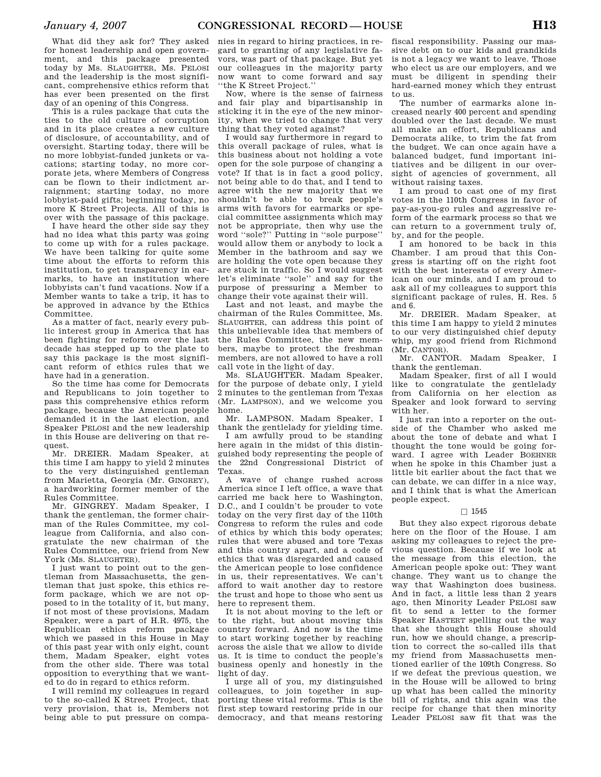What did they ask for? They asked for honest leadership and open government, and this package presented today by Ms. SLAUGHTER, Ms. PELOSI and the leadership is the most significant, comprehensive ethics reform that has ever been presented on the first day of an opening of this Congress.

This is a rules package that cuts the ties to the old culture of corruption and in its place creates a new culture of disclosure, of accountability, and of oversight. Starting today, there will be no more lobbyist-funded junkets or vacations; starting today, no more corporate jets, where Members of Congress can be flown to their indictment arraignment; starting today, no more lobbyist-paid gifts; beginning today, no more K Street Projects. All of this is over with the passage of this package.

I have heard the other side say they had no idea what this party was going to come up with for a rules package. We have been talking for quite some time about the efforts to reform this institution, to get transparency in earmarks, to have an institution where lobbyists can't fund vacations. Now if a Member wants to take a trip, it has to be approved in advance by the Ethics Committee.

As a matter of fact, nearly every public interest group in America that has been fighting for reform over the last decade has stepped up to the plate to say this package is the most significant reform of ethics rules that we have had in a generation.

So the time has come for Democrats and Republicans to join together to pass this comprehensive ethics reform package, because the American people demanded it in the last election, and Speaker PELOSI and the new leadership in this House are delivering on that request.

Mr. DREIER. Madam Speaker, at this time I am happy to yield 2 minutes to the very distinguished gentleman from Marietta, Georgia (Mr. GINGREY), a hardworking former member of the Rules Committee.

Mr. GINGREY. Madam Speaker, I thank the gentleman, the former chairman of the Rules Committee, my colleague from California, and also congratulate the new chairman of the Rules Committee, our friend from New York (Ms. SLAUGHTER).

I just want to point out to the gentleman from Massachusetts, the gentleman that just spoke, this ethics reform package, which we are not opposed to in the totality of it, but many, if not most of these provisions, Madam Speaker, were a part of H.R. 4975, the Republican ethics reform package which we passed in this House in May of this past year with only eight, count them, Madam Speaker, eight votes from the other side. There was total opposition to everything that we wanted to do in regard to ethics reform.

I will remind my colleagues in regard to the so-called K Street Project, that very provision, that is, Members not being able to put pressure on companies in regard to hiring practices, in regard to granting of any legislative favors, was part of that package. But yet our colleagues in the majority party now want to come forward and say ''the K Street Project.''

Now, where is the sense of fairness and fair play and bipartisanship in sticking it in the eye of the new minority, when we tried to change that very thing that they voted against?

I would say furthermore in regard to this overall package of rules, what is this business about not holding a vote open for the sole purpose of changing a vote? If that is in fact a good policy, not being able to do that, and I tend to agree with the new majority that we shouldn't be able to break people's arms with favors for earmarks or special committee assignments which may not be appropriate, then why use the word ''sole?'' Putting in ''sole purpose'' would allow them or anybody to lock a Member in the bathroom and say we are holding the vote open because they are stuck in traffic. So I would suggest let's eliminate ''sole'' and say for the purpose of pressuring a Member to change their vote against their will.

Last and not least, and maybe the chairman of the Rules Committee, Ms. SLAUGHTER, can address this point of this unbelievable idea that members of the Rules Committee, the new members, maybe to protect the freshman members, are not allowed to have a roll call vote in the light of day.

Ms. SLAUGHTER. Madam Speaker, for the purpose of debate only, I yield 2 minutes to the gentleman from Texas (Mr. LAMPSON), and we welcome you home.

Mr. LAMPSON. Madam Speaker, I thank the gentlelady for yielding time.

I am awfully proud to be standing here again in the midst of this distinguished body representing the people of the 22nd Congressional District of Texas.

A wave of change rushed across America since I left office, a wave that carried me back here to Washington, D.C., and I couldn't be prouder to vote today on the very first day of the 110th Congress to reform the rules and code of ethics by which this body operates; rules that were abused and tore Texas and this country apart, and a code of ethics that was disregarded and caused the American people to lose confidence in us, their representatives. We can't afford to wait another day to restore the trust and hope to those who sent us here to represent them.

It is not about moving to the left or to the right, but about moving this country forward. And now is the time to start working together by reaching across the aisle that we allow to divide us. It is time to conduct the people's business openly and honestly in the light of day.

I urge all of you, my distinguished colleagues, to join together in supporting these vital reforms. This is the first step toward restoring pride in our democracy, and that means restoring

fiscal responsibility. Passing our massive debt on to our kids and grandkids is not a legacy we want to leave. Those who elect us are our employers, and we must be diligent in spending their hard-earned money which they entrust to us.

The number of earmarks alone increased nearly 400 percent and spending doubled over the last decade. We must all make an effort, Republicans and Democrats alike, to trim the fat from the budget. We can once again have a balanced budget, fund important initiatives and be diligent in our oversight of agencies of government, all without raising taxes.

I am proud to cast one of my first votes in the 110th Congress in favor of pay-as-you-go rules and aggressive reform of the earmark process so that we can return to a government truly of, by, and for the people.

I am honored to be back in this Chamber. I am proud that this Congress is starting off on the right foot with the best interests of every American on our minds, and I am proud to ask all of my colleagues to support this significant package of rules, H. Res. 5 and 6.

Mr. DREIER. Madam Speaker, at this time I am happy to yield 2 minutes to our very distinguished chief deputy whip, my good friend from Richmond (Mr. CANTOR).

Mr. CANTOR. Madam Speaker, I thank the gentleman.

Madam Speaker, first of all I would like to congratulate the gentlelady from California on her election as Speaker and look forward to serving with her.

I just ran into a reporter on the outside of the Chamber who asked me about the tone of debate and what I thought the tone would be going forward. I agree with Leader BOEHNER when he spoke in this Chamber just a little bit earlier about the fact that we can debate, we can differ in a nice way, and I think that is what the American people expect.

#### $\Box$  1545

But they also expect rigorous debate here on the floor of the House. I am asking my colleagues to reject the previous question. Because if we look at the message from this election, the American people spoke out: They want change. They want us to change the way that Washington does business. And in fact, a little less than 2 years ago, then Minority Leader PELOSI saw fit to send a letter to the former Speaker HASTERT spelling out the way that she thought this House should run, how we should change, a prescription to correct the so-called ills that my friend from Massachusetts mentioned earlier of the 109th Congress. So if we defeat the previous question, we in the House will be allowed to bring up what has been called the minority bill of rights, and this again was the recipe for change that then minority Leader PELOSI saw fit that was the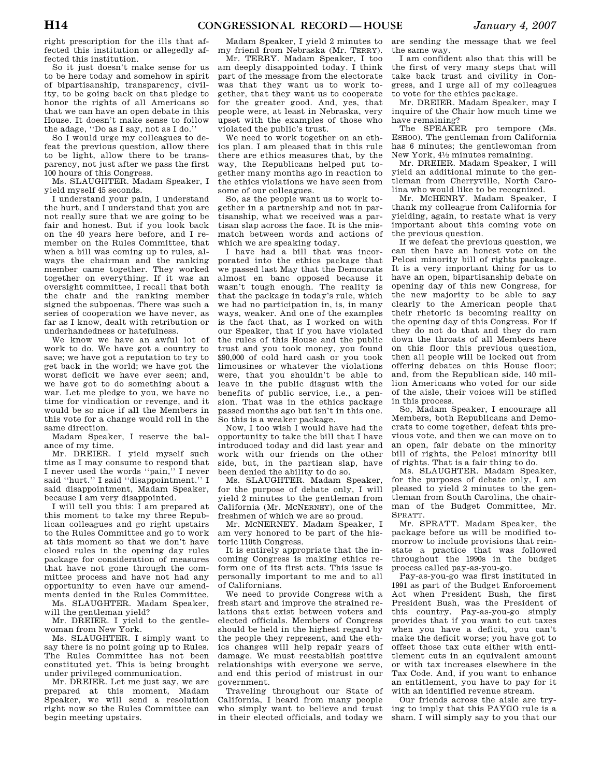right prescription for the ills that affected this institution or allegedly affected this institution.

So it just doesn't make sense for us to be here today and somehow in spirit of bipartisanship, transparency, civility, to be going back on that pledge to honor the rights of all Americans so that we can have an open debate in this House. It doesn't make sense to follow the adage, ''Do as I say, not as I do.''

So I would urge my colleagues to defeat the previous question, allow there to be light, allow there to be transparency, not just after we pass the first 100 hours of this Congress.

Ms. SLAUGHTER. Madam Speaker, I yield myself 45 seconds.

I understand your pain, I understand the hurt, and I understand that you are not really sure that we are going to be fair and honest. But if you look back on the 40 years here before, and I remember on the Rules Committee, that when a bill was coming up to rules, always the chairman and the ranking member came together. They worked together on everything. If it was an oversight committee, I recall that both the chair and the ranking member signed the subpoenas. There was such a series of cooperation we have never, as far as I know, dealt with retribution or underhandedness or hatefulness.

We know we have an awful lot of work to do. We have got a country to save; we have got a reputation to try to get back in the world; we have got the worst deficit we have ever seen; and, we have got to do something about a war. Let me pledge to you, we have no time for vindication or revenge, and it would be so nice if all the Members in this vote for a change would roll in the same direction.

Madam Speaker, I reserve the balance of my time.

Mr. DREIER. I yield myself such time as I may consume to respond that I never used the words ''pain,'' I never said ''hurt.'' I said ''disappointment.'' I said disappointment, Madam Speaker, because I am very disappointed.

I will tell you this: I am prepared at this moment to take my three Republican colleagues and go right upstairs to the Rules Committee and go to work at this moment so that we don't have closed rules in the opening day rules package for consideration of measures that have not gone through the committee process and have not had any opportunity to even have our amendments denied in the Rules Committee. Ms. SLAUGHTER. Madam Speaker,

will the gentleman yield?

Mr. DREIER. I yield to the gentlewoman from New York.

Ms. SLAUGHTER. I simply want to say there is no point going up to Rules. The Rules Committee has not been constituted yet. This is being brought under privileged communication.

Mr. DREIER. Let me just say, we are prepared at this moment, Madam Speaker, we will send a resolution right now so the Rules Committee can begin meeting upstairs.

Madam Speaker, I yield 2 minutes to my friend from Nebraska (Mr. TERRY).

Mr. TERRY. Madam Speaker, I too am deeply disappointed today. I think part of the message from the electorate was that they want us to work together, that they want us to cooperate for the greater good. And, yes, that people were, at least in Nebraska, very upset with the examples of those who violated the public's trust.

We need to work together on an ethics plan. I am pleased that in this rule there are ethics measures that, by the way, the Republicans helped put together many months ago in reaction to the ethics violations we have seen from some of our colleagues.

So, as the people want us to work together in a partnership and not in partisanship, what we received was a partisan slap across the face. It is the mismatch between words and actions of which we are speaking today.

I have had a bill that was incorporated into the ethics package that we passed last May that the Democrats almost en banc opposed because it wasn't tough enough. The reality is that the package in today's rule, which we had no participation in, is, in many ways, weaker. And one of the examples is the fact that, as I worked on with our Speaker, that if you have violated the rules of this House and the public trust and you took money, you found \$90,000 of cold hard cash or you took limousines or whatever the violations were, that you shouldn't be able to leave in the public disgust with the benefits of public service, i.e., a pension. That was in the ethics package passed months ago but isn't in this one. So this is a weaker package.

Now, I too wish I would have had the opportunity to take the bill that I have introduced today and did last year and work with our friends on the other side, but, in the partisan slap, have been denied the ability to do so.

Ms. SLAUGHTER. Madam Speaker, for the purpose of debate only, I will yield 2 minutes to the gentleman from California (Mr. MCNERNEY), one of the freshmen of which we are so proud.

Mr. MCNERNEY. Madam Speaker, I am very honored to be part of the historic 110th Congress.

It is entirely appropriate that the incoming Congress is making ethics reform one of its first acts. This issue is personally important to me and to all of Californians.

We need to provide Congress with a fresh start and improve the strained relations that exist between voters and elected officials. Members of Congress should be held in the highest regard by the people they represent, and the ethics changes will help repair years of damage. We must reestablish positive relationships with everyone we serve, and end this period of mistrust in our government.

Traveling throughout our State of California, I heard from many people who simply want to believe and trust in their elected officials, and today we

are sending the message that we feel the same way.

I am confident also that this will be the first of very many steps that will take back trust and civility in Congress, and I urge all of my colleagues to vote for the ethics package.

Mr. DREIER. Madam Speaker, may I inquire of the Chair how much time we have remaining?

The SPEAKER pro tempore (Ms. ESHOO). The gentleman from California has 6 minutes; the gentlewoman from New York, 41⁄2 minutes remaining.

Mr. DREIER. Madam Speaker, I will yield an additional minute to the gentleman from Cherryville, North Carolina who would like to be recognized.

Mr. MCHENRY. Madam Speaker, I thank my colleague from California for yielding, again, to restate what is very important about this coming vote on the previous question.

If we defeat the previous question, we can then have an honest vote on the Pelosi minority bill of rights package. It is a very important thing for us to have an open, bipartisanship debate on opening day of this new Congress, for the new majority to be able to say clearly to the American people that their rhetoric is becoming reality on the opening day of this Congress. For if they do not do that and they do ram down the throats of all Members here on this floor this previous question, then all people will be locked out from offering debates on this House floor; and, from the Republican side, 140 million Americans who voted for our side of the aisle, their voices will be stifled in this process.

So, Madam Speaker, I encourage all Members, both Republicans and Democrats to come together, defeat this previous vote, and then we can move on to an open, fair debate on the minority bill of rights, the Pelosi minority bill of rights. That is a fair thing to do.

Ms. SLAUGHTER. Madam Speaker, for the purposes of debate only, I am pleased to yield 2 minutes to the gentleman from South Carolina, the chairman of the Budget Committee, Mr. SPRATT.

Mr. SPRATT. Madam Speaker, the package before us will be modified tomorrow to include provisions that reinstate a practice that was followed throughout the 1990s in the budget process called pay-as-you-go.

Pay-as-you-go was first instituted in 1991 as part of the Budget Enforcement Act when President Bush, the first President Bush, was the President of this country. Pay-as-you-go simply provides that if you want to cut taxes when you have a deficit, you can't make the deficit worse; you have got to offset those tax cuts either with entitlement cuts in an equivalent amount or with tax increases elsewhere in the Tax Code. And, if you want to enhance an entitlement, you have to pay for it with an identified revenue stream.

Our friends across the aisle are trying to imply that this PAYGO rule is a sham. I will simply say to you that our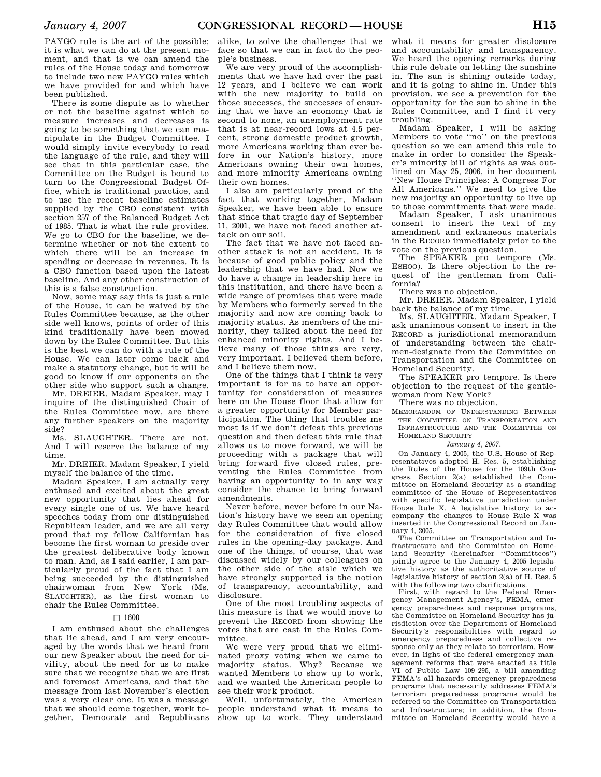PAYGO rule is the art of the possible; it is what we can do at the present moment, and that is we can amend the rules of the House today and tomorrow to include two new PAYGO rules which we have provided for and which have been published.

There is some dispute as to whether or not the baseline against which to measure increases and decreases is going to be something that we can manipulate in the Budget Committee. I would simply invite everybody to read the language of the rule, and they will see that in this particular case, the Committee on the Budget is bound to turn to the Congressional Budget Office, which is traditional practice, and to use the recent baseline estimates supplied by the CBO consistent with section 257 of the Balanced Budget Act of 1985. That is what the rule provides. We go to CBO for the baseline, we determine whether or not the extent to which there will be an increase in spending or decrease in revenues. It is a CBO function based upon the latest baseline. And any other construction of this is a false construction.

Now, some may say this is just a rule of the House, it can be waived by the Rules Committee because, as the other side well knows, points of order of this kind traditionally have been mowed down by the Rules Committee. But this is the best we can do with a rule of the House. We can later come back and make a statutory change, but it will be good to know if our opponents on the other side who support such a change.

Mr. DREIER. Madam Speaker, may I inquire of the distinguished Chair of the Rules Committee now, are there any further speakers on the majority side?

Ms. SLAUGHTER. There are not. And I will reserve the balance of my time.

Mr. DREIER. Madam Speaker, I yield myself the balance of the time.

Madam Speaker, I am actually very enthused and excited about the great new opportunity that lies ahead for every single one of us. We have heard speeches today from our distinguished Republican leader, and we are all very proud that my fellow Californian has become the first woman to preside over the greatest deliberative body known to man. And, as I said earlier, I am particularly proud of the fact that I am being succeeded by the distinguished chairwoman from New York (Ms. SLAUGHTER), as the first woman to chair the Rules Committee.

#### $\Box$  1600

I am enthused about the challenges that lie ahead, and I am very encouraged by the words that we heard from our new Speaker about the need for civility, about the need for us to make sure that we recognize that we are first and foremost Americans, and that the message from last November's election was a very clear one. It was a message that we should come together, work together, Democrats and Republicans

alike, to solve the challenges that we face so that we can in fact do the people's business.

We are very proud of the accomplishments that we have had over the past 12 years, and I believe we can work with the new majority to build on those successes, the successes of ensuring that we have an economy that is second to none, an unemployment rate that is at near-record lows at 4.5 percent, strong domestic product growth more Americans working than ever before in our Nation's history, more Americans owning their own homes, and more minority Americans owning their own homes.

I also am particularly proud of the fact that working together, Madam Speaker, we have been able to ensure that since that tragic day of September 11, 2001, we have not faced another attack on our soil.

The fact that we have not faced another attack is not an accident. It is because of good public policy and the leadership that we have had. Now we do have a change in leadership here in this institution, and there have been a wide range of promises that were made by Members who formerly served in the majority and now are coming back to majority status. As members of the minority, they talked about the need for enhanced minority rights. And I believe many of those things are very, very important. I believed them before, and I believe them now.

One of the things that I think is very important is for us to have an opportunity for consideration of measures here on the House floor that allow for a greater opportunity for Member participation. The thing that troubles me most is if we don't defeat this previous question and then defeat this rule that allows us to move forward, we will be proceeding with a package that will bring forward five closed rules, preventing the Rules Committee from having an opportunity to in any way consider the chance to bring forward amendments.

Never before, never before in our Nation's history have we seen an opening day Rules Committee that would allow for the consideration of five closed rules in the opening-day package. And one of the things, of course, that was discussed widely by our colleagues on the other side of the aisle which we have strongly supported is the notion of transparency, accountability, and disclosure.

One of the most troubling aspects of this measure is that we would move to prevent the RECORD from showing the votes that are cast in the Rules Committee.

We were very proud that we eliminated proxy voting when we came to majority status. Why? Because we wanted Members to show up to work, and we wanted the American people to see their work product.

Well, unfortunately, the American people understand what it means to show up to work. They understand

what it means for greater disclosure and accountability and transparency. We heard the opening remarks during this rule debate on letting the sunshine in. The sun is shining outside today, and it is going to shine in. Under this provision, we see a prevention for the opportunity for the sun to shine in the Rules Committee, and I find it very troubling.

Madam Speaker, I will be asking Members to vote ''no'' on the previous question so we can amend this rule to make in order to consider the Speaker's minority bill of rights as was outlined on May 25, 2006, in her document ''New House Principles: A Congress For All Americans.'' We need to give the new majority an opportunity to live up to those commitments that were made.

Madam Speaker, I ask unanimous consent to insert the text of my amendment and extraneous materials in the RECORD immediately prior to the vote on the previous question.

The SPEAKER pro tempore (Ms. ESHOO). Is there objection to the request of the gentleman from California?

There was no objection.

Mr. DREIER. Madam Speaker, I yield back the balance of my time.

Ms. SLAUGHTER. Madam Speaker, I ask unanimous consent to insert in the RECORD a jurisdictional memorandum of understanding between the chairmen-designate from the Committee on Transportation and the Committee on Homeland Security.

The SPEAKER pro tempore. Is there objection to the request of the gentlewoman from New York?

There was no objection.

MEMORANDUM OF UNDERSTANDING BETWEEN THE COMMITTEE ON TRANSPORTATION AND INFRASTRUCTURE AND THE COMMITTEE ON HOMELAND SECURITY

#### *January 4, 2007.*

On January 4, 2005, the U.S. House of Representatives adopted H. Res. 5, establishing the Rules of the House for the 109th Congress. Section 2(a) established the Committee on Homeland Security as a standing committee of the House of Representatives with specific legislative jurisdiction under House Rule X. A legislative history to accompany the changes to House Rule X was inserted in the Congressional Record on January 4, 2005.

The Committee on Transportation and Infrastructure and the Committee on Homeland Security (hereinafter ''Committees'') jointly agree to the January 4, 2005 legislative history as the authoritative source of legislative history of section 2(a) of H. Res. 5 with the following two clarifications.

First, with regard to the Federal Emergency Management Agency's, FEMA, emergency preparedness and response programs, the Committee on Homeland Security has jurisdiction over the Department of Homeland Security's responsibilities with regard to emergency preparedness and collective response only as they relate to terrorism. However, in light of the federal emergency management reforms that were enacted as title VI of Public Law 109–295, a bill amending FEMA's all-hazards emergency preparedness programs that necessarily addresses FEMA's terrorism preparedness programs would be referred to the Committee on Transportation and Infrastructure; in addition, the Committee on Homeland Security would have a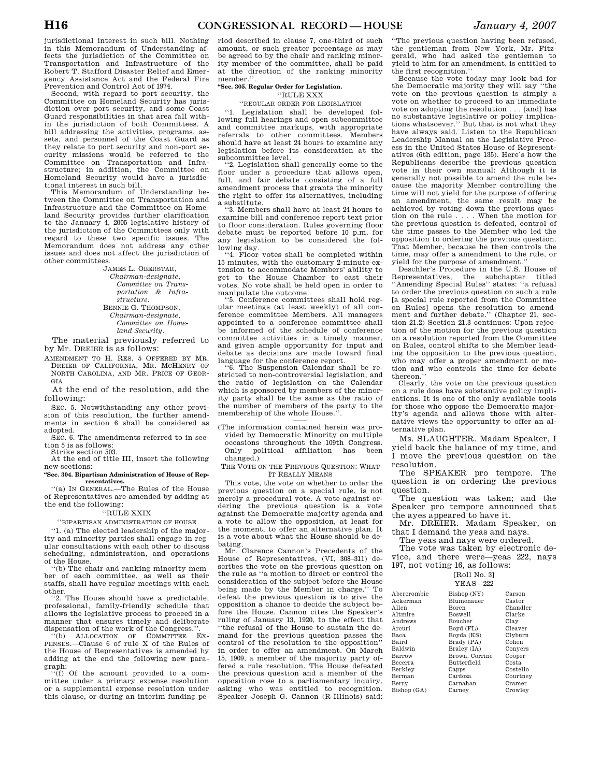jurisdictional interest in such bill. Nothing in this Memorandum of Understanding affects the jurisdiction of the Committee on Transportation and Infrastructure of the Robert T. Stafford Disaster Relief and Emergency Assistance Act and the Federal Fire Prevention and Control Act of 1974.

Second, with regard to port security, the Committee on Homeland Security has jurisdiction over port security, and some Coast Guard responsibilities in that area fall within the jurisdiction of both Committees. A bill addressing the activities, programs, assets, and personnel of the Coast Guard as they relate to port security and non-port security missions would be referred to the Committee on Transportation and Infrastructure; in addition, the Committee on Homeland Security would have a jurisdictional interest in such bill.

This Memorandum of Understanding be-tween the Committee on Transportation and Infrastructure and the Committee on Homeland Security provides further clarification to the January 4, 2005 legislative history of the jurisdiction of the Committees only with<br>regard to these two specific issues. The regard to these two specific issues. Memorandum does not address any other issues and does not affect the jurisdiction of other committees.

JAMES L. OBERSTAR, *Chairman-designate, Committee on Transportation & Infrastructure.*  BENNIE G. THOMPSON, *Chairman-designate, Committee on Homeland Security.* 

The material previously referred to by Mr. DREIER is as follows:

AMENDMENT TO H. RES. 5 OFFERED BY MR. DREIER OF CALIFORNIA, MR. MCHENRY OF NORTH CAROLINA, AND MR. PRICE OF GEOR-GIA

At the end of the resolution, add the following:

SEC. 5. Notwithstanding any other provision of this resolution, the further amendments in section 6 shall be considered as adopted.

SEC. 6. The amendments referred to in section 5 is as follows:

Strike section 503.

At the end of title III, insert the following new sections:

#### **''Sec. 304. Bipartisan Administration of House of Representatives.**

''(a) IN GENERAL.—The Rules of the House of Representatives are amended by adding at the end the following:

#### ''RULE XXIX

''BIPARTISAN ADMINISTRATION OF HOUSE

''1. (a) The elected leadership of the majority and minority parties shall engage in regular consultations with each other to discuss scheduling, administration, and operations of the House.

''(b) The chair and ranking minority member of each committee, as well as their staffs, shall have regular meetings with each other.

''2. The House should have a predictable, professional, family-friendly schedule that allows the legislative process to proceed in a manner that ensures timely and deliberate dispensation of the work of the Congress.'

''(b) ALLOCATION OF COMMITTEE EX-PENSES.—Clause 6 of rule X of the Rules of the House of Representatives is amended by adding at the end the following new paragraph:

''(f) Of the amount provided to a committee under a primary expense resolution or a supplemental expense resolution under this clause, or during an interim funding pe-

riod described in clause 7, one-third of such amount, or such greater percentage as may be agreed to by the chair and ranking minority member of the committee, shall be paid at the direction of the ranking minority member."

#### **''Sec. 305. Regular Order for Legislation.**

''RULE XXX

''REGULAR ORDER FOR LEGISLATION

''1. Legislation shall be developed following full hearings and open subcommittee and committee markups, with appropriate referrals to other committees. Members should have at least 24 hours to examine any legislation before its consideration at the

"2. Legislation shall generally come to the floor under a procedure that allows open, full, and fair debate consisting of a full amendment process that grants the minority the right to offer its alternatives, including a substitute. ''3. Members shall have at least 24 hours to

examine bill and conference report text prior to floor consideration. Rules governing floor debate must be reported before 10 p.m. for any legislation to be considered the fol-

lowing day.<br>"4. Floor votes shall be completed within 15 minutes, with the customary 2-minute extension to accommodate Members' ability to get to the House Chamber to cast their votes. No vote shall be held open in order to

"5. Conference committees shall hold regular meetings (at least weekly) of all conference committee Members. All managers appointed to a conference committee shall be informed of the schedule of conference committee activities in a timely manner, and given ample opportunity for input and debate as decisions are made toward final

language for the conference report. ''6. The Suspension Calendar shall be restricted to non-controversial legislation, and the ratio of legislation on the Calendar which is sponsored by members of the minority party shall be the same as the ratio of the number of members of the party to the membership of the whole House.

(The information contained herein was pro-

vided by Democratic Minority on multiple occasions throughout the 109th Congress. Only political affiliation has been changed.)

THE VOTE ON THE PREVIOUS QUESTION: WHAT IT REALLY MEANS

This vote, the vote on whether to order the previous question on a special rule, is not merely a procedural vote. A vote against ordering the previous question is a vote against the Democratic majority agenda and a vote to allow the opposition, at least for the moment, to offer an alternative plan. It is a vote about what the House should be de-

bating. Mr. Clarence Cannon's Precedents of the House of Representatives, (VI, 308–311) describes the vote on the previous question on the rule as ''a motion to direct or control the consideration of the subject before the House being made by the Member in charge.'' To defeat the previous question is to give the opposition a chance to decide the subject before the House. Cannon cites the Speaker's ruling of January 13, 1920, to the effect that the refusal of the House to sustain the demand for the previous question passes the control of the resolution to the opposition'' in order to offer an amendment. On March 15, 1909, a member of the majority party offered a rule resolution. The House defeated the previous question and a member of the opposition rose to a parliamentary inquiry, asking who was entitled to recognition. Speaker Joseph G. Cannon (R-Illinois) said:

''The previous question having been refused, the gentleman from New York, Mr. Fitzgerald, who had asked the gentleman to yield to him for an amendment, is entitled to the first recognition.''

Because the vote today may look bad for the Democratic majority they will say ''the vote on the previous question is simply a vote on whether to proceed to an immediate vote on adopting the resolution . . . [and] has no substantive legislative or policy implica-tions whatsoever.'' But that is not what they have always said. Listen to the Republican Leadership Manual on the Legislative Process in the United States House of Representatives (6th edition, page 135). Here's how the Republicans describe the previous question vote in their own manual: Although it is generally not possible to amend the rule because the majority Member controlling the time will not yield for the purpose of offering an amendment, the same result may be achieved by voting down the previous question on the rule . . . . When the motion for the previous question is defeated, control of the time passes to the Member who led the opposition to ordering the previous question. That Member, because he then controls the time, may offer a amendment to the rule, or yield for the purpose of amendment.''

Deschler's Procedure in the U.S. House of Representatives, the subchapter titled ''Amending Special Rules'' states: ''a refusal to order the previous question on such a rule [a special rule reported from the Committee on Rules] opens the resolution to amend-ment and further debate.'' (Chapter 21, section 21.2) Section 21.3 continues: Upon rejection of the motion for the previous question on a resolution reported from the Committee on Rules, control shifts to the Member leading the opposition to the previous question, who may offer a proper amendment or motion and who controls the time for debate thereon.''

Clearly, the vote on the previous question on a rule does have substantive policy implications. It is one of the only available tools for those who oppose the Democratic majority's agenda and allows those with alternative views the opportunity to offer an alternative plan.

Ms. SLAUGHTER. Madam Speaker, I yield back the balance of my time, and I move the previous question on the resolution.

The SPEAKER pro tempore. The question is on ordering the previous question.

The question was taken; and the Speaker pro tempore announced that the ayes appeared to have it.

Mr. DREIER. Madam Speaker, on that I demand the yeas and nays.

The yeas and nays were ordered.

The vote was taken by electronic device, and there were—yeas 222, nays 197, not voting 16, as follows:

[Roll No. 3]

|             | $YFAS - 222$   |          |
|-------------|----------------|----------|
| Abercrombie | Bishop (NY)    | Carson   |
| Ackerman    | Blumenauer     | Castor   |
| Allen       | Boren          | Chandler |
| Altmire     | Boswell        | Clarke   |
| Andrews     | Boucher        | Clay     |
| Arcuri      | Boyd (FL)      | Cleaver  |
| Baca        | Boyda (KS)     | Clyburn  |
| Baird       | Brady (PA)     | Cohen    |
| Baldwin     | Braley (IA)    | Conyers  |
| Barrow      | Brown, Corrine | Cooper   |
| Becerra     | Butterfield    | Costa    |
| Berklev     | Capps          | Costello |
| Berman      | Cardoza        | Courtney |
| Berry       | Carnahan       | Cramer   |
| Bishop (GA) | Carney         | Crowley  |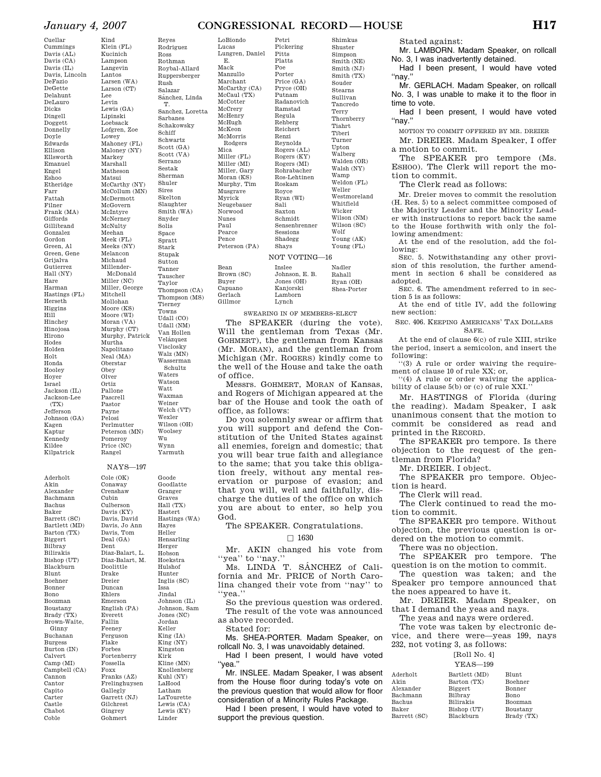### *January 4, 2007* **CONGRESSIONAL RECORD— HOUSE H17**

Petri Pickering Pitts Platts Poe Porter Price (GA) Pryce (OH) Putnam Radanovich Ramstad Regula Rehberg Reichert Renzi Reynolds Rogers (AL) Rogers (KY) Rogers (MI) Rohrabacher Ros-Lehtinen Roskam Royce Ryan (WI) Sali

Cuellar Cummings Davis (AL) Davis (CA) Davis (IL) Davis, Lincoln DeFazio DeGette Delahunt DeLauro Dicks Dingell Doggett. Donnelly Doyle Edwards Ellison Ellsworth Emanuel Engel Eshoo Etheridge Farr Fattah Filner Frank (MA) Giffords Gillibrand Gonzalez Gordon Green, Al Green, Gene Grijalva Gutierrez Hall (NY) Hare Harman Hastings (FL) Herseth Higgins Hill Hinchey Hinojosa Hirono Hodes Holden Holt Honda Hooley Hoyer Israel Jackson (IL) Jackson-Lee (TX) Jefferson Johnson (GA) Kagen Kaptur Kennedy Kildee Kilpatrick

Kind

Lantos

Lee Levin

Lowey

Klein (FL) Kucinich Lampson Langevin Larsen (WA) Larson (CT) Lewis (GA) Lipinski Loebsack Lofgren, Zoe Mahoney (FL) Maloney (NY) Markey Marshall Matheson Matsui McCarthy (NY) McCollum (MN) McDermott McGovern McIntyre McNerney McNulty Meehan Meek (FL) Meeks (NY) Melancon Michaud Millender-McDonald Miller (NC) Miller, George Mitchell Mollohan Moore (KS) Moore (WI) Moran (VA) Murphy (CT) Murphy, Patrick Murtha Napolitano Neal (MA) Oberstar Pallone Pascrell Perlmutter Peterson (MN) Pomeroy Price (NC) Rangel Reyes Rodriguez Ross Rothman Roybal-Allard Ruppersberger Rush Salazar Sa´nchez, Linda T. Sanchez, Loretta Sarbanes Schakowsky Schiff Schwartz Scott (GA) Scott (VA) Serrano Sestak Sherman Shuler Sires Skelton Slaughter Smith (WA) Snyder Solis Space Spratt Stark Stupak Sutton Tanner Tauscher Taylor Thompson (CA) Thompson (MS) Tierney Towns Udall (CO) Udall (NM) Van Hollen Velázquez Waters Watson Watt Wexler Wu Wynn

#### NAYS—197

Cole (OK) Conaway Crenshaw Cubin Culberson

Dent

Doolittle Drake Dreier Duncan Ehlers Emerson

Everett Fallin Feeney Ferguson Flake Forbes

Fossella Foxx

Gallegly

Gilchrest Gingrey Gohmert

Obey Olver Ortiz

Pastor Payne Pelosi

Aderholt Akin Alexander Bachmann Bachus Baker Barrett (SC) Bartlett (MD) Barton (TX) Biggert Bilbray Bilirakis Bishop (UT) Blackburn Blunt Boehner Bonner Bono Boozman Boustany Brady (TX) Brown-Waite, Ginny Buchanan Burgess Burton (IN) Calvert Camp (MI) Campbell (CA) Cannon Cantor Capito Carter Castle Chabot Coble

Visclosky Walz (MN) Wasserman Schultz Waxman Weiner<br>Welch (VT) Wilson (OH) Woolsey Yarmuth Davis (KY) Davis, David Davis, Jo Ann Davis, Tom Deal (GA) Diaz-Balart, L. Diaz-Balart, M. English (PA) Fortenberry Franks (AZ) Frelinghuysen Garrett<sup>(NJ)</sup> Goode Goodlatte Granger Graves Hall (TX) Hastert Hastings (WA) Hayes Heller Hensarling Herger Hobson Hoekstra Hulshof Hunter Inglis (SC) Issa Jindal Johnson (IL) Johnson, Sam Jones (NC) Jordan Keller King (IA) King  $(NY)$ Kingston Kirk Kline (MN) Knollenberg Kuhl (NY) LaHood Latham LaTourette

Lewis (CA) Lewis (KY) Linder

McHenry McHugh McKeon McMorris Rodgers Mica Miller (FL) Miller (MI) Miller, Gary Moran (KS) Murphy, Tim Musgrave Myrick Neugebauer Norwood Nunes Paul Pear Penc Pete Bean Broy Buy

LoBiondo Lucas Lungren, Daniel E. Mack Manzullo Marchant McCarthy (CA) McCaul (TX) McCotter McCrery

| 'ce       | Sessions       | Wolf        |
|-----------|----------------|-------------|
| è.        | Shadegg        | Young (AK)  |
| rson (PA) | Shays          | Young (FL)  |
|           | NOT VOTING-16  |             |
|           | Inslee         | Nadler      |
| vn (SC)   | Johnson, E. B. | Rahall      |
| ۹r        | Jones (OH)     | Ryan (OH)   |
| iano      | Kanjorski      | Shea-Porter |
| ach       | Lamborn        |             |
| nor       | Lynch          |             |

Will the gentleman from Texas (Mr. GOHMERT), the gentleman from Kansas (Mr. MORAN), and the gentleman from Michigan (Mr. ROGERS) kindly come to the well of the House and take the oath of office.

Messrs. GOHMERT, MORAN of Kansas, and Rogers of Michigan appeared at the bar of the House and took the oath of office, as follows:

Do you solemnly swear or affirm that you will support and defend the Constitution of the United States against all enemies, foreign and domestic; that you will bear true faith and allegiance to the same; that you take this obligation freely, without any mental reservation or purpose of evasion; and that you will, well and faithfully, discharge the duties of the office on which you are about to enter, so help you God.

The SPEAKER. Congratulations.

#### $\square$  1630

Mr. AKIN changed his vote from "yea" to "nay."<br>Ms. LINDA T.

SÁNCHEZ of California and Mr. PRICE of North Carolina changed their vote from ''nay'' to ''yea.''

So the previous question was ordered. The result of the vote was announced as above recorded.

Stated for: Ms. SHEA-PORTER. Madam Speaker, on

rollcall No. 3, I was unavoidably detained. Had I been present, I would have voted

''yea.'' Mr. INSLEE. Madam Speaker, I was absent from the House floor during today's vote on the previous question that would allow for floor consideration of a Minority Rules Package.

Had I been present, I would have voted to support the previous question.

Stated against:

Mr. LAMBORN. Madam Speaker, on rollcall No. 3, I was inadvertently detained.

Had I been present, I would have voted ''nay.''

Mr. GERLACH. Madam Speaker, on rollcall No. 3, I was unable to make it to the floor in time to vote.

Had I been present, I would have voted ''nay.''

MOTION TO COMMIT OFFERED BY MR. DREIER

Mr. DREIER. Madam Speaker, I offer a motion to commit.

The SPEAKER pro tempore (Ms. ESHOO). The Clerk will report the motion to commit.

The Clerk read as follows:

Mr. Dreier moves to commit the resolution (H. Res. 5) to a select committee composed of the Majority Leader and the Minority Leader with instructions to report back the same to the House forthwith with only the following amendment:

At the end of the resolution, add the following:

SEC<sub>.</sub> 5. Notwithstanding any other provision of this resolution, the further amendment in section 6 shall be considered as adopted.

SEC. 6. The amendment referred to in section 5 is as follows:

At the end of title IV, add the following new section:

SEC. 406. KEEPING AMERICANS' TAX DOLLARS SAFE.

At the end of clause 6(c) of rule XIII, strike the period, insert a semicolon, and insert the following:

''(3) A rule or order waiving the requirement of clause 10 of rule XX; or,

''(4) A rule or order waiving the applicability of clause 5(b) or (c) of rule XXI.

Mr. HASTINGS of Florida (during the reading). Madam Speaker, I ask unanimous consent that the motion to commit be considered as read and printed in the RECORD.

The SPEAKER pro tempore. Is there objection to the request of the gentleman from Florida?

Mr. DREIER. I object.

The SPEAKER pro tempore. Objection is heard.

The Clerk will read.

The Clerk continued to read the motion to commit.

The SPEAKER pro tempore. Without objection, the previous question is ordered on the motion to commit.

There was no objection.

The SPEAKER pro tempore. The question is on the motion to commit.

The question was taken; and the Speaker pro tempore announced that the noes appeared to have it.

Mr. DREIER. Madam Speaker, on that I demand the yeas and nays.

The yeas and nays were ordered.

The vote was taken by electronic device, and there were—yeas 199, nays 232, not voting 3, as follows:

[Roll No. 4]

|              | $YFAS-199$       |              |
|--------------|------------------|--------------|
| Aderholt     | Bartlett (MD)    | <b>Blunt</b> |
| Akin         | Barton (TX)      | Boehner      |
| Alexander    | Biggert          | Bonner       |
| Bachmann     | Bilbray          | <b>Bono</b>  |
| Bachus       | <b>Bilirakis</b> | Boozman      |
| Baker        | Bishop (UT)      | Boustany     |
| Barrett (SC) | Blackburn        | Brady (TX)   |

| Shimkus     |
|-------------|
| Shuster     |
| Simpson     |
| Smith (NE)  |
| Smith (NJ)  |
| Smith (TX)  |
| Souder      |
| Stearns     |
| Sullivan    |
| Tancredo    |
| Terry       |
| Thornberry  |
| Tiahrt      |
| Tiberi      |
| Turner      |
| Upton       |
| Walberg     |
| Walden (OR) |
| Walsh (NY)  |

 $Ste$  $S<sub>II</sub>$ <sup> $\alpha$ </sup> Tancredo Ter Tho Tial Tibe .<br>Tur  $U$ pt Walberg Wal Wa Wamp Weller

Smi  $Smi$ Sou Weldon (FL) Westmoreland Whitfield Wicker Wilson (NM) Wilson (SC) Wolf

Saxton Schmidt Sensenbrenner

Capu  $Ger$ Gillr Ryan (OH) Shea-Porter

SWEARING IN OF MEMBERS-ELECT

The SPEAKER (during the vote).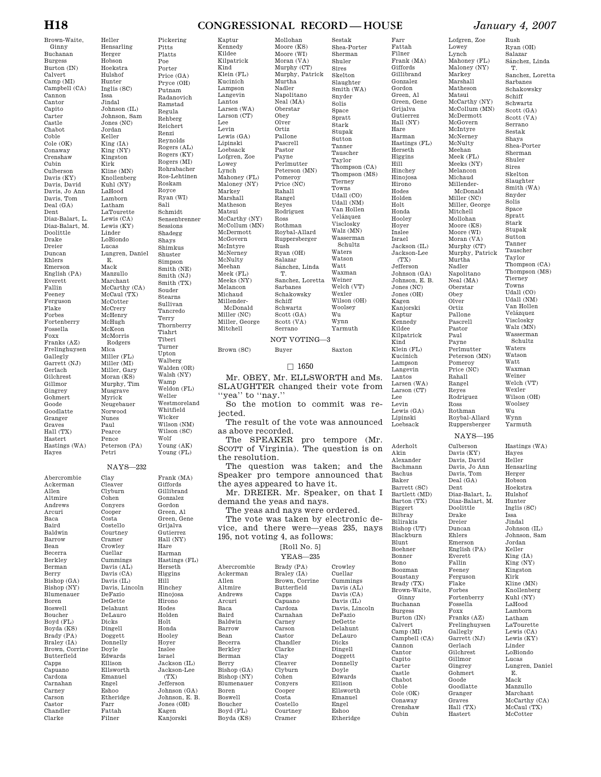#### Brown-Waite, Ginny Buchanan Burgess Burton (IN) Calvert Camp (MI) Campbell (CA) Cannon Cantor Capito Carter Castle Chabot Coble Cole (OK) Conaway Crenshaw Cubin Culberson Davis (KY) Davis, David Davis, Jo Ann Davis, Tom Deal (GA) Dent Diaz-Balart, L. Diaz-Balart, M. Doolittle Drake Dreier Duncan Ehlers Emerson English (PA) Everett Fallin Feeney Ferguson Flake Forbes

Fortenberry Fossella Foxx Franks (AZ) Frelinghuysen Gallegly Garrett (NJ) Gerlach Gilchrest Gillmor Gingrey Gohmert Goode Goodlatte Granger Graves Hall (TX) Hastert Hastings (WA) Hayes

Hobson Hoekstra Hulshof Hunter Inglis (SC) Issa Jindal Johnson (IL) Johnson, Sam Jones (NC) Jordan Keller King (IA) King (NY) Kingston Kirk Kline (MN) Knollenberg Kuhl (NY) LaHood Lamborn Latham LaTourette Lewis (CA) Lewis (KY) Linder LoBiondo Lucas Lungren, Daniel E. Mack Manzullo Marchant McCarthy (CA) McCaul (TX) McCotter McCrery McHenry McHugh McKeon McMorris Rodgers Mica Miller (FL) Miller (MI) Miller, Gary Moran (KS) Murphy, Tim Musgrave Myrick Neugebauer Norwood Nunes Paul Pearce Pence Peterson (PA) Petri

Heller Hensarling Herger

Pickering Pitts Platts Poe Porter Price (GA) Pryce (OH) Putnam

Ramstad Regula Rehberg Reichert Renzi Reynolds

Roskam Royce Ryan (WI) Sali Schmidt

Sessions Shadegg Shays Shimkus Shuster Simpson

Smith (NJ)

Souder Stearns Sullivan Tancredo Terry

Tiahrt Tiberi Turner Upton Walberg

Wamp

Weller Westmoreland Whitfield Wicker Wilson (NM) Wilson (SC)

Abercrombie Ackerman Allen Altmire Andrews Arcuri Baca Baird Baldwin Barrow Bean Becerra Berkley Berman Berry Bishop (GA) Bishop (NY) Blumenauer Boren Boswell Boucher Boyd (FL) Boyda (KS) Brady (PA) Braley (IA) Brown, Corrine Butterfield Capps Capuano Cardoza Carnahan Carney Carson Castor Chandler Clarke

Wolf Young (AK) Young (FL) NAYS—232 Clay Cleaver Clyburn Cohen Conyers Cooper Costa Costello Courtney Cramer Crowley Cuellar Cummings Davis (AL) Davis (CA) Davis (IL) Davis, Lincoln DeFazio DeGette Delahunt DeLauro Dicks Dingell Doggett Donnelly Doyle Edwards Ellison Ellsworth Emanuel Engel Eshoo Etheridge Farr Fattah Filner Frank (MA) Giffords Gillibrand Gonzalez Gordon Green, Al Green, Gene Grijalva Gutierrez Hall (NY) Hare Harman Hastings (FL) Herseth Higgins Hill Hinchey Hinojosa Hirono Hodes Holden Holt Honda Hooley Hoyer Inslee Israel Jackson (IL) Jackson-Lee (TX) Jefferson  $Johnson (GA)$ Johnson, E. B. Jones (OH) Kagen Kanjorski

### **H18 CONGRESSIONAL RECORD— HOUSE** *January 4, 2007*

Sestak

Mollohan

Radanovich Rogers (AL) Rogers (KY) Rogers (MI) Rohrabacher Ros-Lehtinen Sensenbrenner Smith (NE) Smith (TX) Thornberry Walden (OR) Walsh (NY) Weldon (FL) Kaptur Kennedy Kildee Kilpatrick Kind Klein (FL) Kucinich Lampson Langevin Lantos Larsen (WA) Larson (CT) Lee Levin Lewis (GA) Lipinski Loebsack Lofgren, Zoe Lowey Lynch Markey Marshall Matheson Matsui McDermott McGovern McIntyre McNerney McNulty Meehan Meek (FL) Meeks (NY) Melancon Michaud Millender-Miller (NC) Mitchell

Mahoney (FL) Maloney (NY) McCarthy (NY) McCollum (MN) McDonald Miller, George Moore (KS) Murtha Nadler Oberstar Obey Olver Ortiz Pallone Pascrell Pastor Payne Pomeroy Rahall Rangel Reyes Ross Rush Salazar T. Schiff Serrano Brown (SC) Buyer Saxton

Moore (WI) Moran (VA) Murphy (CT) Murphy, Patrick Napolitano Neal (MA) Perlmutter Peterson (MN) Price (NC) Rodriguez Rothman Roybal-Allard Ruppersberger Ryan (OH) Sánchez, Linda Sanchez, Loretta Sarbanes Schakowsky Schwartz Scott (GA) Scott (VA) Shea-Porter Sherman Shuler Sires Skelton Slaughter Smith (WA) Snyder Solis Space Spratt Stark Stupak Sutton Tanner Tauscher Taylor Thompson (CA) Thompson (MS) Tierney Towns Udall (CO) Udall (NM) Van Hollen Velázquez Visclosky Walz (MN) Wasserman Schultz Waters Watson Watt Waxman Weiner Welch (VT) Wexler Wilson (OH) Woolsey Wu Wynn Yarmuth NOT VOTING—3

#### $\Box$  1650

Mr. OBEY, Mr. ELLSWORTH and Ms. SLAUGHTER changed their vote from ''yea'' to ''nay.''

So the motion to commit was rejected.

The result of the vote was announced as above recorded.

The SPEAKER pro tempore (Mr. SCOTT of Virginia). The question is on the resolution.

The question was taken; and the Speaker pro tempore announced that the ayes appeared to have it.

Mr. DREIER. Mr. Speaker, on that I demand the yeas and nays.

The yeas and nays were ordered.

 $\bar{Y}$ 

The vote was taken by electronic device, and there were—yeas 235, nays 195, not voting 4, as follows:

#### [Roll No. 5]

| EAS |  | 235 |  |
|-----|--|-----|--|
|     |  |     |  |

| Abercrombie<br>Ackerman<br>Allen<br>Altmire<br>Andrews<br>Arcuri<br>Baca.<br>Baird<br>Baldwin<br>Barrow<br><b>Bean</b><br>Becerra.<br>Berkley<br><b>Berman</b><br>Berry<br>Bishop (GA)<br>Bishop (NY)<br>Blumenauer<br>Boren<br><b>Boswell</b><br>Boucher<br>Boyd (FL) | Brady (PA)<br>Braley (IA)<br>Brown, Corrine<br>Butterfield<br>Capps<br>Capuano<br>Cardoza<br>Carnahan<br>Carney<br>Carson<br>Castor<br>Chandler<br>Clarke<br>Clay<br>Cleaver<br>Clyburn<br>Cohen<br>Conyers<br>Cooper<br>Costa.<br>Costello<br>Courtney | Crowley<br>Cuellar<br>Cummings<br>Davis (AL)<br>Davis (CA)<br>Davis (IL)<br>Davis, Lincoln<br>DeFazio<br>DeGette<br>Delahunt<br>DeLauro<br><b>Dicks</b><br>Dingell<br>Doggett<br>Donnelly<br>Doyle<br>Edwards<br>Ellison<br>Ellsworth<br>Emanuel<br>Engel<br>Eshoo |
|------------------------------------------------------------------------------------------------------------------------------------------------------------------------------------------------------------------------------------------------------------------------|---------------------------------------------------------------------------------------------------------------------------------------------------------------------------------------------------------------------------------------------------------|--------------------------------------------------------------------------------------------------------------------------------------------------------------------------------------------------------------------------------------------------------------------|
| Boyda (KS)                                                                                                                                                                                                                                                             | Cramer                                                                                                                                                                                                                                                  | Etheridge                                                                                                                                                                                                                                                          |
|                                                                                                                                                                                                                                                                        |                                                                                                                                                                                                                                                         |                                                                                                                                                                                                                                                                    |
|                                                                                                                                                                                                                                                                        |                                                                                                                                                                                                                                                         |                                                                                                                                                                                                                                                                    |

Farr Fattah Filner Frank (MA) Giffords Gillibrand Gonzalez Gordon Green, Al Green, Gene Grijalva Gutierrez Hall (NY) Hare Harman Hastings (FL) Herseth Higgins Hill Hinchey Hinojosa Hirono Hodes Holden Holt Honda Hooley Hoyer Inslee Israel Jackson (IL) Jackson-Lee (TX) Jefferson Johnson (GA) Johnson, E. B. Jones (NC) Jones (OH) Kagen Kanjorski Kaptur Kennedy Kildee Kilpatrick Kind Klein (FL) Kucinich Lampson Langevin Lantos Larsen (WA) Larson (CT) Lee Levin Lewis  $(GA)$ Lipinski

Loebsack

Aderholt Akin Alexander Bachmann Bachus Baker

Barton (TX) Biggert Bilbray Bilirakis Bishop (UT) Blackburn Blunt Boehner Bonner Bono Boozman Boustany Brady (TX) Brown-Waite, Ginny Buchanan Burgess Burton (IN) Calvert Camp (MI) Campbell (CA) Cannon Cantor Capito Carter Castle Chabot Coble Cole (OK) Conaway Crenshaw Cubin

# Rush

Lofgren, Zoe

Lowey Murphy, Patrick Ryan (OH) Salazar Sánchez, Linda T. Sanchez, Loretta Sarbanes Schakowsky Schiff Schwartz Scott (GA) Scott (VA) Serrano Sestak Shays Shea-Porter Sherman Shuler Sires Skelton **Slaughter** Smith (WA) Snyder Solis Space Spratt Stark Stupak Sutton Tanner Tauscher Taylor Thompson (CA) Thompson (MS) **Tierney** Towns

Udall (CO) Udall (NM) Van Hollen Velázquez Visclosky Walz (MN) Wasserman Schultz Waters Watson Watt Waxman Weiner Welch (VT) Wexler Wilson (OH) Woolsey Wu Wynn Yarmuth Hastings (WA) Hayes Heller Hensarling Herger Hobson Hoekstra Hulshof Hunter Inglis (SC) Issa Jindal Johnson (IL) Johnson, Sam Jordan Keller King (IA) King (NY) Kingston Kirk Kline (MN) Knollenberg Kuhl (NY) LaHood Lamborn Latham LaTourette Lewis (CA) Lewis (KY) Linder LoBiondo Lucas Lungren, Daniel E. Mack Manzullo Marchant McCarthy (CA) McCaul (TX) McCotter

Lynch Mahoney (FL) Maloney (NY) Markey Marshall Matheson Matsui McCarthy (NY) McCollum (MN) McDermott McGovern McIntyre McNerney McNulty Meehan Meek (FL) Meeks (NY) Melancon Michaud Millender-McDonald Miller (NC) Miller, George Mitchell Mollohan Moore (KS) Moore (WI) Moran (VA) Murphy (CT) Murtha Nadler Napolitano Neal (MA) Oberstar Obey Olver Ortiz Pallone Pascrell Pastor Paul Payne Perlmutter Peterson (MN) Pomeroy Price (NC) Rahall Rangel Reyes Rodriguez Ross Rothman Roybal-Allard Ruppersberger NAYS—195 Barrett (SC) Bartlett (MD) Culberson Davis (KY) Davis, David Davis, Jo Ann Davis, Tom Deal (GA) Dent Diaz-Balart, L. Diaz-Balart, M. Doolittle Drake Dreier Duncan Ehlers

Emerson English (PA) Everett Fallin Feeney Ferguson Flake Forbes Fortenberry Fossella Foxx Franks (AZ) Frelinghuysen Gallegly Garrett (NJ) Gerlach Gilchrest Gillmor Gingrey Gohmert Goode Goodlatte Granger Graves Hall (TX) Hastert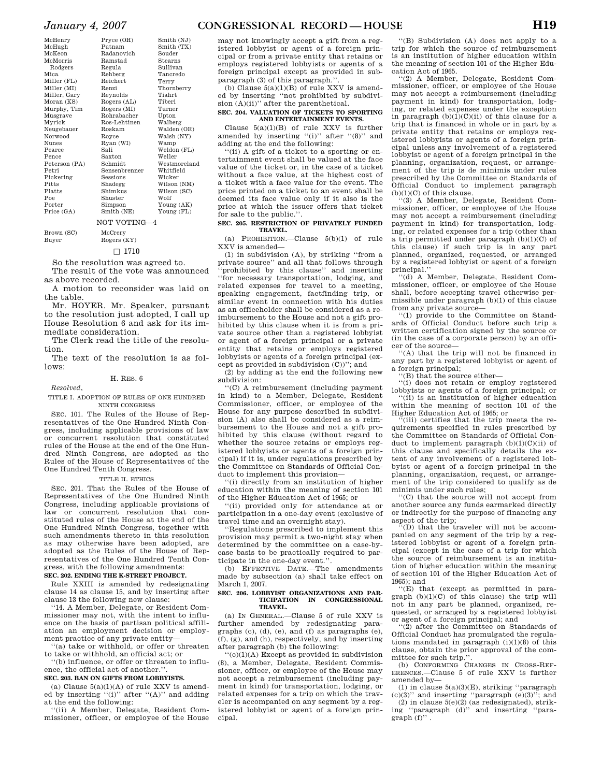| McHenry       | Pryce (OH)    | Smith (NJ)     |
|---------------|---------------|----------------|
| McHugh        | Putnam        | Smith (TX)     |
| McKeon        | Radanovich    | Souder         |
| McMorris      | Ramstad       | <b>Stearns</b> |
| Rodgers       | Regula        | Sullivan       |
| Mica.         | Rehberg       | Tancredo       |
| Miller (FL)   | Reichert      | Terry          |
| Miller (MI)   | Renzi         | Thornberry     |
| Miller, Gary  | Reynolds      | <b>Tiahrt</b>  |
| Moran (KS)    | Rogers (AL)   | Tiberi         |
| Murphy, Tim   | Rogers (MI)   | Turner         |
| Musgrave      | Rohrabacher   | Upton          |
| Myrick        | Ros-Lehtinen  | Walberg        |
| Neugebauer    | Roskam        | Walden (OR)    |
| Norwood       | Royce         | Walsh (NY)     |
| Nunes         | Ryan (WI)     | Wamp           |
| Pearce        | Sali          | Weldon (FL)    |
| Pence         | Saxton        | Weller         |
| Peterson (PA) | Schmidt       | Westmoreland   |
| Petri         | Sensenbrenner | Whitfield      |
| Pickering     | Sessions      | Wicker         |
| Pitts         | Shadegg       | Wilson (NM)    |
| Platts        | Shimkus       | Wilson (SC)    |
| Poe           | Shuster       | Wolf           |
| Porter        | Simpson       | Young (AK)     |
| Price (GA)    | Smith (NE)    | Young (FL)     |
|               | NOT VOTING-4  |                |
| Brown (SC)    | McCrery       |                |
| Buyer         | Rogers (KY)   |                |

#### Rogers (KY)  $\Box$  1710

So the resolution was agreed to.

The result of the vote was announced as above recorded.

A motion to reconsider was laid on the table.

Mr. HOYER. Mr. Speaker, pursuant to the resolution just adopted, I call up House Resolution 6 and ask for its immediate consideration.

The Clerk read the title of the resolution.

The text of the resolution is as follows:

#### H. RES. 6

*Resolved*,

TITLE I. ADOPTION OF RULES OF ONE HUNDRED NINTH CONGRESS

SEC. 101. The Rules of the House of Representatives of the One Hundred Ninth Congress, including applicable provisions of law or concurrent resolution that constituted rules of the House at the end of the One Hundred Ninth Congress, are adopted as the Rules of the House of Representatives of the One Hundred Tenth Congress.

#### TITLE II. ETHICS

SEC. 201. That the Rules of the House of Representatives of the One Hundred Ninth Congress, including applicable provisions of law or concurrent resolution that constituted rules of the House at the end of the One Hundred Ninth Congress, together with such amendments thereto in this resolution as may otherwise have been adopted, are adopted as the Rules of the House of Representatives of the One Hundred Tenth Congress, with the following amendments:

#### **SEC. 202. ENDING THE K-STREET PROJECT.**

Rule XXIII is amended by redesignating clause 14 as clause 15, and by inserting after clause 13 the following new clause:

''14. A Member, Delegate, or Resident Commissioner may not, with the intent to influence on the basis of partisan political affiliation an employment decision or employment practice of any private entity—

''(a) take or withhold, or offer or threaten to take or withhold, an official act; or

''(b) influence, or offer or threaten to influence, the official act of another.'

### **SEC. 203. BAN ON GIFTS FROM LOBBYISTS.**

(a) Clause  $5(a)(1)(A)$  of rule XXV is amended by inserting " $(i)$ " after " $(A)$ " and adding at the end the following:

'(ii) A Member, Delegate, Resident Commissioner, officer, or employee of the House

may not knowingly accept a gift from a registered lobbyist or agent of a foreign principal or from a private entity that retains or employs registered lobbyists or agents of a foreign principal except as provided in subparagraph (3) of this paragraph.''.

(b) Clause  $5(a)(1)(B)$  of rule XXV is amended by inserting ''not prohibited by subdivision (A)(ii)" after the parenthetical.

#### **SEC. 204. VALUATION OF TICKETS TO SPORTING AND ENTERTAINMENT EVENTS.**

Clause  $5(a)(1)(B)$  of rule XXV is further amended by inserting  $(1)$ , after  $(8)$ , and adding at the end the following:

''(ii) A gift of a ticket to a sporting or entertainment event shall be valued at the face value of the ticket or, in the case of a ticket without a face value, at the highest cost of a ticket with a face value for the event. The price printed on a ticket to an event shall be deemed its face value only if it also is the price at which the issuer offers that ticket for sale to the public."

#### **SEC. 205. RESTRICTION OF PRIVATELY FUNDED TRAVEL.**

(a) PROHIBITION.—Clause 5(b)(1) of rule XXV is amended—

(1) in subdivision (A), by striking ''from a private source'' and all that follows through ''prohibited by this clause'' and inserting ''for necessary transportation, lodging, and related expenses for travel to a meeting, speaking engagement, factfinding trip, or similar event in connection with his duties as an officeholder shall be considered as a reimbursement to the House and not a gift prohibited by this clause when it is from a private source other than a registered lobbyist or agent of a foreign principal or a private entity that retains or employs registered lobbyists or agents of a foreign principal (except as provided in subdivision (C))''; and

(2) by adding at the end the following new subdivision:

''(C) A reimbursement (including payment in kind) to a Member, Delegate, Resident Commissioner, officer, or employee of the House for any purpose described in subdivision (A) also shall be considered as a reimbursement to the House and not a gift prohibited by this clause (without regard to whether the source retains or employs registered lobbyists or agents of a foreign principal) if it is, under regulations prescribed by the Committee on Standards of Official Conduct to implement this provision—

'(i) directly from an institution of higher education within the meaning of section 101 of the Higher Education Act of 1965; or

''(ii) provided only for attendance at or participation in a one-day event (exclusive of travel time and an overnight stay).

''Regulations prescribed to implement this provision may permit a two-night stay when determined by the committee on a case-bycase basis to be practically required to participate in the one-day event.'

(b) EFFECTIVE DATE.—The amendments made by subsection (a) shall take effect on March 1, 2007.

#### **SEC. 206. LOBBYIST ORGANIZATIONS AND PAR-TICIPATION IN CONGRESSIONAL TRAVEL.**

(a) IN GENERAL.—Clause 5 of rule XXV is further amended by redesignating paragraphs (c), (d), (e), and (f) as paragraphs (e), (f), (g), and (h), respectively, and by inserting after paragraph (b) the following:

''(c)(1)(A) Except as provided in subdivision (8), a Member, Delegate, Resident Commissioner, officer, or employee of the House may not accept a reimbursement (including payment in kind) for transportation, lodging, or related expenses for a trip on which the traveler is accompanied on any segment by a registered lobbyist or agent of a foreign principal.

''(B) Subdivision (A) does not apply to a trip for which the source of reimbursement is an institution of higher education within the meaning of section 101 of the Higher Education Act of 1965.

''(2) A Member, Delegate, Resident Commissioner, officer, or employee of the House may not accept a reimbursement (including payment in kind) for transportation, lodging, or related expenses under the exception in paragraph  $(b)(1)(C)(ii)$  of this clause for a trip that is financed in whole or in part by a private entity that retains or employs registered lobbyists or agents of a foreign principal unless any involvement of a registered lobbyist or agent of a foreign principal in the planning, organization, request, or arrangement of the trip is de minimis under rules prescribed by the Committee on Standards of Official Conduct to implement paragraph  $(b)(1)(C)$  of this clause.

 $(3)$  A Member, Delegate, Resident Commissioner, officer, or employee of the House may not accept a reimbursement (including payment in kind) for transportation, lodging, or related expenses for a trip (other than a trip permitted under paragraph (b)(1)(C) of this clause) if such trip is in any part planned, organized, requested, or arranged by a registered lobbyist or agent of a foreign principal.''

''(d) A Member, Delegate, Resident Commissioner, officer, or employee of the House shall, before accepting travel otherwise permissible under paragraph (b)(1) of this clause from any private source—

''(1) provide to the Committee on Standards of Official Conduct before such trip a written certification signed by the source or (in the case of a corporate person) by an officer of the source—

''(A) that the trip will not be financed in any part by a registered lobbyist or agent of a foreign principal;

''(B) that the source either—

''(i) does not retain or employ registered lobbyists or agents of a foreign principal; or ''(ii) is an institution of higher education

within the meaning of section 101 of the Higher Education Act of 1965; or

''(iii) certifies that the trip meets the requirements specified in rules prescribed by the Committee on Standards of Official Conduct to implement paragraph  $(b)(1)(C)(ii)$  of this clause and specifically details the extent of any involvement of a registered lobbyist or agent of a foreign principal in the planning, organization, request, or arrangement of the trip considered to qualify as de minimis under such rules;

''(C) that the source will not accept from another source any funds earmarked directly or indirectly for the purpose of financing any aspect of the trip;

''(D) that the traveler will not be accompanied on any segment of the trip by a registered lobbyist or agent of a foreign principal (except in the case of a trip for which the source of reimbursement is an institution of higher education within the meaning of section 101 of the Higher Education Act of 1965); and

 $f(E)$  that (except as permitted in paragraph  $(b)(1)(C)$  of this clause) the trip will not in any part be planned, organized, requested, or arranged by a registered lobbyist or agent of a foreign principal; and

''(2) after the Committee on Standards of Official Conduct has promulgated the regulations mandated in paragraph (i)(1)(8) of this clause, obtain the prior approval of the committee for such trip."

(b) CONFORMING CHANGES IN CROSS-REF-ERENCES.—Clause 5 of rule XXV is further amended by—

(1) in clause  $5(a)(3)(E)$ , striking "paragraph"  $(c)(3)$ " and inserting "paragraph  $(e)(3)$ "; and (2) in clause  $5(e)(2)$  (as redesignated), strik-<br>ig "paragraph" (d)" and inserting "paraing ''paragraph (d)'' and inserting ''para $graph(f)$ .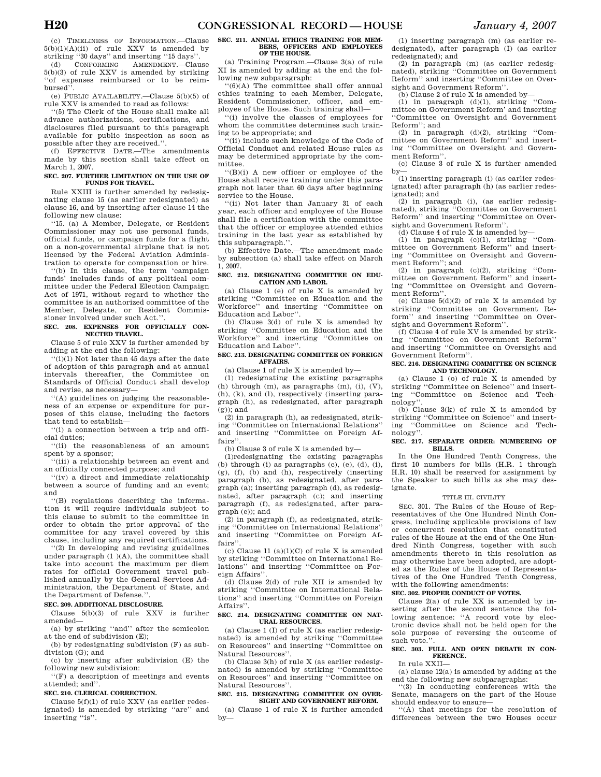(c) TIMELINESS OF INFORMATION.—Clause  $5(b)(1)(A)(ii)$  of rule XXV is amended by striking ''30 days'' and inserting ''15 days''.

(d) CONFORMING AMENDMENT.—Clause 5(b)(3) of rule XXV is amended by striking ''of expenses reimbursed or to be reimbursed'

(e) PUBLIC AVAILABILITY.—Clause 5(b)(5) of rule XXV is amended to read as follows:

''(5) The Clerk of the House shall make all advance authorizations, certifications, and disclosures filed pursuant to this paragraph available for public inspection as soon as possible after they are received.''.

(f) EFFECTIVE DATE.—The amendments made by this section shall take effect on March 1, 2007.

#### **SEC. 207. FURTHER LIMITATION ON THE USE OF FUNDS FOR TRAVEL.**

Rule XXIII is further amended by redesignating clause 15 (as earlier redesignated) as clause 16, and by inserting after clause 14 the following new clause:

''15. (a) A Member, Delegate, or Resident Commissioner may not use personal funds, official funds, or campaign funds for a flight on a non-governmental airplane that is not licensed by the Federal Aviation Administration to operate for compensation or hire.

''(b) In this clause, the term 'campaign funds' includes funds of any political committee under the Federal Election Campaign Act of 1971, without regard to whether the committee is an authorized committee of the Member, Delegate, or Resident Commissioner involved under such Act."

#### **SEC. 208. EXPENSES FOR OFFICIALLY CON-NECTED TRAVEL.**

Clause 5 of rule XXV is further amended by adding at the end the following:

''(i)(1) Not later than 45 days after the date of adoption of this paragraph and at annual intervals thereafter, the Committee on Standards of Official Conduct shall develop and revise, as necessary—

''(A) guidelines on judging the reasonableness of an expense or expenditure for purposes of this clause, including the factors that tend to establish—

''(i) a connection between a trip and official duties;

''(ii) the reasonableness of an amount spent by a sponsor;

''(iii) a relationship between an event and an officially connected purpose; and

''(iv) a direct and immediate relationship between a source of funding and an event; and

''(B) regulations describing the information it will require individuals subject to this clause to submit to the committee in order to obtain the prior approval of the committee for any travel covered by this clause, including any required certifications.

''(2) In developing and revising guidelines under paragraph (1 )(A), the committee shall take into account the maximum per diem rates for official Government travel published annually by the General Services Administration, the Department of State, and the Department of Defense.''.

#### **SEC. 209. ADDITIONAL DISCLOSURE.**

Clause 5(b)(3) of rule XXV is further amended—

(a) by striking ''and'' after the semicolon at the end of subdivision (E);

(b) by redesignating subdivision (F) as subdivision (G); and

(c) by inserting after subdivision (E) the following new subdivision:

''(F) a description of meetings and events attended; and''.

#### **SEC. 210. CLERICAL CORRECTION.**

Clause 5(f)(1) of rule XXV (as earlier redesignated) is amended by striking ''are'' and inserting "is".

#### **SEC. 211. ANNUAL ETHICS TRAINING FOR MEM-BERS, OFFICERS AND EMPLOYEES OF THE HOUSE.**

(a) Training Program.—Clause 3(a) of rule XI is amended by adding at the end the following new subparagraph:

''(6)(A) The committee shall offer annual ethics training to each Member, Delegate, Resident Commissioner, officer, and employee of the House. Such training shall—

''(i) involve the classes of employees for whom the committee determines such training to be appropriate; and

''(ii) include such knowledge of the Code of Official Conduct and related House rules as may be determined appropriate by the committee.

''(B)(i) A new officer or employee of the House shall receive training under this paragraph not later than 60 days after beginning service to the House.

''(ii) Not later than January 31 of each year, each officer and employee of the House shall file a certification with the committee that the officer or employee attended ethics training in the last year as established by this subparagraph.''.

(b) Effective Date.—The amendment made by subsection (a) shall take effect on March 1, 2007.

#### **SEC. 212. DESIGNATING COMMITTEE ON EDU-CATION AND LABOR.**

(a) Clause 1 (e) of rule X is amended by striking ''Committee on Education and the Workforce'' and inserting ''Committee on Education and Labor''.

(b) Clause 3(d) of rule X is amended by striking ''Committee on Education and the Workforce'' and inserting ''Committee on Education and Labor''.

#### **SEC. 213. DESIGNATING COMMITTEE ON FOREIGN AFFAIRS.**

(a) Clause 1 of rule X is amended by—

(1) redesignating the existing paragraphs  $(h)$  through  $(m)$ , as paragraphs  $(m)$ ,  $(i)$ ,  $(V)$ , (h), (k), and (l), respectively (inserting paragraph (h), as redesignated, after paragraph  $(g)$ ); and

(2) in paragraph (h), as redesignated, strik-<br>ing "Committee on International Relations" ing ''Committee on International Relations'' and inserting ''Committee on Foreign Affairs''.

(b) Clause 3 of rule X is amended by—

(1)redesignating the existing paragraphs  $(b)$  through  $(i)$  as paragraphs  $(c)$ ,  $(e)$ ,  $(d)$ ,  $(i)$ ,  $(g)$ ,  $(f)$ ,  $(b)$  and  $(h)$ , respectively (inserting paragraph (b), as redesignated, after paragraph (a); inserting paragraph (d), as redesignated, after paragraph (c); and inserting paragraph (f), as redesignated, after paragraph (e)); and

(2) in paragraph (f), as redesignated, striking ''Committee on International Relations'' and inserting ''Committee on Foreign Affairs''.

(c) Clause 11 (a)(1)(C) of rule X is amended by striking ''Committee on International Relations'' and inserting ''Committee on Foreign Affairs''.

(d) Clause 2(d) of rule XII is amended by striking ''Committee on International Relations'' and inserting ''Committee on Foreign Affairs''.

#### **SEC. 214. DESIGNATING COMMITTEE ON NAT-URAL RESOURCES.**

(a) Clause 1 (I) of rule X (as earlier redesignated) is amended by striking ''Committee on Resources'' and inserting ''Committee on Natural Resources''.

(b) Clause 3(h) of rule X (as earlier redesignated) is amended by striking ''Committee on Resources'' and inserting ''Committee on Natural Resources''.

#### **SEC. 215. DESIGNATING COMMITTEE ON OVER-SIGHT AND GOVERNMENT REFORM.**

(a) Clause 1 of rule X is further amended  $by-$ 

(1) inserting paragraph (m) (as earlier redesignated), after paragraph (I) (as earlier redesignated); and

(2) in paragraph (m) (as earlier redesignated), striking ''Committee on Government Reform'' and inserting ''Committee on Oversight and Government Reform''.

 $(b)$  Clause 2 of rule X is amended by-

(1) in paragraph (d)(1), striking ''Committee on Government Reform' and inserting ''Committee on Oversight and Government

Reform''; and (2) in paragraph (d)(2), striking ''Committee on Government Reform'' and inserting ''Committee on Oversight and Government Reform''.

(c) Clause 3 of rule X is further amended by—

(1) inserting paragraph (i) (as earlier redesignated) after paragraph (h) (as earlier redesignated); and

(2) in paragraph (i), (as earlier redesignated), striking ''Committee on Government Reform'' and inserting ''Committee on Oversight and Government Reform''.

(d) Clause 4 of rule X is amended by—

(1) in paragraph  $(c)(1)$ , striking "Committee on Government Reform'' and inserting ''Committee on Oversight and Government Reform''; and

(2) in paragraph (c)(2), striking ''Committee on Government Reform'' and inserting ''Committee on Oversight and Government Reform''.

(e) Clause  $5(d)(2)$  of rule X is amended by striking ''Committee on Government Reform'' and inserting ''Committee on Oversight and Government Reform''.

(f) Clause 4 of rule XV is amended by striking ''Committee on Government Reform'' and inserting ''Committee on Oversight and Government Reform''.

#### **SEC. 216. DESIGNATING COMMITTEE ON SCIENCE AND TECHNOLOGY.**

(a) Clause 1 (o) of rule X is amended by striking ''Committee on Science'' and inserting ''Committee on Science and Technology''.

(b) Clause 3(k) of rule X is amended by striking "Committee on Science" and insert-<br>ing "Committee on Science and Teching "Committee on Science and nology''.

#### **SEC. 217. SEPARATE ORDER: NUMBERING OF BILLS.**

In the One Hundred Tenth Congress, the first 10 numbers for bills (H.R. 1 through H.R. 10) shall be reserved for assignment by the Speaker to such bills as she may designate.

#### TITLE III. CIVILITY

SEC. 301. The Rules of the House of Representatives of the One Hundred Ninth Congress, including applicable provisions of law or concurrent resolution that constituted rules of the House at the end of the One Hundred Ninth Congress, together with such amendments thereto in this resolution as may otherwise have been adopted, are adopted as the Rules of the House of Representatives of the One Hundred Tenth Congress, with the following amendments:

#### **SEC. 302. PROPER CONDUCT OF VOTES.**

Clause 2(a) of rule XX is amended by inserting after the second sentence the following sentence: "A record vote by electronic device shall not be held open for the sole purpose of reversing the outcome of such vote."

#### **SEC. 303. FULL AND OPEN DEBATE IN CON-FERENCE.**

In rule XXII—

(a) clause 12(a) is amended by adding at the end the following new subparagraphs:

''(3) In conducting conferences with the Senate, managers on the part of the House should endeavor to ensure—

''(A) that meetings for the resolution of differences between the two Houses occur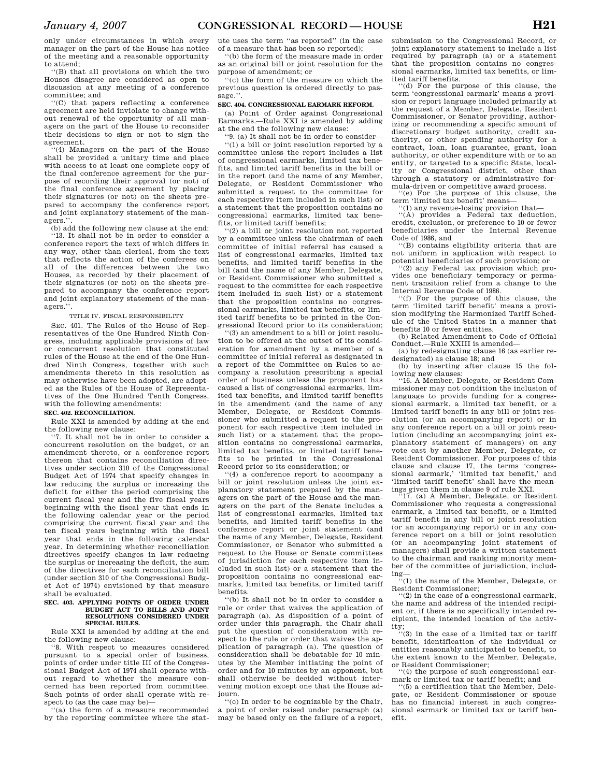only under circumstances in which every manager on the part of the House has notice of the meeting and a reasonable opportunity to attend;

''(B) that all provisions on which the two Houses disagree are considered as open to discussion at any meeting of a conference committee; and

''(C) that papers reflecting a conference agreement are held inviolate to change without renewal of the opportunity of all managers on the part of the House to reconsider their decisions to sign or not to sign the agreement.

''(4) Managers on the part of the House shall be provided a unitary time and place with access to at least one complete copy of the final conference agreement for the purpose of recording their approval (or not) of the final conference agreement by placing their signatures (or not) on the sheets prepared to accompany the conference report and joint explanatory statement of the managers.''.

(b) add the following new clause at the end: ''13. It shall not be in order to consider a conference report the text of which differs in any way, other than clerical, from the text that reflects the action of the conferees on all of the differences between the two Houses, as recorded by their placement of their signatures (or not) on the sheets prepared to accompany the conference report and joint explanatory statement of the managers.''.

#### TITLE IV. FISCAL RESPONSIBILITY

SEC. 401. The Rules of the House of Representatives of the One Hundred Ninth Congress, including applicable provisions of law or concurrent resolution that constituted rules of the House at the end of the One Hundred Ninth Congress, together with such amendments thereto in this resolution as may otherwise have been adopted, are adopted as the Rules of the House of Representatives of the One Hundred Tenth Congress, with the following amendments:

#### **SEC. 402. RECONCILIATION.**

Rule XXI is amended by adding at the end the following new clause:

''7. It shall not be in order to consider a concurrent resolution on the budget, or an amendment thereto, or a conference report thereon that contains reconciliation directives under section 310 of the Congressional Budget Act of 1974 that specify changes in law reducing the surplus or increasing the deficit for either the period comprising the current fiscal year and the five fiscal years beginning with the fiscal year that ends in the following calendar year or the period comprising the current fiscal year and the ten fiscal years beginning with the fiscal year that ends in the following calendar year. In determining whether reconciliation directives specify changes in law reducing the surplus or increasing the deficit, the sum of the directives for each reconciliation bill (under section 310 of the Congressional Budget Act of 1974) envisioned by that measure shall be evaluated.

#### **SEC. 403. APPLYING POINTS OF ORDER UNDER BUDGET ACT TO BILLS AND JOINT RESOLUTIONS CONSIDERED UNDER SPECIAL RULES.**

Rule XXI is amended by adding at the end the following new clause:

''8. With respect to measures considered pursuant to a special order of business, points of order under title III of the Congressional Budget Act of 1974 shall operate without regard to whether the measure concerned has been reported from committee. Such points of order shall operate with respect to (as the case may be)—

'(a) the form of a measure recommended by the reporting committee where the statute uses the term ''as reported'' (in the case of a measure that has been so reported);

''(b) the form of the measure made in order as an original bill or joint resolution for the purpose of amendment; or

''(c) the form of the measure on which the previous question is ordered directly to passage.''.

#### **SEC. 404. CONGRESSIONAL EARMARK REFORM.**

(a) Point of Order against Congressional Earmarks.—Rule XXI is amended by adding at the end the following new clause: ''9. (a) It shall not be in order to consider—

''(1) a bill or joint resolution reported by a committee unless the report includes a list of congressional earmarks, limited tax benefits, and limited tariff benefits in the bill or in the report (and the name of any Member, Delegate, or Resident Commissioner who submitted a request to the committee for each respective item included in such list) or a statement that the proposition contains no congressional earmarks, limited tax benefits, or limited tariff benefits;

 $(2)$  a bill or joint resolution not reported by a committee unless the chairman of each committee of initial referral has caused a list of congressional earmarks, limited tax benefits, and limited tariff benefits in the bill (and the name of any Member, Delegate, or Resident Commissioner who submitted a request to the committee for each respective item included in such list) or a statement that the proposition contains no congressional earmarks, limited tax benefits, or limited tariff benefits to be printed in the Congressional Record prior to its consideration;

''(3) an amendment to a bill or joint resolution to be offered at the outset of its consideration for amendment by a member of a committee of initial referral as designated in a report of the Committee on Rules to accompany a resolution prescribing a special order of business unless the proponent has caused a list of congressional earmarks, limited tax benefits, and limited tariff benefits in the amendment (and the name of any Member, Delegate, or Resident Commissioner who submitted a request to the proponent for each respective item included in such list) or a statement that the proposition contains no congressional earmarks, limited tax benefits, or limited tariff benefits to be printed in the Congressional Record prior to its consideration; or

''(4) a conference report to accompany a bill or joint resolution unless the joint explanatory statement prepared by the managers on the part of the House and the managers on the part of the Senate includes a list of congressional earmarks, limited tax benefits, and limited tariff benefits in the conference report or joint statement (and the name of any Member, Delegate, Resident Commissioner, or Senator who submitted a request to the House or Senate committees of jurisdiction for each respective item included in such list) or a statement that the proposition contains no congressional earmarks, limited tax benefits, or limited tariff benefits.

''(b) It shall not be in order to consider a rule or order that waives the application of paragraph (a). As disposition of a point of order under this paragraph, the Chair shall put the question of consideration with respect to the rule or order that waives the application of paragraph (a). The question of consideration shall be debatable for 10 minutes by the Member initiating the point of order and for 10 minutes by an opponent, but shall otherwise be decided without intervening motion except one that the House adjourn.

''(c) In order to be cognizable by the Chair, a point of order raised under paragraph (a) may be based only on the failure of a report,

submission to the Congressional Record, or joint explanatory statement to include a list required by paragraph (a) or a statement that the proposition contains no congressional earmarks, limited tax benefits, or limited tariff benefits.

 $'(d)$  For the purpose of this clause, the term 'congressional earmark' means a provision or report language included primarily at the request of a Member, Delegate, Resident Commissioner, or Senator providing, authorizing or recommending a specific amount of discretionary budget authority, credit authority, or other spending authority for a contract, loan, loan guarantee, grant, loan authority, or other expenditure with or to an entity, or targeted to a specific State, locality or Congressional district, other than through a statutory or administrative formula-driven or competitive award process.

''(e) For the purpose of this clause, the term 'limited tax benefit' means—

''(1) any revenue-losing provision that—

''(A) provides a Federal tax deduction, credit, exclusion, or preference to 10 or fewer beneficiaries under the Internal Revenue Code of 1986, and

''(B) contains eligibility criteria that are not uniform in application with respect to potential beneficiaries of such provision; or

''(2) any Federal tax provision which provides one beneficiary temporary or permanent transition relief from a change to the Internal Revenue Code of 1986.

''(f) For the purpose of this clause, the term 'limited tariff benefit' means a provision modifying the Harmonized Tariff Schedule of the United States in a manner that benefits 10 or fewer entities.

(b) Related Amendment to Code of Official Conduct.—Rule XXIII is amended—

(a) by redesignating clause 16 (as earlier redesignated) as clause 18; and

(b) by inserting after clause 15 the following new clauses:

''16. A Member, Delegate, or Resident Commissioner may not condition the inclusion of language to provide funding for a congressional earmark, a limited tax benefit, or a limited tariff benefit in any bill or joint resolution (or an accompanying report) or in any conference report on a bill or joint resolution (including an accompanying joint explanatory statement of managers) on any vote cast by another Member, Delegate, or Resident Commissioner. For purposes of this clause and clause 17, the terms 'congressional earmark,' 'limited tax benefit,' and 'limited tariff benefit' shall have the meanings given them in clause 9 of rule XXI.

''17. (a) A Member, Delegate, or Resident Commissioner who requests a congressional earmark, a limited tax benefit, or a limited tariff benefit in any bill or joint resolution (or an accompanying report) or in any conference report on a bill or joint resolution (or an accompanying joint statement of managers) shall provide a written statement to the chairman and ranking minority member of the committee of jurisdiction, including—

 $\tilde{f}'(1)$  the name of the Member, Delegate, or Resident Commissioner;

''(2) in the case of a congressional earmark, the name and address of the intended recipient or, if there is no specifically intended recipient, the intended location of the activity;

''(3) in the case of a limited tax or tariff benefit, identification of the individual or entities reasonably anticipated to benefit, to the extent known to the Member, Delegate, or Resident Commissioner;

''(4) the purpose of such congressional earmark or limited tax or tariff benefit; and

''(5) a certification that the Member, Delegate, or Resident Commissioner or spouse has no financial interest in such congressional earmark or limited tax or tariff benefit.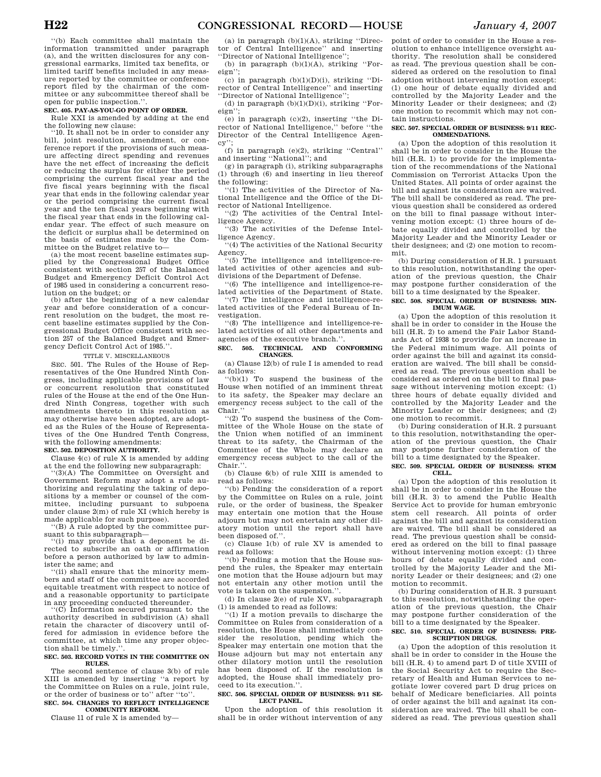''(b) Each committee shall maintain the information transmitted under paragraph (a), and the written disclosures for any congressional earmarks, limited tax benefits, or limited tariff benefits included in any measure reported by the committee or conference report filed by the chairman of the committee or any subcommittee thereof shall be open for public inspection.''.

#### **SEC. 405. PAY-AS-YOU-GO POINT OF ORDER.**

Rule XXI is amended by adding at the end the following new clause:

''10. It shall not be in order to consider any bill, joint resolution, amendment, or conference report if the provisions of such measure affecting direct spending and revenues have the net effect of increasing the deficit or reducing the surplus for either the period comprising the current fiscal year and the five fiscal years beginning with the fiscal year that ends in the following calendar year or the period comprising the current fiscal year and the ten fiscal years beginning with the fiscal year that ends in the following calendar year. The effect of such measure on the deficit or surplus shall be determined on the basis of estimates made by the Committee on the Budget relative to—

(a) the most recent baseline estimates supplied by the Congressional Budget Office consistent with section 257 of the Balanced Budget and Emergency Deficit Control Act of 1985 used in considering a concurrent resolution on the budget; or

(b) after the beginning of a new calendar year and before consideration of a concurrent resolution on the budget, the most recent baseline estimates supplied by the Congressional Budget Office consistent with section 257 of the Balanced Budget and Emergency Deficit Control Act of 1985.''.

#### TITLE V. MISCELLANEOUS

SEC. 501. The Rules of the House of Representatives of the One Hundred Ninth Congress, including applicable provisions of law or concurrent resolution that constituted rules of the House at the end of the One Hundred Ninth Congress, together with such amendments thereto in this resolution as may otherwise have been adopted, are adopted as the Rules of the House of Representatives of the One Hundred Tenth Congress, with the following amendments:

#### **SEC. 502. DEPOSITION AUTHORITY.**

Clause 4(c) of rule X is amended by adding at the end the following new subparagraph:

''(3)(A) The Committee on Oversight and Government Reform may adopt a rule authorizing and regulating the taking of depositions by a member or counsel of the committee, including pursuant to subpoena under clause 2(m) of rule XI (which hereby is made applicable for such purpose).

''(B) A rule adopted by the committee pursuant to this subparagraph—

''(i) may provide that a deponent be directed to subscribe an oath or affirmation before a person authorized by law to administer the same; and

(ii) shall ensure that the minority members and staff of the committee are accorded equitable treatment with respect to notice of and a reasonable opportunity to participate in any proceeding conducted thereunder.

''(C) Information secured pursuant to the authority described in subdivision (A) shall retain the character of discovery until offered for admission in evidence before the committee, at which time any proper objection shall be timely."

#### **SEC. 503. RECORD VOTES IN THE COMMITTEE ON RULES.**

The second sentence of clause 3(b) of rule XIII is amended by inserting ''a report by the Committee on Rules on a rule, joint rule, or the order of business or to" after "to" **SEC. 504. CHANGES TO REFLECT INTELLIGENCE** 

**COMMUNITY REFORM.** 

Clause 11 of rule X is amended by—

(a) in paragraph  $(b)(1)(A)$ , striking "Director of Central Intelligence'' and inserting ''Director of National Intelligence'';

(b) in paragraph  $(b)(1)(A)$ , striking "Foreign'

 $(c)$  in paragraph  $(b)(1)(D)(i)$ , striking "Director of Central Intelligence'' and inserting ''Director of National Intelligence'';

(d) in paragraph  $(b)(1)(D)(i)$ , striking "Foreign'

(e) in paragraph (c)(2), inserting ''the Director of National Intelligence,'' before ''the Director of the Central Intelligence Agency'';

 $(f)$  in paragraph  $(e)(2)$ , striking "Central" and inserting ''National''; and

(g) in paragraph (i), striking subparagraphs (1) through (6) and inserting in lieu thereof the following:

''(1) The activities of the Director of National Intelligence and the Office of the Director of National Intelligence.

''(2) The activities of the Central Intelligence Agency.

''(3) The activities of the Defense Intelligence Agency.

''(4) The activities of the National Security Agency.

''(5) The intelligence and intelligence-related activities of other agencies and subdivisions of the Department of Defense.

''(6) The intelligence and intelligence-related activities of the Department of State. ''(7) The intelligence and intelligence-re-

lated activities of the Federal Bureau of Investigation.

''(8) The intelligence and intelligence-related activities of all other departments and agencies of the executive branch.''.

#### **SEC. 505. TECHNICAL AND CONFORMING CHANGES.**

(a) Clause 12(b) of rule I is amended to read as follows:

''(b)(1) To suspend the business of the House when notified of an imminent threat to its safety, the Speaker may declare an emergency recess subject to the call of the Chair.''

''(2) To suspend the business of the Committee of the Whole House on the state of the Union when notified of an imminent threat to its safety, the Chairman of the Committee of the Whole may declare an emergency recess subject to the call of the Chair.''.

(b) Clause 6(b) of rule XIII is amended to read as follows:

''(b) Pending the consideration of a report by the Committee on Rules on a rule, joint rule, or the order of business, the Speaker may entertain one motion that the House adjourn but may not entertain any other dilatory motion until the report shall have been disposed of.''.

(c) Clause 1(b) of rule XV is amended to read as follows:

''(b) Pending a motion that the House suspend the rules, the Speaker may entertain one motion that the House adjourn but may not entertain any other motion until the vote is taken on the suspension.''.

(d) In clause 2(e) of rule XV, subparagraph (1) is amended to read as follows:

''(1) If a motion prevails to discharge the Committee on Rules from consideration of a resolution, the House shall immediately consider the resolution, pending which the Speaker may entertain one motion that the House adjourn but may not entertain any other dilatory motion until the resolution has been disposed of. If the resolution is adopted, the House shall immediately proceed to its execution.''.

#### **SEC. 506. SPECIAL ORDER OF BUSINESS: 9/11 SE-LECT PANEL.**

Upon the adoption of this resolution it shall be in order without intervention of any

point of order to consider in the House a resolution to enhance intelligence oversight authority. The resolution shall be considered as read. The previous question shall be considered as ordered on the resolution to final adoption without intervening motion except: (1) one hour of debate equally divided and controlled by the Majority Leader and the Minority Leader or their designees; and (2) one motion to recommit which may not contain instructions.

#### **SEC. 507. SPECIAL ORDER OF BUSINESS: 9/11 REC-OMMENDATIONS.**

(a) Upon the adoption of this resolution it shall be in order to consider in the House the bill (H.R. 1) to provide for the implementation of the recommendations of the National Commission on Terrorist Attacks Upon the United States. All points of order against the bill and against its consideration are waived. The bill shall be considered as read. The previous question shall be considered as ordered on the bill to final passage without intervening motion except: (1) three hours of debate equally divided and controlled by the Majority Leader and the Minority Leader or their designees; and (2) one motion to recommit.

(b) During consideration of H.R. 1 pursuant to this resolution, notwithstanding the operation of the previous question, the Chair may postpone further consideration of the bill to a time designated by the Speaker. **SEC. 508. SPECIAL ORDER OF BUSINESS: MIN-**

### **IMUM WAGE.**

(a) Upon the adoption of this resolution it shall be in order to consider in the House the bill (H.R. 2) to amend the Fair Labor Standards Act of 1938 to provide for an increase in the Federal minimum wage. All points of order against the bill and against its consideration are waived. The bill shall be considered as read. The previous question shall be considered as ordered on the bill to final passage without intervening motion except:  $(1)$ three hours of debate equally divided and controlled by the Majority Leader and the Minority Leader or their designees; and (2) one motion to recommit.

(b) During consideration of H.R. 2 pursuant to this resolution, notwithstanding the operation of the previous question, the Chair may postpone further consideration of the bill to a time designated by the Speaker.

#### **SEC. 509. SPECIAL ORDER OF BUSINESS: STEM CELL.**

(a) Upon the adoption of this resolution it shall be in order to consider in the House the bill (H.R. 3) to amend the Public Health Service Act to provide for human embryonic stem cell research. All points of order against the bill and against its consideration are waived. The bill shall be considered as read. The previous question shall be considered as ordered on the bill to final passage without intervening motion except: (1) three hours of debate equally divided and controlled by the Majority Leader and the Minority Leader or their designees; and (2) one motion to recommit.

(b) During consideration of H.R. 3 pursuant to this resolution, notwithstanding the operation of the previous question, the Chair may postpone further consideration of the bill to a time designated by the Speaker.

#### **SEC. 510. SPECIAL ORDER OF BUSINESS: PRE-SCRIPTION DRUGS.**

(a) Upon the adoption of this resolution it shall be in order to consider in the House the bill (H.R. 4) to amend part D of title XVIII of the Social Security Act to require the Secretary of Health and Human Services to negotiate lower covered part D drug prices on behalf of Medicare beneficiaries. All points of order against the bill and against its consideration are waived. The bill shall be considered as read. The previous question shall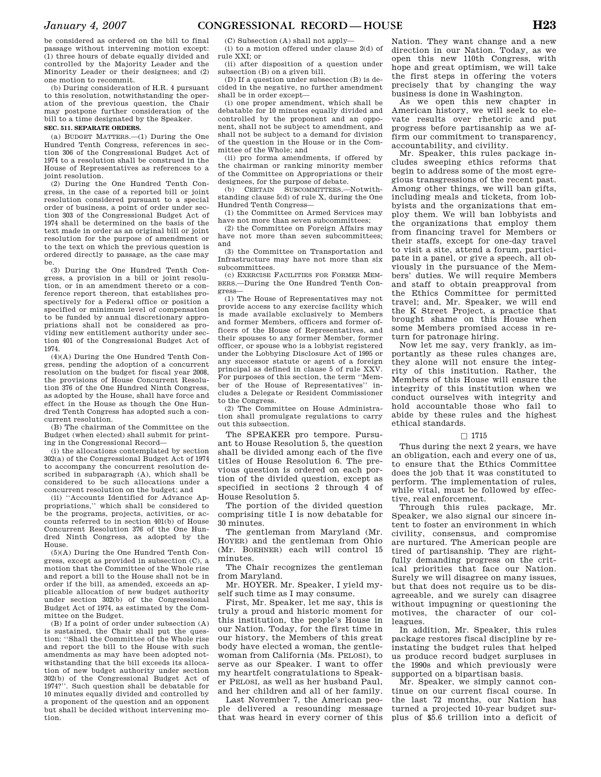be considered as ordered on the bill to final passage without intervening motion except: (1) three hours of debate equally divided and controlled by the Majority Leader and the Minority Leader or their designees; and (2) one motion to recommit.

(b) During consideration of H.R. 4 pursuant to this resolution, notwithstanding the operation of the previous question, the Chair may postpone further consideration of the bill to a time designated by the Speaker. **SEC. 511. SEPARATE ORDERS.** 

(a) BUDGET MATTERS.—(1) During the One Hundred Tenth Congress, references in section 306 of the Congressional Budget Act of 1974 to a resolution shall be construed in the House of Representatives as references to a joint resolution.

(2) During the One Hundred Tenth Congress, in the case of a reported bill or joint resolution considered pursuant to a special order of business, a point of order under section 303 of the Congressional Budget Act of 1974 shall be determined on the basis of the text made in order as an original bill or joint resolution for the purpose of amendment or to the text on which the previous question is ordered directly to passage, as the case may be.

(3) During the One Hundred Tenth Congress, a provision in a bill or joint resolution, or in an amendment thereto or a conference report thereon, that establishes prospectively for a Federal office or position a specified or minimum level of compensation to be funded by annual discretionary appropriations shall not be considered as providing new entitlement authority under section 401 of the Congressional Budget Act of 1974.

(4)(A) During the One Hundred Tenth Congress, pending the adoption of a concurrent resolution on the budget for fiscal year 2008, the provisions of House Concurrent Resolution 376 of the One Hundred Ninth Congress, as adopted by the House, shall have force and effect in the House as though the One Hundred Tenth Congress has adopted such a concurrent resolution.

(B) The chairman of the Committee on the Budget (when elected) shall submit for printing in the Congressional Record—

(i) the allocations contemplated by section 302(a) of the Congressional Budget Act of 1974 to accompany the concurrent resolution described in subparagraph (A), which shall be considered to be such allocations under a concurrent resolution on the budget; and

(ii) ''Accounts Identified for Advance Appropriations,'' which shall be considered to be the programs, projects, activities, or accounts referred to in section 401(b) of House Concurrent Resolution 376 of the One Hundred Ninth Congress, as adopted by the House.

(5)(A) During the One Hundred Tenth Congress, except as provided in subsection (C), a motion that the Committee of the Whole rise and report a bill to the House shall not be in order if the bill, as amended, exceeds an applicable allocation of new budget authority under section 302(b) of the Congressional Budget Act of 1974, as estimated by the Committee on the Budget.

(B) If a point of order under subsection (A) is sustained, the Chair shall put the question: ''Shall the Committee of the Whole rise and report the bill to the House with such amendments as may have been adopted notwithstanding that the bill exceeds its allocation of new budget authority under section 302(b) of the Congressional Budget Act of 1974?''. Such question shall be debatable for 10 minutes equally divided and controlled by a proponent of the question and an opponent but shall be decided without intervening motion.

(C) Subsection (A) shall not apply—

(i) to a motion offered under clause 2(d) of rule XXI; or

(ii) after disposition of a question under subsection (B) on a given bill.

(D) If a question under subsection (B) is decided in the negative, no further amendment shall be in order except—

(i) one proper amendment, which shall be debatable for 10 minutes equally divided and controlled by the proponent and an opponent, shall not be subject to amendment, and shall not be subject to a demand for division of the question in the House or in the Committee of the Whole; and

(ii) pro forma amendments, if offered by the chairman or ranking minority member of the Committee on Appropriations or their designees, for the purpose of debate.

(b) CERTAIN SUBCOMMITTEES.—Notwithstanding clause 5(d) of rule X, during the One Hundred Tenth Congress—

(1) the Committee on Armed Services may have not more than seven subcommittees;

(2) the Committee on Foreign Affairs may have not more than seven subcommittees: and

(3) the Committee on Transportation and Infrastructure may have not more than six subcommittees.

(c) EXERCISE FACILITIES FOR FORMER MEM-BERS.—During the One Hundred Tenth Congress—

(1) The House of Representatives may not provide access to any exercise facility which is made available exclusively to Members and former Members, officers and former officers of the House of Representatives, and their spouses to any former Member, former officer, or spouse who is a lobbyist registered under the Lobbying Disclosure Act of 1995 or any successor statute or agent of a foreign principal as defined in clause 5 of rule XXV. For purposes of this section, the term ''Member of the House of Representatives'' includes a Delegate or Resident Commissioner to the Congress.

(2) The Committee on House Administration shall promulgate regulations to carry out this subsection.

The SPEAKER pro tempore. Pursuant to House Resolution 5, the question shall be divided among each of the five titles of House Resolution 6. The previous question is ordered on each portion of the divided question, except as specified in sections 2 through 4 of House Resolution 5.

The portion of the divided question comprising title I is now debatable for 30 minutes.

The gentleman from Maryland (Mr. HOYER) and the gentleman from Ohio (Mr. BOEHNER) each will control 15 minutes.

The Chair recognizes the gentleman from Maryland.

Mr. HOYER. Mr. Speaker, I yield myself such time as I may consume.

First, Mr. Speaker, let me say, this is truly a proud and historic moment for this institution, the people's House in our Nation. Today, for the first time in our history, the Members of this great body have elected a woman, the gentlewoman from California (Ms. PELOSI), to serve as our Speaker. I want to offer my heartfelt congratulations to Speaker PELOSI, as well as her husband Paul, and her children and all of her family.

Last November 7, the American people delivered a resounding message that was heard in every corner of this

Nation. They want change and a new direction in our Nation. Today, as we open this new 110th Congress, with hope and great optimism, we will take the first steps in offering the voters precisely that by changing the way business is done in Washington.

As we open this new chapter in American history, we will seek to elevate results over rhetoric and put progress before partisanship as we affirm our commitment to transparency, accountability, and civility.

Mr. Speaker, this rules package includes sweeping ethics reforms that begin to address some of the most egregious transgressions of the recent past. Among other things, we will ban gifts, including meals and tickets, from lobbyists and the organizations that employ them. We will ban lobbyists and the organizations that employ them from financing travel for Members or their staffs, except for one-day travel to visit a site, attend a forum, participate in a panel, or give a speech, all obviously in the pursuance of the Members' duties. We will require Members and staff to obtain preapproval from the Ethics Committee for permitted travel; and, Mr. Speaker, we will end the K Street Project, a practice that brought shame on this House when some Members promised access in return for patronage hiring.

Now let me say, very frankly, as importantly as these rules changes are, they alone will not ensure the integrity of this institution. Rather, the Members of this House will ensure the integrity of this institution when we conduct ourselves with integrity and hold accountable those who fail to abide by these rules and the highest ethical standards.

#### $\Box$  1715

Thus during the next 2 years, we have an obligation, each and every one of us, to ensure that the Ethics Committee does the job that it was constituted to perform. The implementation of rules, while vital, must be followed by effective, real enforcement.

Through this rules package, Mr. Speaker, we also signal our sincere intent to foster an environment in which civility, consensus, and compromise are nurtured. The American people are tired of partisanship. They are rightfully demanding progress on the critical priorities that face our Nation. Surely we will disagree on many issues, but that does not require us to be disagreeable, and we surely can disagree without impugning or questioning the motives, the character of our colleagues.

In addition, Mr. Speaker, this rules package restores fiscal discipline by reinstating the budget rules that helped us produce record budget surpluses in the 1990s and which previously were supported on a bipartisan basis.

Mr. Speaker, we simply cannot continue on our current fiscal course. In the last 72 months, our Nation has turned a projected 10-year budget surplus of \$5.6 trillion into a deficit of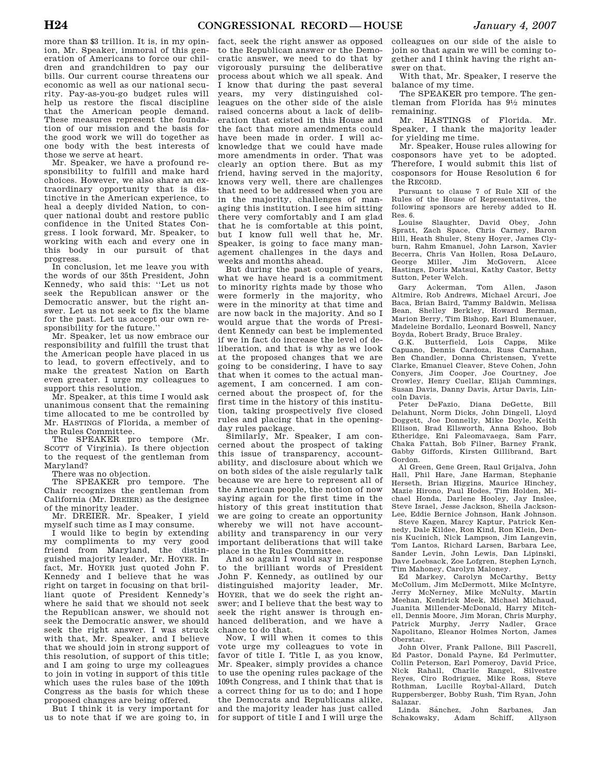more than \$3 trillion. It is, in my opinion, Mr. Speaker, immoral of this generation of Americans to force our children and grandchildren to pay our bills. Our current course threatens our economic as well as our national security. Pay-as-you-go budget rules will help us restore the fiscal discipline that the American people demand. These measures represent the foundation of our mission and the basis for the good work we will do together as one body with the best interests of those we serve at heart.

Mr. Speaker, we have a profound responsibility to fulfill and make hard choices. However, we also share an extraordinary opportunity that is distinctive in the American experience, to heal a deeply divided Nation, to conquer national doubt and restore public confidence in the United States Congress. I look forward, Mr. Speaker, to working with each and every one in this body in our pursuit of that progress.

In conclusion, let me leave you with the words of our 35th President, John Kennedy, who said this: ''Let us not seek the Republican answer or the Democratic answer, but the right answer. Let us not seek to fix the blame for the past. Let us accept our own responsibility for the future.''

Mr. Speaker, let us now embrace our responsibility and fulfill the trust that the American people have placed in us to lead, to govern effectively, and to make the greatest Nation on Earth even greater. I urge my colleagues to support this resolution.

Mr. Speaker, at this time I would ask unanimous consent that the remaining time allocated to me be controlled by Mr. HASTINGS of Florida, a member of the Rules Committee.

The SPEAKER pro tempore (Mr. SCOTT of Virginia). Is there objection to the request of the gentleman from Maryland?

There was no objection.

The SPEAKER pro tempore. The Chair recognizes the gentleman from California (Mr. DREIER) as the designee of the minority leader.

Mr. DREIER. Mr. Speaker, I yield myself such time as I may consume.

I would like to begin by extending my compliments to my very good friend from Maryland, the distinguished majority leader, Mr. HOYER. In fact, Mr. HOYER just quoted John F. Kennedy and I believe that he was right on target in focusing on that brilliant quote of President Kennedy's where he said that we should not seek the Republican answer, we should not seek the Democratic answer, we should seek the right answer. I was struck with that, Mr. Speaker, and I believe that we should join in strong support of this resolution, of support of this title; and I am going to urge my colleagues to join in voting in support of this title which uses the rules base of the 109th Congress as the basis for which these proposed changes are being offered.

But I think it is very important for us to note that if we are going to, in

fact, seek the right answer as opposed to the Republican answer or the Democratic answer, we need to do that by vigorously pursuing the deliberative process about which we all speak. And I know that during the past several years, my very distinguished colleagues on the other side of the aisle raised concerns about a lack of deliberation that existed in this House and the fact that more amendments could have been made in order. I will acknowledge that we could have made more amendments in order. That was clearly an option there. But as my friend, having served in the majority, knows very well, there are challenges that need to be addressed when you are in the majority, challenges of managing this institution. I see him sitting there very comfortably and I am glad that he is comfortable at this point, but I know full well that he, Mr. Speaker, is going to face many management challenges in the days and weeks and months ahead.

But during the past couple of years, what we have heard is a commitment to minority rights made by those who were formerly in the majority, who were in the minority at that time and are now back in the majority. And so I would argue that the words of President Kennedy can best be implemented if we in fact do increase the level of deliberation, and that is why as we look at the proposed changes that we are going to be considering, I have to say that when it comes to the actual management, I am concerned. I am concerned about the prospect of, for the first time in the history of this institution, taking prospectively five closed rules and placing that in the openingday rules package.

Similarly, Mr. Speaker, I am concerned about the prospect of taking this issue of transparency, accountability, and disclosure about which we on both sides of the aisle regularly talk because we are here to represent all of the American people, the notion of now saying again for the first time in the history of this great institution that we are going to create an opportunity whereby we will not have accountability and transparency in our very important deliberations that will take place in the Rules Committee.

And so again I would say in response to the brilliant words of President John F. Kennedy, as outlined by our distinguished majority leader, Mr. HOYER, that we do seek the right answer; and I believe that the best way to seek the right answer is through enhanced deliberation, and we have a chance to do that.

Now, I will when it comes to this vote urge my colleagues to vote in favor of title I. Title I, as you know, Mr. Speaker, simply provides a chance to use the opening rules package of the 109th Congress, and I think that that is a correct thing for us to do; and I hope the Democrats and Republicans alike, and the majority leader has just called for support of title I and I will urge the

colleagues on our side of the aisle to join so that again we will be coming together and I think having the right answer on that.

With that, Mr. Speaker, I reserve the balance of my time.

The SPEAKER pro tempore. The gentleman from Florida has 91⁄2 minutes remaining.

Mr. HASTINGS of Florida. Mr. Speaker, I thank the majority leader for yielding me time.

Mr. Speaker, House rules allowing for cosponsors have yet to be adopted. Therefore, I would submit this list of cosponsors for House Resolution 6 for the RECORD.

Pursuant to clause 7 of Rule XII of the Rules of the House of Representatives, the following sponsors are hereby added to H. Res. 6.

Louise Slaughter, David Obey, John Spratt, Zach Space, Chris Carney, Baron Hill, Heath Shuler, Steny Hoyer, James Clyburn, Rahm Emanuel, John Larson, Xavier Becerra, Chris Van Hollen, Rosa DeLauro, George Miller, Jim McGovern, Alcee Hastings, Doris Matsui, Kathy Castor, Betty Sutton, Peter Welch.

Gary Ackerman, Tom Allen, Jason Altmire, Rob Andrews, Michael Arcuri, Joe Baca, Brian Baird, Tammy Baldwin, Melissa Bean, Shelley Berkley, Howard Berman, Marion Berry, Tim Bishop, Earl Blumenauer, Madeleine Bordallo, Leonard Boswell, Nancy Boyda, Robert Brady, Bruce Braley.

G.K. Butterfield, Lois Capps, Mike Capuano, Dennis Cardoza, Russ Carnahan, Ben Chandler, Donna Christensen, Yvette Clarke, Emanuel Cleaver, Steve Cohen, John Conyers, Jim Cooper, Joe Courtney, Joe Crowley, Henry Cuellar, Elijah Cummings, Susan Davis, Danny Davis, Artur Davis, Lincoln Davis.<br>Peter DeFazio,

Diana DeGette, Bill Delahunt, Norm Dicks, John Dingell, Lloyd Doggett, Joe Donnelly, Mike Doyle, Keith Ellison, Brad Ellsworth, Anna Eshoo, Bob Etheridge, Eni Faleomavaega, Sam Farr, Chaka Fattah, Bob Filner, Barney Frank, Gabby Giffords, Kirsten Gillibrand, Bart Gordon.

Al Green, Gene Green, Raul Grijalva, John Hall, Phil Hare, Jane Harman, Stephanie Herseth, Brian Higgins, Maurice Hinchey, Mazie Hirono, Paul Hodes, Tim Holden, Michael Honda, Darlene Hooley, Jay Inslee, Steve Israel, Jesse Jackson, Sheila Jackson-Lee, Eddie Bernice Johnson, Hank Johnson.

Steve Kagen, Marcy Kaptur, Patrick Kennedy, Dale Kildee, Ron Kind, Ron Klein, Dennis Kucinich, Nick Lampson, Jim Langevin, Tom Lantos, Richard Larsen, Barbara Lee, Sander Levin, John Lewis, Dan Lipinski, Dave Loebsack, Zoe Lofgren, Stephen Lynch, Tim Mahoney, Carolyn Maloney.

Ed Markey, Carolyn McCarthy, Betty McCollum, Jim McDermott, Mike McIntyre, Jerry McNerney, Mike McNulty, Martin Meehan, Kendrick Meek, Michael Michaud, Juanita Millender-McDonald, Harry Mitchell, Dennis Moore, Jim Moran, Chris Murphy, Patrick Murphy, Jerry Nadler, Grace Napolitano, Eleanor Holmes Norton, James Oberstar.

John Olver, Frank Pallone, Bill Pascrell, Ed Pastor, Donald Payne, Ed Perlmutter, Collin Peterson, Earl Pomeroy, David Price, Nick Rahall, Charlie Rangel, Silvestre Reyes, Ciro Rodriguez, Mike Ross, Steve Rothman, Lucille Roybal-Allard, Dutch Ruppersberger, Bobby Rush, Tim Ryan, John Salazar.

Sánchez, John Sarbanes, Jan<br>ky, Adam Schiff, Allyson Schakowsky, Adam Schiff,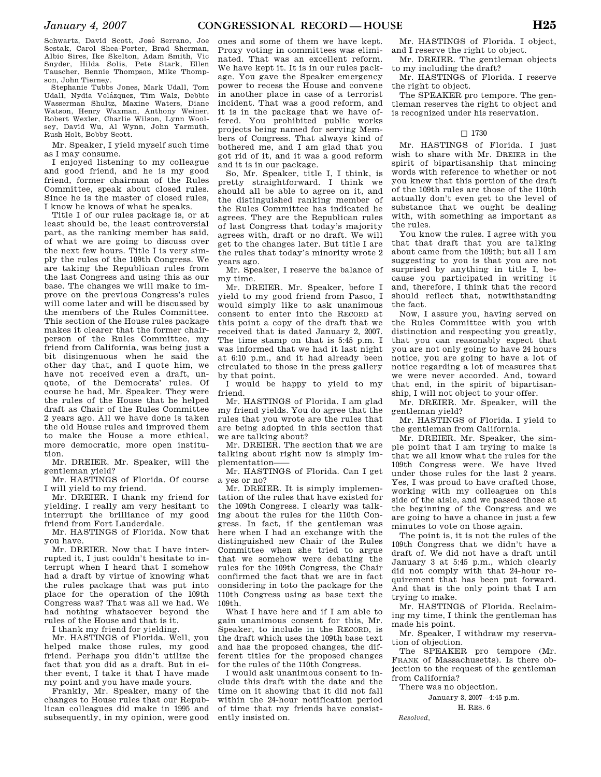Schwartz, David Scott, Jose´ Serrano, Joe Sestak, Carol Shea-Porter, Brad Sherman, Albio Sires, Ike Skelton, Adam Smith, Vic Snyder, Hilda Solis, Pete Stark, Ellen Tauscher, Bennie Thompson, Mike Thompson, John Tierney.

Stephanie Tubbs Jones, Mark Udall, Tom Udall, Nydia Velázquez, Tim Walz, Debbie Wasserman Shultz, Maxine Waters, Diane Watson, Henry Waxman, Anthony Weiner, Robert Wexler, Charlie Wilson, Lynn Woolsey, David Wu, Al Wynn, John Yarmuth, Rush Holt, Bobby Scott.

Mr. Speaker, I yield myself such time as I may consume.

I enjoyed listening to my colleague and good friend, and he is my good friend, former chairman of the Rules Committee, speak about closed rules. Since he is the master of closed rules, I know he knows of what he speaks.

Title I of our rules package is, or at least should be, the least controversial part, as the ranking member has said, of what we are going to discuss over the next few hours. Title I is very simply the rules of the 109th Congress. We are taking the Republican rules from the last Congress and using this as our base. The changes we will make to improve on the previous Congress's rules will come later and will be discussed by the members of the Rules Committee. This section of the House rules package makes it clearer that the former chairperson of the Rules Committee, my friend from California, was being just a bit disingenuous when he said the other day that, and I quote him, we have not received even a draft, unquote, of the Democrats' rules. Of course he had, Mr. Speaker. They were the rules of the House that he helped draft as Chair of the Rules Committee 2 years ago. All we have done is taken the old House rules and improved them to make the House a more ethical, more democratic, more open institution.

Mr. DREIER. Mr. Speaker, will the gentleman yield?

Mr. HASTINGS of Florida. Of course I will yield to my friend.

Mr. DREIER. I thank my friend for yielding. I really am very hesitant to interrupt the brilliance of my good friend from Fort Lauderdale.

Mr. HASTINGS of Florida. Now that you have.

Mr. DREIER. Now that I have interrupted it, I just couldn't hesitate to interrupt when I heard that I somehow had a draft by virtue of knowing what the rules package that was put into place for the operation of the 109th Congress was? That was all we had. We had nothing whatsoever beyond the rules of the House and that is it.

I thank my friend for yielding.

Mr. HASTINGS of Florida. Well, you helped make those rules, my good friend. Perhaps you didn't utilize the fact that you did as a draft. But in either event, I take it that I have made my point and you have made yours.

Frankly, Mr. Speaker, many of the changes to House rules that our Republican colleagues did make in 1995 and subsequently, in my opinion, were good

ones and some of them we have kept. Proxy voting in committees was eliminated. That was an excellent reform. We have kept it. It is in our rules package. You gave the Speaker emergency power to recess the House and convene in another place in case of a terrorist incident. That was a good reform, and it is in the package that we have offered. You prohibited public works projects being named for serving Members of Congress. That always kind of bothered me, and I am glad that you got rid of it, and it was a good reform and it is in our package.

So, Mr. Speaker, title I, I think, is pretty straightforward. I think we should all be able to agree on it, and the distinguished ranking member of the Rules Committee has indicated he agrees. They are the Republican rules of last Congress that today's majority agrees with, draft or no draft. We will get to the changes later. But title I are the rules that today's minority wrote 2 years ago.

Mr. Speaker, I reserve the balance of my time.

Mr. DREIER. Mr. Speaker, before I yield to my good friend from Pasco, I would simply like to ask unanimous consent to enter into the RECORD at this point a copy of the draft that we received that is dated January 2, 2007. The time stamp on that is 5:45 p.m. I was informed that we had it last night at 6:10 p.m., and it had already been circulated to those in the press gallery by that point.

I would be happy to yield to my friend.

Mr. HASTINGS of Florida. I am glad my friend yields. You do agree that the rules that you wrote are the rules that are being adopted in this section that we are talking about?

Mr. DREIER. The section that we are talking about right now is simply implementation——

Mr. HASTINGS of Florida. Can I get a yes or no?

Mr. DREIER. It is simply implementation of the rules that have existed for the 109th Congress. I clearly was talking about the rules for the 110th Congress. In fact, if the gentleman was here when I had an exchange with the distinguished new Chair of the Rules Committee when she tried to argue that we somehow were debating the rules for the 109th Congress, the Chair confirmed the fact that we are in fact considering in toto the package for the 110th Congress using as base text the 109th.

What I have here and if I am able to gain unanimous consent for this, Mr. Speaker, to include in the RECORD, is the draft which uses the 109th base text and has the proposed changes, the different titles for the proposed changes for the rules of the 110th Congress.

I would ask unanimous consent to include this draft with the date and the time on it showing that it did not fall within the 24-hour notification period of time that my friends have consistently insisted on.

Mr. HASTINGS of Florida. I object, and I reserve the right to object.

Mr. DREIER. The gentleman objects to my including the draft?

Mr. HASTINGS of Florida. I reserve the right to object.

The SPEAKER pro tempore. The gentleman reserves the right to object and is recognized under his reservation.

#### $\Box$  1730

Mr. HASTINGS of Florida. I just wish to share with Mr. DREIER in the spirit of bipartisanship that mincing words with reference to whether or not you knew that this portion of the draft of the 109th rules are those of the 110th actually don't even get to the level of substance that we ought be dealing with, with something as important as the rules.

You know the rules. I agree with you that that draft that you are talking about came from the 109th; but all I am suggesting to you is that you are not surprised by anything in title I, because you participated in writing it and, therefore, I think that the record should reflect that, notwithstanding the fact.

Now, I assure you, having served on the Rules Committee with you with distinction and respecting you greatly, that you can reasonably expect that you are not only going to have 24 hours notice, you are going to have a lot of notice regarding a lot of measures that we were never accorded. And, toward that end, in the spirit of bipartisanship, I will not object to your offer.

Mr. DREIER. Mr. Speaker, will the gentleman yield?

Mr. HASTINGS of Florida. I yield to the gentleman from California.

Mr. DREIER. Mr. Speaker, the simple point that I am trying to make is that we all know what the rules for the 109th Congress were. We have lived under those rules for the last 2 years. Yes, I was proud to have crafted those, working with my colleagues on this side of the aisle, and we passed those at the beginning of the Congress and we are going to have a chance in just a few minutes to vote on those again.

The point is, it is not the rules of the 109th Congress that we didn't have a draft of. We did not have a draft until January 3 at 5:45 p.m., which clearly did not comply with that 24-hour requirement that has been put forward. And that is the only point that I am trying to make.

Mr. HASTINGS of Florida. Reclaiming my time, I think the gentleman has made his point.

Mr. Speaker, I withdraw my reservation of objection.

The SPEAKER pro tempore (Mr. FRANK of Massachusetts). Is there objection to the request of the gentleman from California?

There was no objection.

January 3, 2007—4:45 p.m. H. RES. 6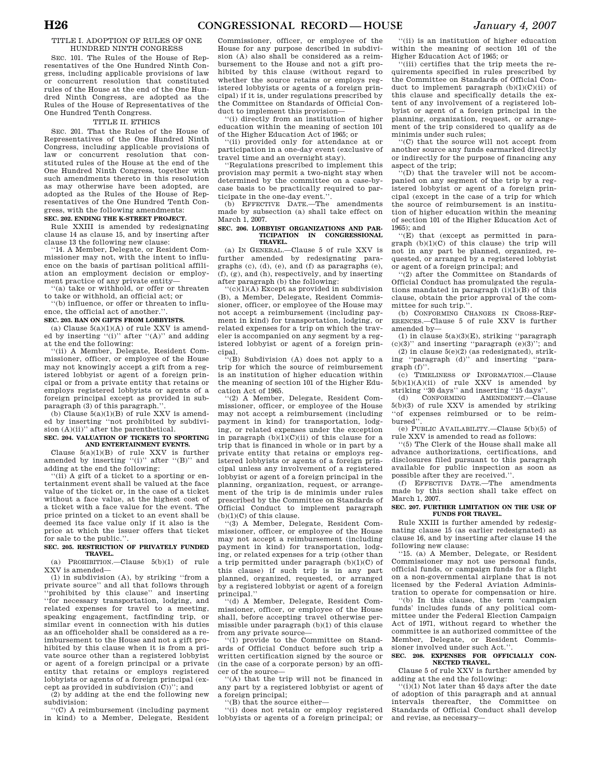#### TITLE I. ADOPTION OF RULES OF ONE HUNDRED NINTH CONGRESS

SEC. 101. The Rules of the House of Representatives of the One Hundred Ninth Congress, including applicable provisions of law or concurrent resolution that constituted rules of the House at the end of the One Hundred Ninth Congress, are adopted as the Rules of the House of Representatives of the One Hundred Tenth Congress.

#### TITLE II. ETHICS

SEC. 201. That the Rules of the House of Representatives of the One Hundred Ninth Congress, including applicable provisions of law or concurrent resolution that constituted rules of the House at the end of the One Hundred Ninth Congress, together with such amendments thereto in this resolution as may otherwise have been adopted, are adopted as the Rules of the House of Representatives of the One Hundred Tenth Congress, with the following amendments:

#### **SEC. 202. ENDING THE K-STREET PROJECT.**

Rule XXIII is amended by redesignating clause 14 as clause 15, and by inserting after clause 13 the following new clause:

'14. A Member, Delegate, or Resident Commissioner may not, with the intent to influence on the basis of partisan political affiliation an employment decision or employment practice of any private entity—

'(a) take or withhold, or offer or threaten to take or withhold, an official act; or

''(b) influence, or offer or threaten to influence, the official act of another."

#### **SEC. 203. BAN ON GIFTS FROM LOBBYISTS.**

(a) Clause  $5(a)(1)(A)$  of rule XXV is amended by inserting "(i)" after "(A)" and adding at the end the following:

''(ii) A Member, Delegate, Resident Commissioner, officer, or employee of the House may not knowingly accept a gift from a registered lobbyist or agent of a foreign principal or from a private entity that retains or employs registered lobbyists or agents of a foreign principal except as provided in subparagraph (3) of this paragraph."

(b) Clause  $5(a)(1)(B)$  of rule XXV is amended by inserting ''not prohibited by subdivision (A)(ii)'' after the parenthetical.

#### **SEC. 204. VALUATION OF TICKETS TO SPORTING AND ENTERTAINMENT EVENTS.**

Clause  $5(a)(1)(B)$  of rule XXV is further amended by inserting ''(i)'' after ''(B)'' and adding at the end the following:

''(ii) A gift of a ticket to a sporting or entertainment event shall be valued at the face value of the ticket or, in the case of a ticket without a face value, at the highest cost of a ticket with a face value for the event. The price printed on a ticket to an event shall be deemed its face value only if it also is the price at which the issuer offers that ticket for sale to the public."

#### **SEC. 205. RESTRICTION OF PRIVATELY FUNDED TRAVEL.**

(a) PROHIBITION.—Clause 5(b)(1) of rule XXV is amended—

(1) in subdivision (A), by striking ''from a private source'' and all that follows through 'prohibited by this clause'' and inserting ''for necessary transportation, lodging, and related expenses for travel to a meeting, speaking engagement, factfinding trip, or similar event in connection with his duties as an officeholder shall be considered as a reimbursement to the House and not a gift prohibited by this clause when it is from a private source other than a registered lobbyist or agent of a foreign principal or a private entity that retains or employs registered lobbyists or agents of a foreign principal (except as provided in subdivision (C))''; and

(2) by adding at the end the following new subdivision:

''(C) A reimbursement (including payment in kind) to a Member, Delegate, Resident

Commissioner, officer, or employee of the House for any purpose described in subdivision (A) also shall be considered as a reimbursement to the House and not a gift prohibited by this clause (without regard to whether the source retains or employs registered lobbyists or agents of a foreign principal) if it is, under regulations prescribed by the Committee on Standards of Official Conduct to implement this provision—

(i) directly from an institution of higher education within the meaning of section 101 of the Higher Education Act of 1965; or

''(ii) provided only for attendance at or participation in a one-day event (exclusive of travel time and an overnight stay).

''Regulations prescribed to implement this provision may permit a two-night stay when determined by the committee on a case-bycase basis to be practically required to participate in the one-day event.''.

(b) EFFECTIVE DATE.—The amendments made by subsection (a) shall take effect on March 1, 2007.

#### **SEC. 206. LOBBYIST ORGANIZATIONS AND PAR-TICIPATION IN CONGRESSIONAL TRAVEL.**

(a) IN GENERAL.—Clause 5 of rule XXV is further amended by redesignating paragraphs (c), (d), (e), and (f) as paragraphs (e), (f), (g), and (h), respectively, and by inserting after paragraph (b) the following:

 $C$ <sup>''</sup>(c)(1)(A) Except as provided in subdivision (B), a Member, Delegate, Resident Commissioner, officer, or employee of the House may not accept a reimbursement (including payment in kind) for transportation, lodging, or related expenses for a trip on which the traveler is accompanied on any segment by a registered lobbyist or agent of a foreign principal.

''(B) Subdivision (A) does not apply to a trip for which the source of reimbursement is an institution of higher education within the meaning of section 101 of the Higher Education Act of 1965.

''(2) A Member, Delegate, Resident Commissioner, officer, or employee of the House may not accept a reimbursement (including payment in kind) for transportation, lodging, or related expenses under the exception in paragraph  $(b)(1)(C)(ii)$  of this clause for a trip that is financed in whole or in part by a private entity that retains or employs registered lobbyists or agents of a foreign principal unless any involvement of a registered lobbyist or agent of a foreign principal in the planning, organization, request, or arrangement of the trip is de minimis under rules prescribed by the Committee on Standards of Official Conduct to implement paragraph (b)(1)(C) of this clause.

'(3) A Member, Delegate, Resident Commissioner, officer, or employee of the House may not accept a reimbursement (including payment in kind) for transportation, lodging, or related expenses for a trip (other than a trip permitted under paragraph (b)(1)(C) of this clause) if such trip is in any part planned, organized, requested, or arranged by a registered lobbyist or agent of a foreign principal.''

'(d) A Member, Delegate, Resident Commissioner, officer, or employee of the House shall, before accepting travel otherwise permissible under paragraph (b)(1) of this clause from any private source—

''(1) provide to the Committee on Standards of Official Conduct before such trip a written certification signed by the source or (in the case of a corporate person) by an officer of the source—

''(A) that the trip will not be financed in any part by a registered lobbyist or agent of a foreign principal;

''(B) that the source either—

''(i) does not retain or employ registered lobbyists or agents of a foreign principal; or

''(ii) is an institution of higher education within the meaning of section 101 of the Higher Education Act of 1965; or

''(iii) certifies that the trip meets the requirements specified in rules prescribed by the Committee on Standards of Official Conduct to implement paragraph  $(b)(1)(C)(ii)$  of this clause and specifically details the extent of any involvement of a registered lobbyist or agent of a foreign principal in the planning, organization, request, or arrangement of the trip considered to qualify as de minimis under such rules;

''(C) that the source will not accept from another source any funds earmarked directly or indirectly for the purpose of financing any aspect of the trip;

 $\cdot$ <sup>c</sup>(D) that the traveler will not be accompanied on any segment of the trip by a registered lobbyist or agent of a foreign principal (except in the case of a trip for which the source of reimbursement is an institution of higher education within the meaning of section 101 of the Higher Education Act of 1965); and

''(E) that (except as permitted in paragraph  $(b)(1)(C)$  of this clause) the trip will not in any part be planned, organized, requested, or arranged by a registered lobbyist or agent of a foreign principal; and

''(2) after the Committee on Standards of Official Conduct has promulgated the regulations mandated in paragraph  $(i)(1)(B)$  of this clause, obtain the prior approval of the committee for such trip."

(b) CONFORMING CHANGES IN CROSS-REF-ERENCES.—Clause 5 of rule XXV is further amended by—

(1) in clause 5(a)(3)(E), striking ''paragraph  $(c)(3)$ " and inserting "paragraph  $(e)(3)$ "; and

 $(2)$  in clause  $5(e)(2)$  (as redesignated), striking ''paragraph (d)'' and inserting ''paragraph (f)''.

(c) TIMELINESS OF INFORMATION.—Clause  $5(b)(1)(A)(ii)$  of rule XXV is amended by striking ''30 days'' and inserting ''15 days''.

(d) CONFORMING AMENDMENT.—Clause 5(b)(3) of rule XXV is amended by striking ''of expenses reimbursed or to be reimbursed''.

(e) PUBLIC AVAILABILITY.—Clause 5(b)(5) of rule XXV is amended to read as follows:

''(5) The Clerk of the House shall make all advance authorizations, certifications, and disclosures filed pursuant to this paragraph available for public inspection as soon as possible after they are received.''.

(f) EFFECTIVE DATE.—The amendments made by this section shall take effect on March 1, 2007.

#### **SEC. 207. FURTHER LIMITATION ON THE USE OF FUNDS FOR TRAVEL.**

Rule XXIII is further amended by redesignating clause 15 (as earlier redesignated) as clause 16, and by inserting after clause 14 the following new clause:

''15. (a) A Member, Delegate, or Resident Commissioner may not use personal funds, official funds, or campaign funds for a flight on a non-governmental airplane that is not licensed by the Federal Aviation Administration to operate for compensation or hire.

''(b) In this clause, the term 'campaign funds' includes funds of any political committee under the Federal Election Campaign Act of 1971, without regard to whether the committee is an authorized committee of the Member, Delegate, or Resident Commissioner involved under such Act."

#### **SEC. 208. EXPENSES FOR OFFICIALLY CON-NECTED TRAVEL.**

Clause 5 of rule XXV is further amended by adding at the end the following:

 $``(i)\overline{(1)}$  Not later than 45 days after the date of adoption of this paragraph and at annual intervals thereafter, the Committee on Standards of Official Conduct shall develop and revise, as necessary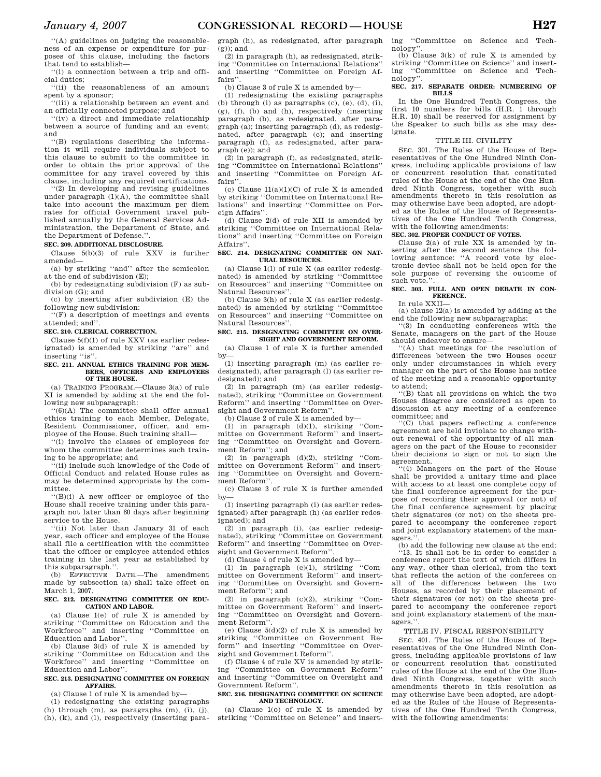that tend to establish—

spent by a sponsor;

''(ii) the reasonableness of an amount

''(iii) a relationship between an event and

''(iv) a direct and immediate relationship between a source of funding and an event;

''(B) regulations describing the information it will require individuals subject to this clause to submit to the committee in order to obtain the prior approval of the committee for any travel covered by this clause, including any required certifications. ''(2) In developing and revising guidelines under paragraph (1)(A), the committee shall take into account the maximum per diem rates for official Government travel published annually by the General Services Administration, the Department of State, and

Clause 5(b)(3) of rule XXV is further

(a) by striking ''and'' after the semicolon

(b) by redesignating subdivision (F) as sub-

(c) by inserting after subdivision (E) the

''(F) a description of meetings and events

Clause 5(f)(1) of rule XXV (as earlier redesignated) is amended by striking ''are'' and

**SEC. 211. ANNUAL ETHICS TRAINING FOR MEM-**

(a) TRAINING PROGRAM.—Clause 3(a) of rule XI is amended by adding at the end the fol-

 $'(6)(A)$  The committee shall offer annual ethics training to each Member, Delegate, Resident Commissioner, officer, and employee of the House. Such training shall— ''(i) involve the classes of employees for whom the committee determines such train-

''(ii) include such knowledge of the Code of Official Conduct and related House rules as may be determined appropriate by the com-

''(B)(i) A new officer or employee of the House shall receive training under this paragraph not later than 60 days after beginning

''(ii) Not later than January 31 of each year, each officer and employee of the House shall file a certification with the committee that the officer or employee attended ethics training in the last year as established by

(b) EFFECTIVE DATE.—The amendment made by subsection (a) shall take effect on

SEC. 212. DESIGNATING COMMITTEE ON EDU-**CATION AND LABOR.**  (a) Clause 1(e) of rule X is amended by striking ''Committee on Education and the Workforce'' and inserting ''Committee on

(b) Clause 3(d) of rule X is amended by striking ''Committee on Education and the Workforce'' and inserting ''Committee on

**SEC. 213. DESIGNATING COMMITTEE ON FOREIGN** 

**OF THE HOUSE.** 

**BERS, OFFICERS AND EMPLOYEES** 

an officially connected purpose; and

the Department of Defense.''. **SEC. 209. ADDITIONAL DISCLOSURE.** 

at the end of subdivision (E);

following new subdivision:

lowing new subparagraph:

ing to be appropriate; and

service to the House.

this subparagraph.''.

Education and Labor''.

Education and Labor''.

**AFFAIRS.**  (a) Clause 1 of rule X is amended by— (1) redesignating the existing paragraphs  $(h)$  through  $(m)$ , as paragraphs  $(m)$ ,  $(i)$ ,  $(j)$ , (h), (k), and (l), respectively (inserting para-

March 1, 2007.

**SEC. 210. CLERICAL CORRECTION.** 

cial duties;

and

amended—

division (G); and

attended; and''.

inserting ''is''.

mittee.

poses of this clause, including the factors ''(i) a connection between a trip and offi-(2) in paragraph (h), as redesignated, striking ''Committee on International Relations'' and inserting ''Committee on Foreign Affairs''.

(b) Clause 3 of rule X is amended by—

(1) redesignating the existing paragraphs (b) through (i) as paragraphs (c), (e), (d), (i),  $(g)$ ,  $(f)$ ,  $(b)$  and  $(h)$ , respectively (inserting paragraph (b), as redesignated, after paragraph (a); inserting paragraph (d), as redesignated, after paragraph (c); and inserting paragraph (f), as redesignated, after paragraph (e)); and

(2) in paragraph (f), as redesignated, striking ''Committee on International Relations'' and inserting ''Committee on Foreign Affairs''.

(c) Clause  $11(a)(1)(C)$  of rule X is amended by striking ''Committee on International Relations'' and inserting ''Committee on Foreign Affairs''.

(d) Clause  $2(d)$  of rule XII is amended by striking ''Committee on International Relations'' and inserting ''Committee on Foreign Affairs''.

#### **SEC. 214. DESIGNATING COMMITTEE ON NAT-URAL RESOURCES.**

(a) Clause 1(l) of rule X (as earlier redesignated) is amended by striking ''Committee on Resources'' and inserting ''Committee on Natural Resources''.

(b) Clause 3(h) of rule X (as earlier redesignated) is amended by striking ''Committee on Resources'' and inserting ''Committee on Natural Resources''.

### **SEC. 215. DESIGNATING COMMITTEE ON OVER-**

**SIGHT AND GOVERNMENT REFORM.**  (a) Clause 1 of rule X is further amended by—

(1) inserting paragraph (m) (as earlier redesignated), after paragraph (l) (as earlier redesignated); and

(2) in paragraph (m) (as earlier redesignated), striking ''Committee on Government Reform'' and inserting ''Committee on Oversight and Government Reform''.

(b) Clause 2 of rule X is amended by—

(1) in paragraph (d)(1), striking ''Committee on Government Reform'' and inserting ''Committee on Oversight and Government Reform''; and

(2) in paragraph (d)(2), striking ''Committee on Government Reform'' and inserting ''Committee on Oversight and Government Reform''.

(c) Clause 3 of rule X is further amended by—

(1) inserting paragraph (i) (as earlier redesignated) after paragraph (h) (as earlier redesignated); and

(2) in paragraph (i), (as earlier redesignated), striking ''Committee on Government Reform'' and inserting ''Committee on Oversight and Government Reform''.

 $(d)$  Clause 4 of rule X is amended by-

(1) in paragraph (c)(1), striking ''Committee on Government Reform'' and inserting ''Committee on Oversight and Government Reform''; and

(2) in paragraph (c)(2), striking ''Committee on Government Reform'' and inserting ''Committee on Oversight and Government Reform''.

(e) Clause 5(d)(2) of rule X is amended by striking ''Committee on Government Reform'' and inserting ''Committee on Oversight and Govemment Reform''.

(f) Clause 4 of rule XV is amended by striking ''Committee on Government Reform'' and inserting ''Committee on Oversight and Government Reform''.

#### **SEC. 216. DESIGNATING COMMITTEE ON SCIENCE AND TECHNOLOGY.**

(a) Clause 1(o) of rule X is amended by striking ''Committee on Science'' and inserting ''Committee on Science and Technology''.

(b) Clause 3(k) of rule X is amended by striking ''Committee on Science'' and inserting ''Committee on Science and Technology''.

#### **SEC. 217. SEPARATE ORDER: NUMBERING OF BILLS**

In the One Hundred Tenth Congress, the first 10 numbers for bills (H.R. 1 through H.R. 10) shall be reserved for assignment by the Speaker to such bills as she may designate.

#### TITLE III. CIVILITY

SEC. 301. The Rules of the House of Representatives of the One Hundred Ninth Congress, including applicable provisions of law or concurrent resolution that constituted rules of the House at the end of the One Hundred Ninth Congress, together with such amendments thereto in this resolution as may otherwise have been adopted, are adopted as the Rules of the House of Representatives of the One Hundred Tenth Congress, with the following amendments:

#### **SEC. 302. PROPER CONDUCT OF VOTES.**

Clause 2(a) of rule XX is amended by inserting after the second sentence the fol-lowing sentence: ''A record vote by electronic device shall not be held open for the sole purpose of reversing the outcome of such vote."

#### **SEC. 303. FULL AND OPEN DEBATE IN CON-FERENCE.**

In rule XXII—

(a) clause 12(a) is amended by adding at the end the following new subparagraphs:

''(3) In conducting conferences with the Senate, managers on the part of the House should endeavor to ensure—

'(A) that meetings for the resolution of differences between the two Houses occur only under circumstances in which every manager on the part of the House has notice of the meeting and a reasonable opportunity to attend;

''(B) that all provisions on which the two Houses disagree are considered as open to discussion at any meeting of a conference committee; and

''(C) that papers reflecting a conference agreement are held inviolate to change without renewal of the opportunity of all managers on the part of the House to reconsider their decisions to sign or not to sign the agreement.

''(4) Managers on the part of the House shall be provided a unitary time and place with access to at least one complete copy of the final conference agreement for the purpose of recording their approval (or not) of the final conference agreement by placing their signatures (or not) on the sheets prepared to accompany the conference report and joint explanatory statement of the managers.''.

(b) add the following new clause at the end:

''13. It shall not be in order to consider a conference report the text of which differs in any way, other than clerical, from the text that reflects the action of the conferees on all of the differences between the two Houses, as recorded by their placement of their signatures (or not) on the sheets prepared to accompany the conference report and joint explanatory statement of the managers."

#### TITLE IV. FISCAL RESPONSIBILITY

SEC. 401. The Rules of the House of Representatives of the One Hundred Ninth Congress, including applicable provisions of law or concurrent resolution that constituted rules of the House at the end of the One Hundred Ninth Congress, together with such amendments thereto in this resolution as may otherwise have been adopted, are adopted as the Rules of the House of Representatives of the One Hundred Tenth Congress, with the following amendments: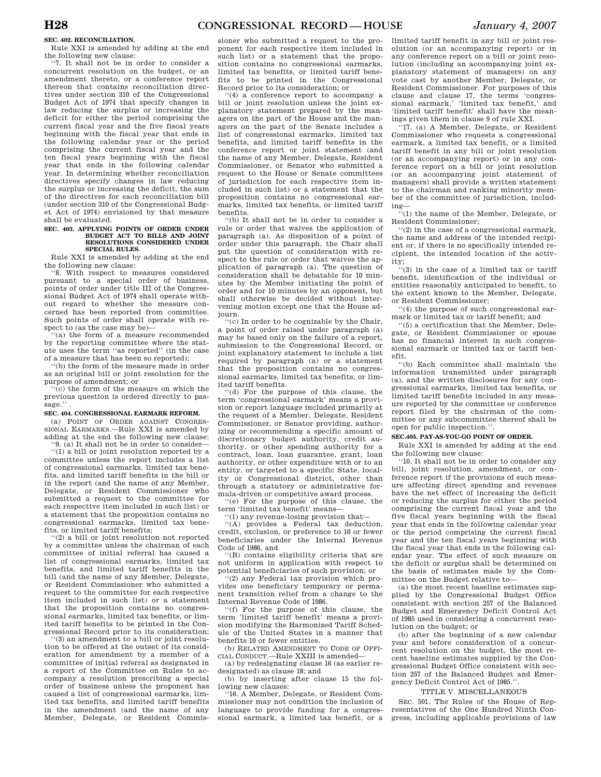#### **SEC. 402. RECONCILIATION.**

Rule XXI is amended by adding at the end the following new clause:

''7. It shall not be in order to consider a concurrent resolution on the budget, or an amendment thereto, or a conference report thereon that contains reconciliation directives under section 310 of the Congressional Budget Act of 1974 that specify changes in law reducing the surplus or increasing the deficit for either the period comprising the current fiscal year and the five fiscal years beginning with the fiscal year that ends in the following calendar year or the period comprising the current fiscal year and the ten fiscal years beginning with the fiscal year that ends in the following calendar year. In determining whether reconciliation directives specify changes in law reducing the surplus or increasing the deficit, the sum of the directives for each reconciliation bill (under section 310 of the Congressional Budget Act of 1974) envisioned by that measure shall be evaluated.

#### **SEC. 403. APPLYING POINTS OF ORDER UNDER BUDGET ACT TO BILLS AND JOINT RESOLUTIONS CONSIDERED UNDER SPECIAL RULES.**

Rule XXI is amended by adding at the end the following new clause:

'8. With respect to measures considered pursuant to a special order of business, points of order under title III of the Congressional Budget Act of 1974 shall operate without regard to whether the measure concerned has been reported from committee. Such points of order shall operate with respect to (as the case may be)—

'(a) the form of a measure recommended by the reporting committee where the statute uses the term ''as reported'' (in the case of a measure that has been so reported);

''(b) the form of the measure made in order as an original bill or joint resolution for the purpose of amendment; or

 $(c)$  the form of the measure on which the previous question is ordered directly to passage.'

#### **SEC. 404. CONGRESSIONAL EARMARK REFORM.**

(a) POINT OF ORDER AGAINST CONGRES-SIONAL EARMARKS.—Rule XXI is amended by adding at the end the following new clause: ''9. (a) It shall not be in order to consider—

''(1) a bill or joint resolution reported by a committee unless the report includes a list of congressional earmarks, limited tax benefits, and limited tariff benefits in the bill or in the report (and the name of any Member, Delegate, or Resident Commissioner who submitted a request to the committee for each respective item included in such list) or a statement that the proposition contains no congressional earmarks, limited tax benefits, or limited tariff benefits;

''(2) a bill or joint resolution not reported by a committee unless the chairman of each committee of initial referral has caused a list of congressional earmarks, limited tax benefits, and limited tariff benefits in the bill (and the name of any Member, Delegate, or Resident Commissioner who submitted a request to the committee for each respective item included in such list) or a statement that the proposition contains no congressional earmarks, limited tax benefits, or limited tariff benefits to be printed in the Congressional Record prior to its consideration;

''(3) an amendment to a bill or joint resolution to be offered at the outset of its consideration for amendment by a member of a committee of initial referral as designated in a report of the Committee on Rules to accompany a resolution prescribing a special order of business unless the proponent has caused a list of congressional earmarks, limited tax benefits, and limited tariff benefits in the amendment (and the name of any Member, Delegate, or Resident Commis-

sioner who submitted a request to the proponent for each respective item included in such list) or a statement that the proposition contains no congressional earmarks, limited tax benefits, or limited tariff benefits to be printed in the Congressional Record prior to its consideration; or

''(4) a conference report to accompany a bill or joint resolution unless the joint explanatory statement prepared by the managers on the part of the House and the managers on the part of the Senate includes a list of congressional earmarks, limited tax benefits, and limited tariff benefits in the conference report or joint statement (and the name of any Member, Delegate, Resident Commissioner, or Senator who submitted a request to the House or Senate committees of jurisdiction for each respective item included in such list) or a statement that the proposition contains no congressional earmarks, limited tax benefits, or limited tariff benefits.

'(b) It shall not be in order to consider a rule or order that waives the application of paragraph (a). As disposition of a point of order under this paragraph, the Chair shall put the question of consideration with respect to the rule or order that waives the application of paragraph (a). The question of consideration shall be debatable for 10 minutes by the Member initiating the point of order and for 10 minutes by an opponent, but shall otherwise be decided without intervening motion except one that the House adjourn.

'(c) In order to be cognizable by the Chair, a point of order raised under paragraph (a) may be based only on the failure of a report, submission to the Congressional Record, or joint explanatory statement to include a list required by paragraph (a) or a statement that the proposition contains no congressional earmarks, limited tax benefits, or limited tariff benefits.

''(d) For the purpose of this clause, the term 'congressional earmark' means a provision or report language included primarily at the request of a Member, Delegate, Resident Commissioner, or Senator providing, authorizing or recommending a specific amount of discretionary budget authority, credit authority, or other spending authority for a contract, loan, loan guarantee, grant, loan authority, or other expenditure with or to an entity, or targeted to a specific State, locality or Congressional district, other than through a statutory or administrative formula-driven or competitive award process.

''(e) For the purpose of this clause, the term 'limited tax benefit' means—

''(1) any revenue-losing provision that—

''(A) provides a Federal tax deduction, credit, exclusion, or preference to 10 or fewer beneficiaries under the Internal Revenue Code of 1986, and

''(B) contains eligibility criteria that are not uniform in application with respect to potential beneficiaries of such provision; or

 $(2)$  any Federal tax provision which provides one beneficiary temporary or permanent transition relief from a change to the Internal Revenue Code of 1986.

''(f) For the purpose of this clause, the term 'limited tariff benefit' means a provision modifying the Harmonized Tariff Schedule of the United States in a manner that benefits 10 or fewer entities.

(b) RELATED AMENDMENT TO CODE OF OFFI-CIAL CONDUCT.—Rule XXIII is amended—

(a) by redesignating clause 16 (as earlier redesignated) as clause 18; and

(b) by inserting after clause 15 the following new clauses:

'16. A Member, Delegate, or Resident Commissioner may not condition the inclusion of language to provide funding for a congressional earmark, a limited tax benefit, or a limited tariff benefit in any bill or joint resolution (or an accompanying report) or in any conference report on a bill or joint resolution (including an accompanying joint explanatory statement of managers) on any vote cast by another Member, Delegate, or Resident Commissioner. For purposes of this clause and clause 17, the terms 'congressional earmark,' 'limited tax benefit,' and 'limited tariff benefit' shall have the meanings given them in clause 9 of rule XXI.

''17. (a) A Member, Delegate, or Resident Commissioner who requests a congressional earmark, a limited tax benefit, or a limited tariff benefit in any bill or joint resolution (or an accompanying report) or in any conference report on a bill or joint resolution (or an accompanying joint statement of managers) shall provide a written statement to the chairman and ranking minority member of the committee of jurisdiction, including—

''(1) the name of the Member, Delegate, or Resident Commissioner;

''(2) in the case of a congressional earmark, the name and address of the intended recipient or, if there is no specifically intended recipient, the intended location of the activity;

''(3) in the case of a limited tax or tariff benefit, identification of the individual or entities reasonably anticipated to benefit, to the extent known to the Member, Delegate, or Resident Commissioner;

''(4) the purpose of such congressional earmark or limited tax or tariff benefit; and

''(5) a certification that the Member, Delegate, or Resident Commissioner or spouse has no financial interest in such congressional earmark or limited tax or tariff benefit.

''(b) Each committee shall maintain the information transmitted under paragraph (a), and the written disclosures for any congressional earmarks, limited tax benefits, or limited tariff benefits included in any measure reported by the committee or conference report filed by the chairman of the committee or any subcommittee thereof shall be open for public inspection.''.

#### **SEC.405. PAY-AS-YOU-GO POINT OF ORDER.**

Rule XXI is amended by adding at the end the following new clause:

''10. It shall not be in order to consider any bill, joint resolution, amendment, or conference report if the provisions of such measure affecting direct spending and revenues have the net effect of increasing the deficit or reducing the surplus for either the period comprising the current fiscal year and the five fiscal years beginning with the fiscal year that ends in the following calendar year or the period comprising the current fiscal year and the ten fiscal years beginning with the fiscal year that ends in the following calendar year. The effect of such measure on the deficit or surplus shall be determined on the basis of estimates made by the Committee on the Budget relative to—

(a) the most recent baseline estimates supplied by the Congressional Budget Office consistent with section 257 of the Balanced Budget and Emergency Deficit Control Act of 1985 used in considering a concurrent resolution on the budget; or

(b) after the beginning of a new calendar year and before consideration of a concurrent resolution on the budget, the most recent baseline estimates supplied by the Congressional Budget Office consistent with section 257 of the Balanced Budget and Emergency Deficit Control Act of 1985.''.

#### TITLE V. MISCELLANEOUS

SEC. 501. The Rules of the House of Representatives of the One Hundred Ninth Congress, including applicable provisions of law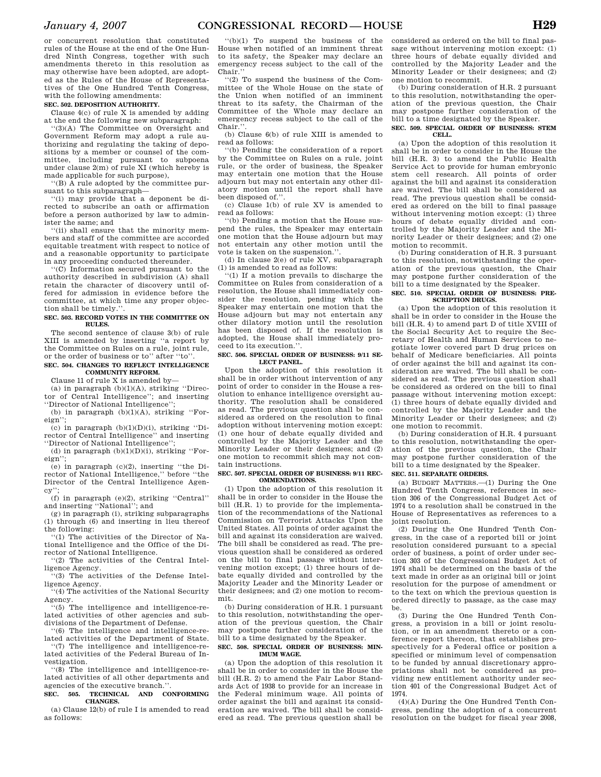or concurrent resolution that constituted rules of the House at the end of the One Hundred Ninth Congress, together with such amendments thereto in this resolution as may otherwise have been adopted, are adopted as the Rules of the House of Representatives of the One Hundred Tenth Congress, with the following amendments:

#### **SEC. 502. DEPOSITION AUTHORITY.**

Clause 4(c) of rule X is amended by adding at the end the following new subparagraph:

''(3)(A) The Committee on Oversight and Government Reform may adopt a rule authorizing and regulating the taking of depositions by a member or counsel of the committee, including pursuant to subpoena under clause 2(m) of rule XI (which hereby is made applicable for such purpose),

''(B) A rule adopted by the committee pursuant to this subparagraph—

''(i) may provide that a deponent be directed to subscribe an oath or affirmation before a person authorized by law to administer the same; and

''(ii) shall ensure that the minority members and staff of the committee are accorded equitable treatment with respect to notice of and a reasonable opportunity to participate in any proceeding conducted thereunder.

'(C) Information secured pursuant to the authority described in subdivision (A) shall retain the character of discovery until offered for admission in evidence before the committee, at which time any proper objection shall be timely.''.

#### **SEC. 503. RECORD VOTES IN THE COMMITTEE ON RULES.**

The second sentence of clause 3(b) of rule XIII is amended by inserting ''a report by the Committee on Rules on a rule, joint rule, or the order of business or to'' after ''to''. **SEC. 504. CHANGES TO REFLECT INTELLIGENCE** 

#### **COMMUNITY REFORM.**

Clause 11 of rule X is amended by—

(a) in paragraph  $(b)(1)(A)$ , striking "Director of Central Intelligence''; and inserting

''Director of National Intelligence''; (b) in paragraph  $(b)(1)(A)$ , striking "Foreign'

(c) in paragraph (b)(1)(D)(i), striking ''Director of Central Intelligence'' and inserting ''Director of National Intelligence'';

(d) in paragraph  $(b)(1)(D)(i)$ , striking "Foreign'

(e) in paragraph (c)(2), inserting ''the Director of National Intelligence,'' before ''the Director of the Central Intelligence Agency'';

 $(f)$  in paragraph (e)(2), striking "Central" and inserting ''National''; and

(g) in paragraph (i), striking subparagraphs (1) through (6) and inserting in lieu thereof the following:

'(1) The activities of the Director of National Intelligence and the Office of the Director of National Intelligence.

''(2) The activities of the Central Intelligence Agency.

''(3) The activities of the Defense Intelligence Agency.

''(4) The activities of the National Security Agency.

''(5) The intelligence and intelligence-related activities of other agencies and subdivisions of the Department of Defense.

''(6) The intelligence and intelligence-related activities of the Department of State. ''(7) The intelligence and intelligence-related activities of the Federal Bureau of Investigation.

''(8) The intelligence and intelligence-related activities of all other departments and agencies of the executive branch.''.

#### **SEC. 505. TECHNICAL AND CONFORMING CHANGES.**

(a) Clause 12(b) of rule I is amended to read as follows:

''(b)(1) To suspend the business of the House when notified of an imminent threat to its safety, the Speaker may declare an emergency recess subject to the call of the Chair.'

''(2) To suspend the business of the Committee of the Whole House on the state of the Union when notified of an imminent threat to its safety, the Chairman of the Committee of the Whole may declare an emergency recess subject to the call of the Chair.''.

(b) Clause 6(b) of rule XIII is amended to read as follows:

''(b) Pending the consideration of a report by the Committee on Rules on a rule, joint rule, or the order of business, the Speaker may entertain one motion that the House adjourn but may not entertain any other dilatory motion until the report shall have been disposed of."

(c) Clause 1(b) of rule XV is amended to read as follows:

''(b) Pending a motion that the House suspend the rules, the Speaker may entertain one motion that the House adjourn but may not entertain any other motion until the vote is taken on the suspension."

(d) In clause 2(e) of rule XV, subparagraph (1) is amended to read as follows:

''(1) If a motion prevails to discharge the Committee on Rules from consideration of a resolution, the House shall immediately consider the resolution, pending which the Speaker may entertain one motion that the House adjourn but may not entertain any other dilatory motion until the resolution has been disposed of. If the resolution is adopted, the House shall immediately proceed to its execution.''.

#### **SEC. 506. SPECIAL ORDER OF BUSINESS: 9/11 SE-LECT PANEL.**

Upon the adoption of this resolution it shall be in order without intervention of any point of order to consider in the House a resolution to enhance intelligence oversight authority. The resolution shall be considered as read. The previous question shall be considered as ordered on the resolution to final adoption without intervening motion except: (1) one hour of debate equally divided and controlled by the Majority Leader and the Minority Leader or their designees; and (2) one motion to recommit shich may not contain instructions.

#### **SEC. 507. SPECIAL ORDER OF BUSINESS: 9/11 REC-OMMENDATIONS.**

(1) Upon the adoption of this resolution it shall be in order to consider in the House the bill (H.R. 1) to provide for the implementation of the recommendations of the National Commission on Terrorist Attacks Upon the United States. All points of order against the bill and against its consideration are waived. The bill shall be considered as read. The previous question shall be considered as ordered on the bill to final passage without intervening motion except; (1) three hours of debate equally divided and controlled by the Majority Leader and the Minority Leader or their designees; and (2) one motion to recommit.

(b) During consideration of H.R. 1 pursuant to this resolution, notwithstanding the operation of the previous question, the Chair may postpone further consideration of the bill to a time designated by the Speaker.

#### **SEC. 508. SPECIAL ORDER OF BUSINESS: MIN-IMUM WAGE.**

(a) Upon the adoption of this resolution it shall be in order to consider in the House the bill (H.R. 2) to amend the Fair Labor Standards Act of 1938 to provide for an increase in the Federal minimum wage. All points of order against the bill and against its consideration are waived. The bill shall be considered as read. The previous question shall be considered as ordered on the bill to final passage without intervening motion except: (1) three hours of debate equally divided and controlled by the Majority Leader and the Minority Leader or their designees; and (2) one motion to recommit.

(b) During consideration of H.R. 2 pursuant to this resolution, notwithstanding the operation of the previous question, the Chair may postpone further consideration of the bill to a time designated by the Speaker.

#### **SEC. 509. SPECIAL ORDER OF BUSINESS: STEM CELL.**

(a) Upon the adoption of this resolution it shall be in order to consider in the House the bill (H.R. 3) to amend the Public Health Service Act to provide for human embryonic stem cell research. All points of order against the bill and against its consideration are waived. The bill shall be considered as read. The previous question shall be considered as ordered on the bill to final passage without intervening motion except: (1) three hours of debate equally divided and controlled by the Majority Leader and the Minority Leader or their designees; and (2) one motion to recommit.

(b) During consideration of H.R. 3 pursuant to this resolution, notwithstanding the operation of the previous question, the Chair may postpone further consideration of the bill to a time designated by the Speaker.

#### **SEC. 510. SPECIAL ORDER OF BUSINESS: PRE-SCRIPTION DRUGS.**

(a) Upon the adoption of this resolution it shall be in order to consider in the House the bill (H.R. 4) to amend part D of title XVIII of the Social Security Act to require the Secretary of Health and Human Services to negotiate lower covered part D drug prices on behalf of Medicare beneficiaries. All points of order against the bill and against its consideration are waived. The bill shall be considered as read. The previous question shall be considered as ordered on the bill to final passage without intervening motion except: (1) three hours of debate equally divided and controlled by the Majority Leader and the Minority Leader or their designees; and (2) one motion to recommit.

(b) During consideration of H.R. 4 pursuant to this resolution, notwithstanding the operation of the previous question, the Chair may postpone further consideration of the bill to a time designated by the Speaker.

### **SEC. 511. SEPARATE ORDERS.**

(a) BUDGET MATTERS.—(1) During the One Hundred Tenth Congress, references in section 306 of the Congressional Budget Act of 1974 to a resolution shall be construed in the House of Representatives as references to a joint resolution.

(2) During the One Hundred Tenth Congress, in the case of a reported bill or joint resolution considered pursuant to a special order of business, a point of order under section 303 of the Congressional Budget Act of 1974 shall be determined on the basis of the text made in order as an original bill or joint resolution for the purpose of amendment or to the text on which the previous question is ordered directly to passage, as the case may be.

(3) During the One Hundred Tenth Congress, a provision in a bill or joint resolution, or in an amendment thereto or a conference report thereon, that establishes prospectively for a Federal office or position a specified or minimum level of compensation to be funded by annual discretionary appropriations shall not be considered as providing new entitlement authority under section 401 of the Congressional Budget Act of 1974.

(4)(A) During the One Hundred Tenth Congress, pending the adoption of a concurrent resolution on the budget for fiscal year 2008,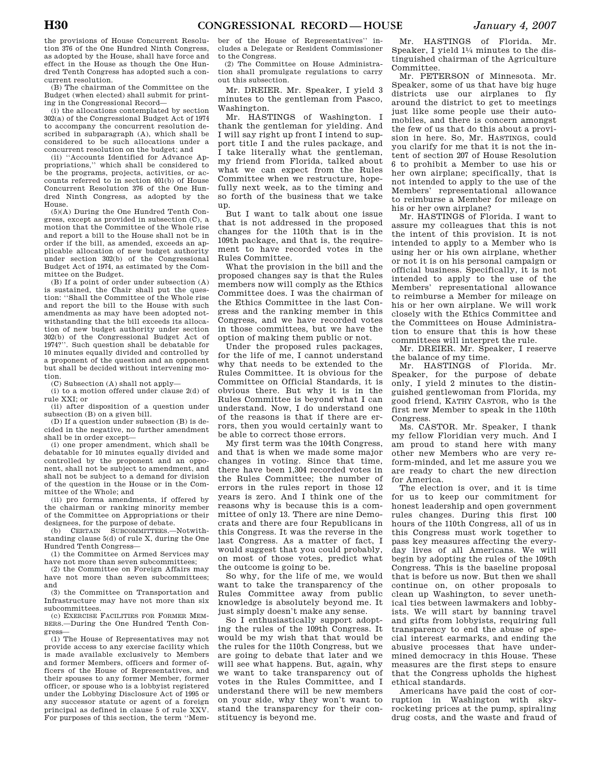the provisions of House Concurrent Resolution 376 of the One Hundred Ninth Congress, as adopted by the House, shall have force and effect in the House as though the One Hundred Tenth Congress has adopted such a concurrent resolution.

(B) The chairman of the Committee on the Budget (when elected) shall submit for printing in the Congressional Record—

(i) the allocations contemplated by section 302(a) of the Congressional Budget Act of 1974 to accompany the concurrent resolution described in subparagraph (A), which shall be considered to be such allocations under a concurrent resolution on the budget; and

(ii) ''Accounts Identified for Advance Appropriations,'' which shall be considered to be the programs, projects, activities, or accounts referred to in section 401(b) of House Concurrent Resolution 376 of the One Hundred Ninth Congress, as adopted by the House.

(5)(A) During the One Hundred Tenth Congress, except as provided in subsection (C), a motion that the Committee of the Whole rise and report a bill to the House shall not be in order if the bill, as amended, exceeds an applicable allocation of new budget authority under section 302(b) of the Congressional Budget Act of 1974, as estimated by the Committee on the Budget.

(B) If a point of order under subsection (A) is sustained, the Chair shall put the question: ''Shall the Committee of the Whole rise and report the bill to the House with such amendments as may have been adopted notwithstanding that the bill exceeds its allocation of new budget authority under section 302(b) of the Congressional Budget Act of 1974?''. Such question shall be debatable for 10 minutes equally divided and controlled by a proponent of the question and an opponent but shall be decided without intervening motion.

(C) Subsection (A) shall not apply—

(i) to a motion offered under clause 2(d) of rule XXI; or

(ii) after disposition of a question under subsection (B) on a given bill.

(D) If a question under subsection (B) is decided in the negative, no further amendment shall be in order except—

(i) one proper amendment, which shall be debatable for 10 minutes equally divided and controlled by the proponent and an opponent, shall not be subject to amendment, and shall not be subject to a demand for division of the question in the House or in the Committee of the Whole; and

(ii) pro forma amendments, if offered by the chairman or ranking minority member of the Committee on Appropriations or their designees, for the purpose of debate.

(b) CERTAIN SUBCOMMITTEES.—Notwithstanding clause 5(d) of rule X, during the One Hundred Tenth Congress—

(1) the Committee on Armed Services may have not more than seven subcommittees;

(2) the Committee on Foreign Affairs may have not more than seven subcommittees; and

(3) the Committee on Transportation and Infrastructure may have not more than six subcommittees.

(c) EXERCISE FACILITIES FOR FORMER MEM-BERS.—During the One Hundred Tenth Congress—

(1) The House of Representatives may not provide access to any exercise facility which is made available exclusively to Members and former Members, officers and former officers of the House of Representatives, and their spouses to any former Member, former officer, or spouse who is a lobbyist registered under the Lobbying Disclosure Act of 1995 or any successor statute or agent of a foreign principal as defined in clause 5 of rule XXV. For purposes of this section, the term ''Member of the House of Representatives'' includes a Delegate or Resident Commissioner to the Congress.

(2) The Committee on House Administration shall promulgate regulations to carry out this subsection.

Mr. DREIER. Mr. Speaker, I yield 3 minutes to the gentleman from Pasco, Washington.

Mr. HASTINGS of Washington. I thank the gentleman for yielding. And I will say right up front I intend to support title I and the rules package, and I take literally what the gentleman, my friend from Florida, talked about what we can expect from the Rules Committee when we restructure, hopefully next week, as to the timing and so forth of the business that we take up.

But I want to talk about one issue that is not addressed in the proposed changes for the 110th that is in the 109th package, and that is, the requirement to have recorded votes in the Rules Committee.

What the provision in the bill and the proposed changes say is that the Rules members now will comply as the Ethics Committee does. I was the chairman of the Ethics Committee in the last Congress and the ranking member in this Congress, and we have recorded votes in those committees, but we have the option of making them public or not.

Under the proposed rules packages, for the life of me, I cannot understand why that needs to be extended to the Rules Committee. It is obvious for the Committee on Official Standards, it is obvious there. But why it is in the Rules Committee is beyond what I can understand. Now, I do understand one of the reasons is that if there are errors, then you would certainly want to be able to correct those errors.

My first term was the 104th Congress, and that is when we made some major changes in voting. Since that time, there have been 1,304 recorded votes in the Rules Committee; the number of errors in the rules report in those 12 years is zero. And I think one of the reasons why is because this is a committee of only 13. There are nine Democrats and there are four Republicans in this Congress. It was the reverse in the last Congress. As a matter of fact, I would suggest that you could probably, on most of those votes, predict what the outcome is going to be.

So why, for the life of me, we would want to take the transparency of the Rules Committee away from public knowledge is absolutely beyond me. It just simply doesn't make any sense.

So I enthusiastically support adopting the rules of the 109th Congress. It would be my wish that that would be the rules for the 110th Congress, but we are going to debate that later and we will see what happens. But, again, why we want to take transparency out of votes in the Rules Committee, and I understand there will be new members on your side, why they won't want to stand the transparency for their constituency is beyond me.

Mr. HASTINGS of Florida. Mr. Speaker, I yield  $1\frac{1}{4}$  minutes to the distinguished chairman of the Agriculture Committee.

Mr. PETERSON of Minnesota. Mr. Speaker, some of us that have big huge districts use our airplanes to fly around the district to get to meetings just like some people use their automobiles, and there is concern amongst the few of us that do this about a provision in here. So, Mr. HASTINGS, could you clarify for me that it is not the intent of section 207 of House Resolution 6 to prohibit a Member to use his or her own airplane; specifically, that is not intended to apply to the use of the Members' representational allowance to reimburse a Member for mileage on his or her own airplane?

Mr. HASTINGS of Florida. I want to assure my colleagues that this is not the intent of this provision. It is not intended to apply to a Member who is using her or his own airplane, whether or not it is on his personal campaign or official business. Specifically, it is not intended to apply to the use of the Members' representational allowance to reimburse a Member for mileage on his or her own airplane. We will work closely with the Ethics Committee and the Committees on House Administration to ensure that this is how these committees will interpret the rule.

Mr. DREIER. Mr. Speaker, I reserve the balance of my time.

Mr. HASTINGS of Florida. Mr. Speaker, for the purpose of debate only, I yield 2 minutes to the distinguished gentlewoman from Florida, my good friend, KATHY CASTOR, who is the first new Member to speak in the 110th Congress.

Ms. CASTOR. Mr. Speaker, I thank my fellow Floridian very much. And I am proud to stand here with many other new Members who are very reform-minded, and let me assure you we are ready to chart the new direction for America.

The election is over, and it is time for us to keep our commitment for honest leadership and open government rules changes. During this first 100 hours of the 110th Congress, all of us in this Congress must work together to pass key measures affecting the everyday lives of all Americans. We will begin by adopting the rules of the 109th Congress. This is the baseline proposal that is before us now. But then we shall continue on, on other proposals to clean up Washington, to sever unethical ties between lawmakers and lobbyists. We will start by banning travel and gifts from lobbyists, requiring full transparency to end the abuse of special interest earmarks, and ending the abusive processes that have undermined democracy in this House. These measures are the first steps to ensure that the Congress upholds the highest ethical standards.

Americans have paid the cost of corruption in Washington with skyrocketing prices at the pump, spiraling drug costs, and the waste and fraud of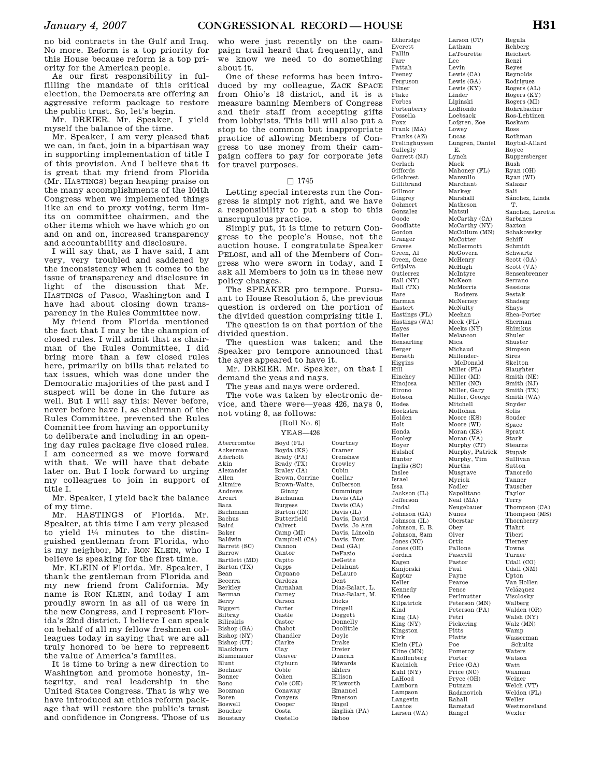no bid contracts in the Gulf and Iraq. No more. Reform is a top priority for this House because reform is a top priority for the American people.

As our first responsibility in fulfilling the mandate of this critical election, the Democrats are offering an aggressive reform package to restore the public trust. So, let's begin.

Mr. DREIER. Mr. Speaker, I yield myself the balance of the time.

Mr. Speaker, I am very pleased that we can, in fact, join in a bipartisan way in supporting implementation of title I of this provision. And I believe that it is great that my friend from Florida (Mr. HASTINGS) began heaping praise on the many accomplishments of the 104th Congress when we implemented things like an end to proxy voting, term limits on committee chairmen, and the other items which we have which go on and on and on, increased transparency and accountability and disclosure.

I will say that, as I have said, I am very, very troubled and saddened by the inconsistency when it comes to the issue of transparency and disclosure in light of the discussion that Mr. HASTINGS of Pasco, Washington and I have had about closing down transparency in the Rules Committee now.

My friend from Florida mentioned the fact that I may be the champion of closed rules. I will admit that as chairman of the Rules Committee, I did bring more than a few closed rules here, primarily on bills that related to tax issues, which was done under the Democratic majorities of the past and I suspect will be done in the future as well. But I will say this: Never before, never before have I, as chairman of the Rules Committee, prevented the Rules Committee from having an opportunity to deliberate and including in an opening day rules package five closed rules. I am concerned as we move forward with that. We will have that debate later on. But I look forward to urging my colleagues to join in support of title I.

Mr. Speaker, I yield back the balance of my time.

Mr. HASTINGS of Florida. Mr. Speaker, at this time I am very pleased to yield  $1\frac{1}{4}$  minutes to the distinguished gentleman from Florida, who is my neighbor, Mr. RON KLEIN, who I believe is speaking for the first time.

Mr. KLEIN of Florida. Mr. Speaker, I thank the gentleman from Florida and my new friend from California. My name is RON KLEIN, and today I am proudly sworn in as all of us were in the new Congress, and I represent Florida's 22nd district. I believe I can speak on behalf of all my fellow freshmen colleagues today in saying that we are all truly honored to be here to represent the value of America's families.

It is time to bring a new direction to Washington and promote honesty, integrity, and real leadership in the United States Congress. That is why we have introduced an ethics reform package that will restore the public's trust and confidence in Congress. Those of us

who were just recently on the campaign trail heard that frequently, and we know we need to do something about it.

One of these reforms has been introduced by my colleague, ZACK SPACE from Ohio's 18 district, and it is a measure banning Members of Congress and their staff from accepting gifts from lobbyists. This bill will also put a stop to the common but inappropriate practice of allowing Members of Congress to use money from their campaign coffers to pay for corporate jets for travel purposes.

#### $\Box$  1745

Letting special interests run the Congress is simply not right, and we have a responsibility to put a stop to this unscrupulous practice.

Simply put, it is time to return Congress to the people's House, not the auction house. I congratulate Speaker PELOSI, and all of the Members of Congress who were sworn in today, and I ask all Members to join us in these new policy changes.

The SPEAKER pro tempore. Pursuant to House Resolution 5, the previous question is ordered on the portion of the divided question comprising title I.

The question is on that portion of the divided question.

The question was taken; and the Speaker pro tempore announced that the ayes appeared to have it.

Mr. DREIER. Mr. Speaker, on that I demand the yeas and nays.

The yeas and nays were ordered.

The vote was taken by electronic device, and there were—yeas 426, nays 0, not voting 8, as follows:

[Roll No. 6]  $YEDAC = 400$ 

|                  | 1 LAD-140          |                 |
|------------------|--------------------|-----------------|
| Abercrombie      | Boyd (FL)          | Courtney        |
| Ackerman         | Boyda (KS)         | Cramer          |
| Aderholt         | Brady (PA)         | Crenshaw        |
| Akin             | Brady (TX)         | Crowley         |
| Alexander        | Braley (IA)        | Cubin           |
| Allen            | Brown, Corrine     | Cuellar         |
| Altmire          | Brown-Waite,       | Culberson       |
| Andrews          | Ginny              | Cummings        |
| Arcuri           | Buchanan           | Davis (AL)      |
| Baca.            | <b>Burgess</b>     | Davis (CA)      |
| Bachmann         | Burton (IN)        | Davis (IL)      |
| Bachus           | <b>Butterfield</b> | Davis, David    |
| Baird            | Calvert            | Davis, Jo Ann   |
| <b>Baker</b>     | Camp (MI)          | Davis, Lincoln  |
| Baldwin          | Campbell (CA)      | Davis, Tom      |
| Barrett (SC)     | Cannon             | Deal (GA)       |
| Barrow           | Cantor             | DeFazio         |
| Bartlett (MD)    | Capito             | DeGette         |
| Barton (TX)      | Capps              | Delahunt        |
| Bean             | Capuano            | DeLauro         |
| Becerra          | Cardoza            | Dent            |
| Berkley          | Carnahan           | Diaz-Balart, L. |
| Berman           | Carney             | Diaz-Balart, M. |
| Berry            | Carson             | Dicks           |
| Biggert          | Carter             | Dingell         |
| Bilbray          | Castle             | Doggett         |
| <b>Bilirakis</b> | Castor             | Donnelly        |
| Bishop (GA)      | Chabot             | Doolittle       |
| Bishop (NY)      | Chandler           | Doyle           |
| Bishop (UT)      | Clarke             | Drake           |
| Blackburn        | Clay               | Dreier          |
| Blumenauer       | Cleaver            | Duncan          |
| Blunt            | Clyburn            | Edwards         |
| Boehner          | Coble              | Ehlers          |
| Bonner           | Cohen              | Ellison         |
| Bono             | Cole(OK)           | Ellsworth       |
| Boozman          | Conaway            | Emanuel         |
| Boren            | Conyers            | Emerson         |
| <b>Boswell</b>   | Cooper             | Engel           |
| Boucher          | Costa              | English (PA)    |
| Boustany         | Costello           | Eshoo           |

Everett Fallin Farr Fattah Feeney Ferguson Filner Flake Forbes Fortenberry Fossella Foxx Frank (MA) Franks (AZ) Frelinghuysen Gallegly Garrett (NJ) Gerlach Giffords Gilchrest Gillibrand Gillmor Gingrey Gohmert Gonzalez Goode Goodlatte Gordon Granger Graves Green, Al Green, Gene Grijalva Gutierrez Hall (NY) Hall (TX) Hare Harman Hastert Hastings (FL) Hastings (WA) Hayes Heller Hensarling Herger Herseth Higgins Hill Hinchey Hinojosa Hirono Hobson Hodes Hoekstra Holden Holt Honda Hooley Hoyer Hulshof Hunter Inglis (SC) Inslee Israel Issa Jackson (IL) Jefferson Jindal Johnson (GA) Johnson (IL) Johnson, E. B. Johnson, Sam Jones (NC) Jones (OH) Jordan Kagen Kanjorski Kaptur Keller Kennedy Kildee Kilpatrick Kind King (IA) King (NY) Kingston Kirk Klein (FL) Kline (MN) Knollenberg Kucinich Kuhl (NY) LaHood Lamborn Lampson Langevin Lantos Larsen (WA)

Etheridge

Larson (CT)

Lee Levin

Linder

Lowey Lucas

E. Lynch Mack

Markey

Matsui

Mica

Murtha

Myrick Nadler

Nunes

Obey Olver Ortiz Pallone

Pastor Paul Payne Pearce Pence

Petri

Pitts Platts Poe

Porter

Rahall

Rangel

Wexler

Latham LaTourette Lewis (CA) Lewis (GA) Lewis (KY) Lipinski LoBiondo Loebsack Lofgren, Zoe Lungren, Daniel Mahoney (FL) Manzullo Marchant Marshall Matheson McCarthy (CA) McCarthy (NY) McCollum (MN) McCotter McDermott McGovern McHenry McHugh McIntyre McKeon McMorris Rodgers McNerney McNulty Meehan Meek (FL) Meeks (NY) Melancon Michaud Millender-McDonald Miller (FL) Miller (MI) Miller (NC) Miller, Gary Miller, George Mitchell Mollohan Moore (KS) Moore (WI) Moran (KS) Moran (VA) Murphy (CT) Murphy, Patrick Murphy, Tim Musgrave Napolitano Neal (MA) Neugebauer Oberstar Pascrell Perlmutter Peterson (MN) Peterson (PA) Pickering Pomeroy Price (GA) Price (NC) Pryce (OH) Putnam Radanovich Ramstad Rehberg Reichert Renzi Reyes Reynolds Rodriguez Rogers (AL) Rogers (KY) Rogers (MI) Rohrabacher Ros-Lehtinen Roskam Ross Rothman Roybal-Allard Royce Ruppersberger Rush Ryan (OH) Ryan (WI) Salazar Sali Sánchez, Linda T. Sanchez, Loretta Sarbanes Saxton Schakowsky Schiff Schmidt Schwartz Scott (GA) Scott (VA) Sensenbrenner Serrano Sessions Sestak Shadegg Shays Shea-Porter Sherman Shimkus Shuler Shuster Simpson Sires Skelton Slaughter Smith (NE) Smith (NJ) Smith (TX) Smith (WA) Snyder Solis Souder Space Spratt Stark Stearns Stupak Sullivan Sutton Tancredo Tanner Tauscher Taylor Terry Thompson (CA) Thompson (MS) **Thornberry** Tiahrt Tiberi Tierney Towns Turner Udall (CO) Udall (NM) Upton Van Hollen Velázquez Visclosky Walberg Walden (OR) Walsh (NY) Walz (MN) Wamp Wasserman Schultz Waters Watson Watt Waxman Weiner Welch (VT) Weldon (FL) Weller Westmoreland

Regula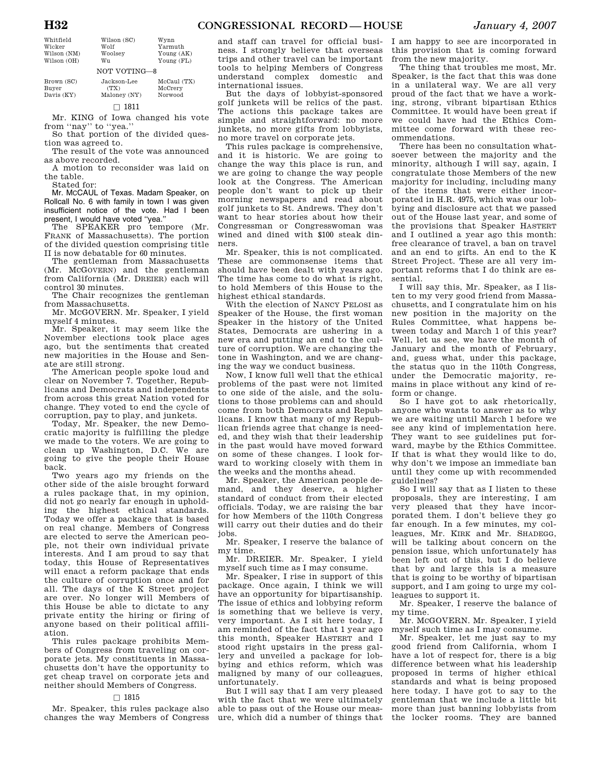| Whitfield   | Wilson (SC)              | Wynn       |
|-------------|--------------------------|------------|
| Wicker      | Wolf                     | Yarmuth    |
| Wilson (NM) | Woolsey                  | Young (AK) |
| Wilson (OH) | Wu                       | Young (FL) |
|             | NOT VOTING <sub>-8</sub> |            |

Brown (SC) Buyer Davis (KY) Jackson-Lee (TX) Maloney (NY) McCaul (TX) McCrery Norwood

#### $\Box$  1811

Mr. KING of Iowa changed his vote from ''nay'' to ''yea.''

So that portion of the divided question was agreed to.

The result of the vote was announced as above recorded.

A motion to reconsider was laid on the table.

Stated for:

Mr. MCCAUL of Texas. Madam Speaker, on Rollcall No. 6 with family in town I was given insufficient notice of the vote. Had I been present, I would have voted ''yea.''

The SPEAKER pro tempore (Mr. FRANK of Massachusetts). The portion of the divided question comprising title II is now debatable for 60 minutes.

The gentleman from Massachusetts (Mr. MCGOVERN) and the gentleman from California (Mr. DREIER) each will control 30 minutes.

The Chair recognizes the gentleman from Massachusetts.

Mr. MCGOVERN. Mr. Speaker, I yield myself 4 minutes.

Mr. Speaker, it may seem like the November elections took place ages ago, but the sentiments that created new majorities in the House and Senate are still strong.

The American people spoke loud and clear on November 7. Together, Republicans and Democrats and independents from across this great Nation voted for change. They voted to end the cycle of corruption, pay to play, and junkets.

Today, Mr. Speaker, the new Democratic majority is fulfilling the pledge we made to the voters. We are going to clean up Washington, D.C. We are going to give the people their House back.

Two years ago my friends on the other side of the aisle brought forward a rules package that, in my opinion, did not go nearly far enough in upholding the highest ethical standards. Today we offer a package that is based on real change. Members of Congress are elected to serve the American people, not their own individual private interests. And I am proud to say that today, this House of Representatives will enact a reform package that ends the culture of corruption once and for all. The days of the K Street project are over. No longer will Members of this House be able to dictate to any private entity the hiring or firing of anyone based on their political affiliation.

This rules package prohibits Members of Congress from traveling on corporate jets. My constituents in Massachusetts don't have the opportunity to get cheap travel on corporate jets and neither should Members of Congress.

#### $\Box$  1815

Mr. Speaker, this rules package also changes the way Members of Congress

and staff can travel for official business. I strongly believe that overseas trips and other travel can be important tools to helping Members of Congress understand complex domestic and international issues.

But the days of lobbyist-sponsored golf junkets will be relics of the past. The actions this package takes are simple and straightforward: no more junkets, no more gifts from lobbyists, no more travel on corporate jets.

This rules package is comprehensive, and it is historic. We are going to change the way this place is run, and we are going to change the way people look at the Congress. The American people don't want to pick up their morning newspapers and read about golf junkets to St. Andrews. They don't want to hear stories about how their Congressman or Congresswoman was wined and dined with \$100 steak dinners.

Mr. Speaker, this is not complicated. These are commonsense items that should have been dealt with years ago. The time has come to do what is right, to hold Members of this House to the highest ethical standards.

With the election of NANCY PELOSI as Speaker of the House, the first woman Speaker in the history of the United States, Democrats are ushering in a new era and putting an end to the culture of corruption. We are changing the tone in Washington, and we are changing the way we conduct business.

Now, I know full well that the ethical problems of the past were not limited to one side of the aisle, and the solutions to those problems can and should come from both Democrats and Republicans. I know that many of my Republican friends agree that change is needed, and they wish that their leadership in the past would have moved forward on some of these changes. I look forward to working closely with them in the weeks and the months ahead.

Mr. Speaker, the American people demand, and they deserve, a higher standard of conduct from their elected officials. Today, we are raising the bar for how Members of the 110th Congress will carry out their duties and do their jobs.

Mr. Speaker, I reserve the balance of my time.

Mr. DREIER. Mr. Speaker, I yield myself such time as I may consume.

Mr. Speaker, I rise in support of this package. Once again, I think we will have an opportunity for bipartisanship. The issue of ethics and lobbying reform is something that we believe is very, very important. As I sit here today, I am reminded of the fact that 1 year ago this month, Speaker HASTERT and I stood right upstairs in the press gallery and unveiled a package for lobbying and ethics reform, which was maligned by many of our colleagues, unfortunately.

But I will say that I am very pleased with the fact that we were ultimately able to pass out of the House our measure, which did a number of things that I am happy to see are incorporated in this provision that is coming forward from the new majority.

The thing that troubles me most, Mr. Speaker, is the fact that this was done in a unilateral way. We are all very proud of the fact that we have a working, strong, vibrant bipartisan Ethics Committee. It would have been great if we could have had the Ethics Committee come forward with these recommendations.

There has been no consultation whatsoever between the majority and the minority, although I will say, again, I congratulate those Members of the new majority for including, including many of the items that were either incorporated in H.R. 4975, which was our lobbying and disclosure act that we passed out of the House last year, and some of the provisions that Speaker HASTERT and I outlined a year ago this month: free clearance of travel, a ban on travel and an end to gifts. An end to the K Street Project. These are all very important reforms that I do think are essential.

I will say this, Mr. Speaker, as I listen to my very good friend from Massachusetts, and I congratulate him on his new position in the majority on the Rules Committee, what happens between today and March 1 of this year? Well, let us see, we have the month of January and the month of February, and, guess what, under this package, the status quo in the 110th Congress, under the Democratic majority, remains in place without any kind of reform or change.

So I have got to ask rhetorically. anyone who wants to answer as to why we are waiting until March 1 before we see any kind of implementation here. They want to see guidelines put forward, maybe by the Ethics Committee. If that is what they would like to do, why don't we impose an immediate ban until they come up with recommended guidelines?

So I will say that as I listen to these proposals, they are interesting, I am very pleased that they have incorporated them. I don't believe they go far enough. In a few minutes, my colleagues, Mr. KIRK and Mr. SHADEGG, will be talking about concern on the pension issue, which unfortunately has been left out of this, but I do believe that by and large this is a measure that is going to be worthy of bipartisan support, and I am going to urge my colleagues to support it.

Mr. Speaker, I reserve the balance of my time.

Mr. MCGOVERN. Mr. Speaker, I yield myself such time as I may consume.

Mr. Speaker, let me just say to my good friend from California, whom I have a lot of respect for, there is a big difference between what his leadership proposed in terms of higher ethical standards and what is being proposed here today. I have got to say to the gentleman that we include a little bit more than just banning lobbyists from the locker rooms. They are banned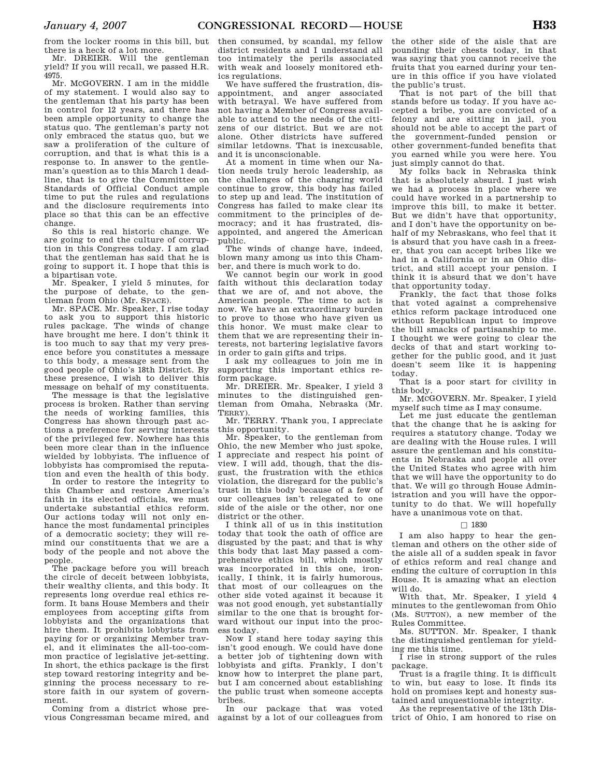from the locker rooms in this bill, but there is a heck of a lot more.

Mr. DREIER. Will the gentleman yield? If you will recall, we passed H.R. 4975.

Mr. MCGOVERN. I am in the middle of my statement. I would also say to the gentleman that his party has been in control for 12 years, and there has been ample opportunity to change the status quo. The gentleman's party not only embraced the status quo, but we saw a proliferation of the culture of corruption, and that is what this is a response to. In answer to the gentleman's question as to this March 1 deadline, that is to give the Committee on Standards of Official Conduct ample time to put the rules and regulations and the disclosure requirements into place so that this can be an effective change.

So this is real historic change. We are going to end the culture of corruption in this Congress today. I am glad that the gentleman has said that he is going to support it. I hope that this is a bipartisan vote.

Mr. Speaker, I yield 5 minutes, for the purpose of debate, to the gentleman from Ohio (Mr. SPACE).

Mr. SPACE. Mr. Speaker, I rise today to ask you to support this historic rules package. The winds of change have brought me here. I don't think it is too much to say that my very presence before you constitutes a message to this body, a message sent from the good people of Ohio's 18th District. By these presence, I wish to deliver this message on behalf of my constituents.

The message is that the legislative process is broken. Rather than serving the needs of working families, this Congress has shown through past actions a preference for serving interests of the privileged few. Nowhere has this been more clear than in the influence wielded by lobbyists. The influence of lobbyists has compromised the reputation and even the health of this body.

In order to restore the integrity to this Chamber and restore America's faith in its elected officials, we must undertake substantial ethics reform. Our actions today will not only enhance the most fundamental principles of a democratic society; they will remind our constituents that we are a body of the people and not above the people.

The package before you will breach the circle of deceit between lobbyists, their wealthy clients, and this body. It represents long overdue real ethics reform. It bans House Members and their employees from accepting gifts from lobbyists and the organizations that hire them. It prohibits lobbyists from paying for or organizing Member travel, and it eliminates the all-too-common practice of legislative jet-setting. In short, the ethics package is the first step toward restoring integrity and beginning the process necessary to restore faith in our system of government.

Coming from a district whose previous Congressman became mired, and then consumed, by scandal, my fellow district residents and I understand all too intimately the perils associated with weak and loosely monitored ethics regulations.

We have suffered the frustration, disappointment, and anger associated with betrayal. We have suffered from not having a Member of Congress available to attend to the needs of the citizens of our district. But we are not alone. Other districts have suffered similar letdowns. That is inexcusable, and it is unconscionable.

At a moment in time when our Nation needs truly heroic leadership, as the challenges of the changing world continue to grow, this body has failed to step up and lead. The institution of Congress has failed to make clear its commitment to the principles of democracy; and it has frustrated, disappointed, and angered the American public.

The winds of change have, indeed, blown many among us into this Chamber, and there is much work to do.

We cannot begin our work in good faith without this declaration today that we are of, and not above, the American people. The time to act is now. We have an extraordinary burden to prove to those who have given us this honor. We must make clear to them that we are representing their interests, not bartering legislative favors in order to gain gifts and trips.

I ask my colleagues to join me in supporting this important ethics reform package.

Mr. DREIER. Mr. Speaker, I yield 3 minutes to the distinguished gentleman from Omaha, Nebraska (Mr. TERRY).

Mr. TERRY. Thank you, I appreciate this opportunity.

Mr. Speaker, to the gentleman from Ohio, the new Member who just spoke, I appreciate and respect his point of view. I will add, though, that the disgust, the frustration with the ethics violation, the disregard for the public's trust in this body because of a few of our colleagues isn't relegated to one side of the aisle or the other, nor one district or the other.

I think all of us in this institution today that took the oath of office are disgusted by the past; and that is why this body that last May passed a comprehensive ethics bill, which mostly was incorporated in this one, ironically, I think, it is fairly humorous, that most of our colleagues on the other side voted against it because it was not good enough, yet substantially similar to the one that is brought forward without our input into the process today.

Now I stand here today saying this isn't good enough. We could have done a better job of tightening down with lobbyists and gifts. Frankly, I don't know how to interpret the plane part, but I am concerned about establishing the public trust when someone accepts bribes.

In our package that was voted against by a lot of our colleagues from

the other side of the aisle that are pounding their chests today, in that was saying that you cannot receive the fruits that you earned during your tenure in this office if you have violated the public's trust.

That is not part of the bill that stands before us today. If you have accepted a bribe, you are convicted of a felony and are sitting in jail, you should not be able to accept the part of the government-funded pension or other government-funded benefits that you earned while you were here. You just simply cannot do that.

My folks back in Nebraska think that is absolutely absurd. I just wish we had a process in place where we could have worked in a partnership to improve this bill, to make it better. But we didn't have that opportunity, and I don't have the opportunity on behalf of my Nebraskans, who feel that it is absurd that you have cash in a freezer, that you can accept bribes like we had in a California or in an Ohio district, and still accept your pension. I think it is absurd that we don't have that opportunity today.

Frankly, the fact that those folks that voted against a comprehensive ethics reform package introduced one without Republican input to improve the bill smacks of partisanship to me. I thought we were going to clear the decks of that and start working together for the public good, and it just doesn't seem like it is happening today.

That is a poor start for civility in this body.

Mr. MCGOVERN. Mr. Speaker, I yield myself such time as I may consume.

Let me just educate the gentleman that the change that he is asking for requires a statutory change. Today we are dealing with the House rules. I will assure the gentleman and his constituents in Nebraska and people all over the United States who agree with him that we will have the opportunity to do that. We will go through House Administration and you will have the opportunity to do that. We will hopefully have a unanimous vote on that.

#### $\Box$  1830

I am also happy to hear the gentleman and others on the other side of the aisle all of a sudden speak in favor of ethics reform and real change and ending the culture of corruption in this House. It is amazing what an election will do.

With that, Mr. Speaker, I yield 4 minutes to the gentlewoman from Ohio (Ms. SUTTON), a new member of the Rules Committee.

Ms. SUTTON. Mr. Speaker, I thank the distinguished gentleman for yielding me this time.

I rise in strong support of the rules package.

Trust is a fragile thing. It is difficult to win, but easy to lose. It finds its hold on promises kept and honesty sustained and unquestionable integrity.

As the representative of the 13th District of Ohio, I am honored to rise on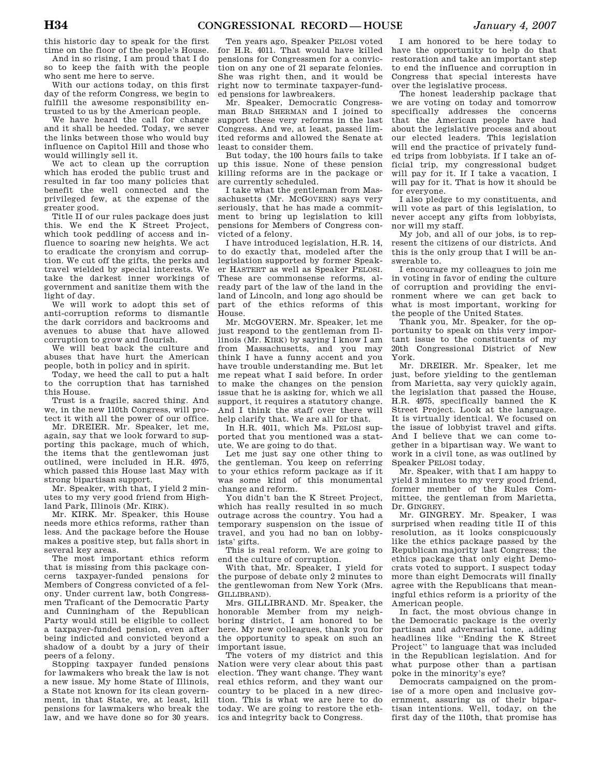this historic day to speak for the first time on the floor of the people's House.

And in so rising, I am proud that I do so to keep the faith with the people who sent me here to serve.

With our actions today, on this first day of the reform Congress, we begin to fulfill the awesome responsibility entrusted to us by the American people.

We have heard the call for change and it shall be heeded. Today, we sever the links between those who would buy influence on Capitol Hill and those who would willingly sell it.

We act to clean up the corruption which has eroded the public trust and resulted in far too many policies that benefit the well connected and the privileged few, at the expense of the greater good.

Title II of our rules package does just this. We end the K Street Project, which took peddling of access and influence to soaring new heights. We act to eradicate the cronyism and corruption. We cut off the gifts, the perks and travel wielded by special interests. We take the darkest inner workings of government and sanitize them with the light of day.

We will work to adopt this set of anti-corruption reforms to dismantle the dark corridors and backrooms and avenues to abuse that have allowed corruption to grow and flourish.

We will beat back the culture and abuses that have hurt the American people, both in policy and in spirit.

Today, we heed the call to put a halt to the corruption that has tarnished this House.

Trust is a fragile, sacred thing. And we, in the new 110th Congress, will protect it with all the power of our office.

Mr. DREIER. Mr. Speaker, let me, again, say that we look forward to supporting this package, much of which, the items that the gentlewoman just outlined, were included in H.R. 4975, which passed this House last May with strong bipartisan support.

Mr. Speaker, with that, I yield 2 minutes to my very good friend from Highland Park, Illinois (Mr. KIRK).

Mr. KIRK. Mr. Speaker, this House needs more ethics reforms, rather than less. And the package before the House makes a positive step, but falls short in several key areas.

The most important ethics reform that is missing from this package concerns taxpayer-funded pensions for Members of Congress convicted of a felony. Under current law, both Congressmen Traficant of the Democratic Party and Cunningham of the Republican Party would still be eligible to collect a taxpayer-funded pension, even after being indicted and convicted beyond a shadow of a doubt by a jury of their peers of a felony.

Stopping taxpayer funded pensions for lawmakers who break the law is not a new issue. My home State of Illinois, a State not known for its clean government, in that State, we, at least, kill pensions for lawmakers who break the law, and we have done so for 30 years.

Ten years ago, Speaker PELOSI voted for H.R. 4011. That would have killed pensions for Congressmen for a conviction on any one of 21 separate felonies. She was right then, and it would be right now to terminate taxpayer-funded pensions for lawbreakers.

Mr. Speaker, Democratic Congressman BRAD SHERMAN and I joined to support these very reforms in the last Congress. And we, at least, passed limited reforms and allowed the Senate at least to consider them.

But today, the 100 hours fails to take up this issue. None of these pension killing reforms are in the package or are currently scheduled.

I take what the gentleman from Massachusetts (Mr. MCGOVERN) says very seriously, that he has made a commitment to bring up legislation to kill pensions for Members of Congress convicted of a felony.

I have introduced legislation, H.R. 14, to do exactly that, modeled after the legislation supported by former Speaker HASTERT as well as Speaker PELOSI. These are commonsense reforms, already part of the law of the land in the land of Lincoln, and long ago should be part of the ethics reforms of this House.

Mr. MCGOVERN. Mr. Speaker, let me just respond to the gentleman from Illinois (Mr. KIRK) by saying I know I am from Massachusetts, and you may think I have a funny accent and you have trouble understanding me. But let me repeat what I said before. In order to make the changes on the pension issue that he is asking for, which we all support, it requires a statutory change. And I think the staff over there will help clarify that. We are all for that.

In H.R. 4011, which Ms. PELOSI supported that you mentioned was a statute. We are going to do that.

Let me just say one other thing to the gentleman. You keep on referring to your ethics reform package as if it was some kind of this monumental change and reform.

You didn't ban the K Street Project, which has really resulted in so much outrage across the country. You had a temporary suspension on the issue of travel, and you had no ban on lobbyists' gifts.

This is real reform. We are going to end the culture of corruption.

With that, Mr. Speaker, I yield for the purpose of debate only 2 minutes to the gentlewoman from New York (Mrs. GILLIBRAND).

Mrs. GILLIBRAND. Mr. Speaker, the honorable Member from my neighboring district, I am honored to be here. My new colleagues, thank you for the opportunity to speak on such an important issue.

The voters of my district and this Nation were very clear about this past election. They want change. They want real ethics reform, and they want our country to be placed in a new direction. This is what we are here to do today. We are going to restore the ethics and integrity back to Congress.

I am honored to be here today to have the opportunity to help do that restoration and take an important step to end the influence and corruption in Congress that special interests have over the legislative process.

The honest leadership package that we are voting on today and tomorrow specifically addresses the concerns that the American people have had about the legislative process and about our elected leaders. This legislation will end the practice of privately funded trips from lobbyists. If I take an official trip, my congressional budget will pay for it. If I take a vacation, I will pay for it. That is how it should be for everyone.

I also pledge to my constituents, and will vote as part of this legislation, to never accept any gifts from lobbyists, nor will my staff.

My job, and all of our jobs, is to represent the citizens of our districts. And this is the only group that I will be answerable to.

I encourage my colleagues to join me in voting in favor of ending the culture of corruption and providing the environment where we can get back to what is most important, working for the people of the United States.

Thank you, Mr. Speaker, for the opportunity to speak on this very important issue to the constituents of my 20th Congressional District of New York.

Mr. DREIER. Mr. Speaker, let me just, before yielding to the gentleman from Marietta, say very quickly again, the legislation that passed the House, H.R. 4975, specifically banned the K Street Project. Look at the language. It is virtually identical. We focused on the issue of lobbyist travel and gifts. And I believe that we can come together in a bipartisan way. We want to work in a civil tone, as was outlined by Speaker PELOSI today.

Mr. Speaker, with that I am happy to yield 3 minutes to my very good friend, former member of the Rules Committee, the gentleman from Marietta, Dr. GINGREY.

Mr. GINGREY. Mr. Speaker, I was surprised when reading title II of this resolution, as it looks conspicuously like the ethics package passed by the Republican majority last Congress; the ethics package that only eight Democrats voted to support. I suspect today more than eight Democrats will finally agree with the Republicans that meaningful ethics reform is a priority of the American people.

In fact, the most obvious change in the Democratic package is the overly partisan and adversarial tone, adding headlines like ''Ending the K Street Project'' to language that was included in the Republican legislation. And for what purpose other than a partisan poke in the minority's eye?

Democrats campaigned on the promise of a more open and inclusive government, assuring us of their bipartisan intentions. Well, today, on the first day of the 110th, that promise has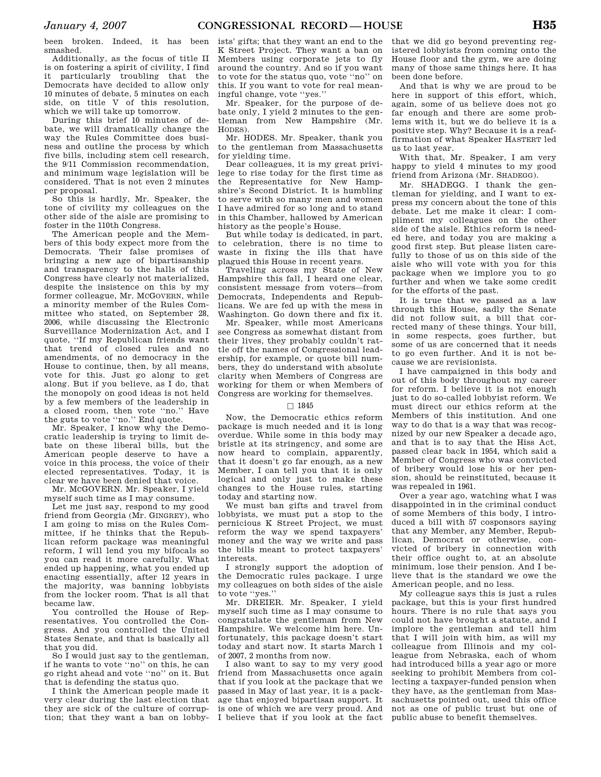been broken. Indeed, it has been smashed.

Additionally, as the focus of title II is on fostering a spirit of civility, I find it particularly troubling that the Democrats have decided to allow only 10 minutes of debate, 5 minutes on each side, on title V of this resolution, which we will take up tomorrow.

During this brief 10 minutes of debate, we will dramatically change the way the Rules Committee does business and outline the process by which five bills, including stem cell research, the 9/11 Commission recommendation, and minimum wage legislation will be considered. That is not even 2 minutes per proposal.

So this is hardly, Mr. Speaker, the tone of civility my colleagues on the other side of the aisle are promising to foster in the 110th Congress.

The American people and the Members of this body expect more from the Democrats. Their false promises of bringing a new age of bipartisanship and transparency to the halls of this Congress have clearly not materialized, despite the insistence on this by my former colleague, Mr. MCGOVERN, while a minority member of the Rules Committee who stated, on September 28, 2006, while discussing the Electronic Surveillance Modernization Act, and I quote, ''If my Republican friends want that trend of closed rules and no amendments, of no democracy in the House to continue, then, by all means, vote for this. Just go along to get along. But if you believe, as I do, that the monopoly on good ideas is not held by a few members of the leadership in a closed room, then vote ''no.'' Have the guts to vote ''no.'' End quote.

Mr. Speaker, I know why the Democratic leadership is trying to limit debate on these liberal bills, but the American people deserve to have a voice in this process, the voice of their elected representatives. Today, it is clear we have been denied that voice.

Mr. MCGOVERN. Mr. Speaker, I yield myself such time as I may consume.

Let me just say, respond to my good friend from Georgia (Mr. GINGREY), who I am going to miss on the Rules Committee, if he thinks that the Republican reform package was meaningful reform, I will lend you my bifocals so you can read it more carefully. What ended up happening, what you ended up enacting essentially, after 12 years in the majority, was banning lobbyists from the locker room. That is all that became law.

You controlled the House of Representatives. You controlled the Congress. And you controlled the United States Senate, and that is basically all that you did.

So I would just say to the gentleman, if he wants to vote ''no'' on this, he can go right ahead and vote ''no'' on it. But that is defending the status quo.

I think the American people made it very clear during the last election that they are sick of the culture of corruption; that they want a ban on lobby-

ists' gifts; that they want an end to the K Street Project. They want a ban on Members using corporate jets to fly around the country. And so if you want to vote for the status quo, vote ''no'' on this. If you want to vote for real meaningful change, vote ''yes.''

Mr. Speaker, for the purpose of debate only, I yield 2 minutes to the gentleman from New Hampshire (Mr. HODES).

Mr. HODES. Mr. Speaker, thank you to the gentleman from Massachusetts for yielding time.

Dear colleagues, it is my great privilege to rise today for the first time as the Representative for New Hampshire's Second District. It is humbling to serve with so many men and women I have admired for so long and to stand in this Chamber, hallowed by American history as the people's House.

But while today is dedicated, in part, to celebration, there is no time to waste in fixing the ills that have plagued this House in recent years.

Traveling across my State of New Hampshire this fall, I heard one clear, consistent message from voters—from Democrats, Independents and Republicans. We are fed up with the mess in Washington. Go down there and fix it.

Mr. Speaker, while most Americans see Congress as somewhat distant from their lives, they probably couldn't rattle off the names of Congressional leadership, for example, or quote bill numbers, they do understand with absolute clarity when Members of Congress are working for them or when Members of Congress are working for themselves.

#### $\square$  1845

Now, the Democratic ethics reform package is much needed and it is long overdue. While some in this body may bristle at its stringency, and some are now heard to complain, apparently, that it doesn't go far enough, as a new Member, I can tell you that it is only logical and only just to make these changes to the House rules, starting today and starting now.

We must ban gifts and travel from lobbyists, we must put a stop to the pernicious K Street Project, we must reform the way we spend taxpayers' money and the way we write and pass the bills meant to protect taxpayers' interests.

I strongly support the adoption of the Democratic rules package. I urge my colleagues on both sides of the aisle to vote ''yes.''

Mr. DREIER. Mr. Speaker, I yield myself such time as I may consume to congratulate the gentleman from New Hampshire. We welcome him here. Unfortunately, this package doesn't start today and start now. It starts March 1 of 2007, 2 months from now.

I also want to say to my very good friend from Massachusetts once again that if you look at the package that we passed in May of last year, it is a package that enjoyed bipartisan support. It is one of which we are very proud. And I believe that if you look at the fact

that we did go beyond preventing registered lobbyists from coming onto the House floor and the gym, we are doing many of those same things here. It has been done before.

And that is why we are proud to be here in support of this effort, which, again, some of us believe does not go far enough and there are some problems with it, but we do believe it is a positive step. Why? Because it is a reaffirmation of what Speaker HASTERT led us to last year.

With that, Mr. Speaker, I am very happy to yield 4 minutes to my good friend from Arizona (Mr. SHADEGG).

Mr. SHADEGG. I thank the gentleman for yielding, and I want to express my concern about the tone of this debate. Let me make it clear: I compliment my colleagues on the other side of the aisle. Ethics reform is needed here, and today you are making a good first step. But please listen carefully to those of us on this side of the aisle who will vote with you for this package when we implore you to go further and when we take some credit for the efforts of the past.

It is true that we passed as a law through this House, sadly the Senate did not follow suit, a bill that corrected many of these things. Your bill, in some respects, goes further, but some of us are concerned that it needs to go even further. And it is not because we are revisionists.

I have campaigned in this body and out of this body throughout my career for reform. I believe it is not enough just to do so-called lobbyist reform. We must direct our ethics reform at the Members of this institution. And one way to do that is a way that was recognized by our new Speaker a decade ago, and that is to say that the Hiss Act, passed clear back in 1954, which said a Member of Congress who was convicted of bribery would lose his or her pension, should be reinstituted, because it was repealed in 1961.

Over a year ago, watching what I was disappointed in in the criminal conduct of some Members of this body, I introduced a bill with 57 cosponsors saying that any Member, any Member, Republican, Democrat or otherwise, convicted of bribery in connection with their office ought to, at an absolute minimum, lose their pension. And I believe that is the standard we owe the American people, and no less.

My colleague says this is just a rules package, but this is your first hundred hours. There is no rule that says you could not have brought a statute, and I implore the gentleman and tell him that I will join with him, as will my colleague from Illinois and my colleague from Nebraska, each of whom had introduced bills a year ago or more seeking to prohibit Members from collecting a taxpayer-funded pension when they have, as the gentleman from Massachusetts pointed out, used this office not as one of public trust but one of public abuse to benefit themselves.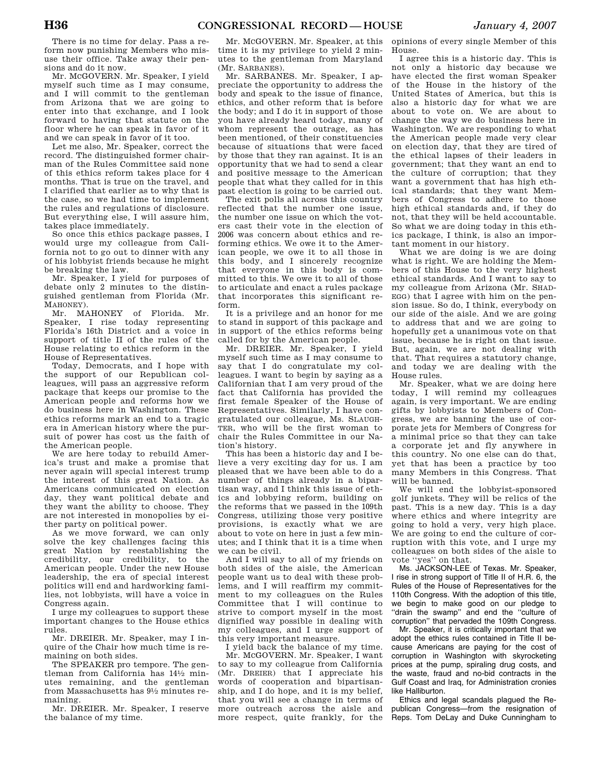There is no time for delay. Pass a reform now punishing Members who misuse their office. Take away their pensions and do it now.

Mr. MCGOVERN. Mr. Speaker, I yield myself such time as I may consume, and I will commit to the gentleman from Arizona that we are going to enter into that exchange, and I look forward to having that statute on the floor where he can speak in favor of it and we can speak in favor of it too.

Let me also, Mr. Speaker, correct the record. The distinguished former chairman of the Rules Committee said none of this ethics reform takes place for 4 months. That is true on the travel, and I clarified that earlier as to why that is the case, so we had time to implement the rules and regulations of disclosure. But everything else, I will assure him, takes place immediately.

So once this ethics package passes, I would urge my colleague from California not to go out to dinner with any of his lobbyist friends because he might be breaking the law.

Mr. Speaker, I yield for purposes of debate only 2 minutes to the distinguished gentleman from Florida (Mr. MAHONEY).

Mr. MAHONEY of Florida. Mr. Speaker, I rise today representing Florida's 16th District and a voice in support of title II of the rules of the House relating to ethics reform in the House of Representatives.

Today, Democrats, and I hope with the support of our Republican colleagues, will pass an aggressive reform package that keeps our promise to the American people and reforms how we do business here in Washington. These ethics reforms mark an end to a tragic era in American history where the pursuit of power has cost us the faith of the American people.

We are here today to rebuild America's trust and make a promise that never again will special interest trump the interest of this great Nation. As Americans communicated on election day, they want political debate and they want the ability to choose. They are not interested in monopolies by either party on political power.

As we move forward, we can only solve the key challenges facing this great Nation by reestablishing the credibility, our credibility, to the American people. Under the new House leadership, the era of special interest politics will end and hardworking families, not lobbyists, will have a voice in Congress again.

I urge my colleagues to support these important changes to the House ethics rules.

Mr. DREIER. Mr. Speaker, may I inquire of the Chair how much time is remaining on both sides.

The SPEAKER pro tempore. The gentleman from California has 141⁄2 minutes remaining, and the gentleman from Massachusetts has 91⁄2 minutes remaining.

Mr. DREIER. Mr. Speaker, I reserve the balance of my time.

Mr. MCGOVERN. Mr. Speaker, at this time it is my privilege to yield 2 minutes to the gentleman from Maryland (Mr. SARBANES).

Mr. SARBANES. Mr. Speaker, I appreciate the opportunity to address the body and speak to the issue of finance, ethics, and other reform that is before the body; and I do it in support of those you have already heard today, many of whom represent the outrage, as has been mentioned, of their constituencies because of situations that were faced by those that they ran against. It is an opportunity that we had to send a clear and positive message to the American people that what they called for in this past election is going to be carried out.

The exit polls all across this country reflected that the number one issue, the number one issue on which the voters cast their vote in the election of 2006 was concern about ethics and reforming ethics. We owe it to the American people, we owe it to all those in this body, and I sincerely recognize that everyone in this body is committed to this. We owe it to all of those to articulate and enact a rules package that incorporates this significant reform.

It is a privilege and an honor for me to stand in support of this package and in support of the ethics reforms being called for by the American people.

Mr. DREIER. Mr. Speaker, I yield myself such time as I may consume to say that I do congratulate my colleagues. I want to begin by saying as a Californian that I am very proud of the fact that California has provided the first female Speaker of the House of Representatives. Similarly, I have congratulated our colleague, Ms. SLAUGH-TER, who will be the first woman to chair the Rules Committee in our Nation's history.

This has been a historic day and I believe a very exciting day for us. I am pleased that we have been able to do a number of things already in a bipartisan way, and I think this issue of ethics and lobbying reform, building on the reforms that we passed in the 109th Congress, utilizing those very positive provisions, is exactly what we are about to vote on here in just a few minutes; and I think that it is a time when we can be civil.

And I will say to all of my friends on both sides of the aisle, the American people want us to deal with these problems, and I will reaffirm my commitment to my colleagues on the Rules Committee that I will continue to strive to comport myself in the most dignified way possible in dealing with my colleagues, and I urge support of this very important measure.

I yield back the balance of my time.

Mr. MCGOVERN. Mr. Speaker, I want to say to my colleague from California (Mr. DREIER) that I appreciate his words of cooperation and bipartisanship, and I do hope, and it is my belief, that you will see a change in terms of more outreach across the aisle and more respect, quite frankly, for the

opinions of every single Member of this House.

I agree this is a historic day. This is not only a historic day because we have elected the first woman Speaker of the House in the history of the United States of America, but this is also a historic day for what we are about to vote on. We are about to change the way we do business here in Washington. We are responding to what the American people made very clear on election day, that they are tired of the ethical lapses of their leaders in government; that they want an end to the culture of corruption; that they want a government that has high ethical standards; that they want Members of Congress to adhere to those high ethical standards and, if they do not, that they will be held accountable. So what we are doing today in this ethics package, I think, is also an important moment in our history.

What we are doing is we are doing what is right. We are holding the Members of this House to the very highest ethical standards. And I want to say to my colleague from Arizona (Mr. SHAD-EGG) that I agree with him on the pension issue. So do, I think, everybody on our side of the aisle. And we are going to address that and we are going to hopefully get a unanimous vote on that issue, because he is right on that issue. But, again, we are not dealing with that. That requires a statutory change, and today we are dealing with the House rules.

Mr. Speaker, what we are doing here today, I will remind my colleagues again, is very important. We are ending gifts by lobbyists to Members of Congress, we are banning the use of corporate jets for Members of Congress for a minimal price so that they can take a corporate jet and fly anywhere in this country. No one else can do that, yet that has been a practice by too many Members in this Congress. That will be banned.

We will end the lobbyist-sponsored golf junkets. They will be relics of the past. This is a new day. This is a day where ethics and where integrity are going to hold a very, very high place. We are going to end the culture of corruption with this vote, and I urge my colleagues on both sides of the aisle to vote ''yes'' on that.

Ms. JACKSON-LEE of Texas. Mr. Speaker, I rise in strong support of Title II of H.R. 6, the Rules of the House of Representatives for the 110th Congress. With the adoption of this title, we begin to make good on our pledge to ''drain the swamp'' and end the ''culture of corruption'' that pervaded the 109th Congress.

Mr. Speaker, it is critically important that we adopt the ethics rules contained in Title II because Americans are paying for the cost of corruption in Washington with skyrocketing prices at the pump, spiraling drug costs, and the waste, fraud and no-bid contracts in the Gulf Coast and Iraq, for Administration cronies like Halliburton.

Ethics and legal scandals plagued the Republican Congress—from the resignation of Reps. Tom DeLay and Duke Cunningham to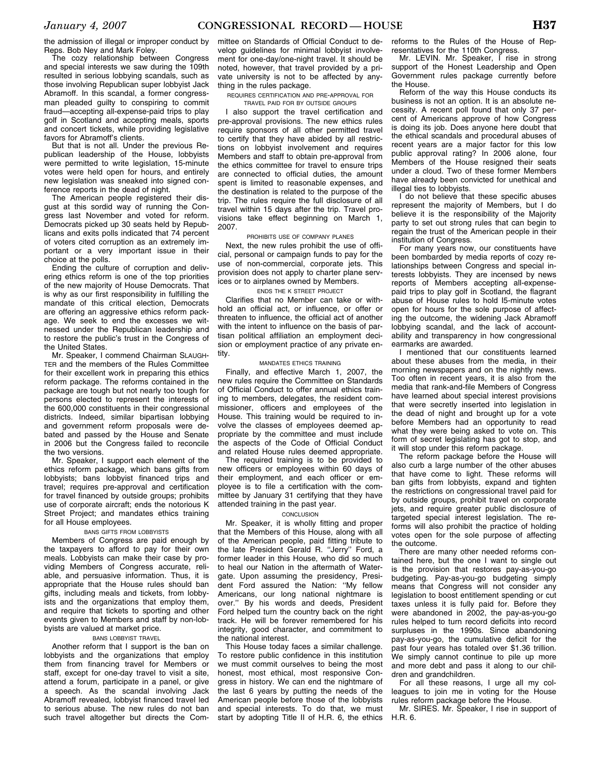the admission of illegal or improper conduct by Reps. Bob Ney and Mark Foley.

The cozy relationship between Congress and special interests we saw during the 109th resulted in serious lobbying scandals, such as those involving Republican super lobbyist Jack Abramoff. In this scandal, a former congressman pleaded guilty to conspiring to commit fraud—accepting all-expense-paid trips to play golf in Scotland and accepting meals, sports and concert tickets, while providing legislative favors for Abramoff's clients.

But that is not all. Under the previous Republican leadership of the House, lobbyists were permitted to write legislation, 15-minute votes were held open for hours, and entirely new legislation was sneaked into signed conference reports in the dead of night.

The American people registered their disgust at this sordid way of running the Congress last November and voted for reform. Democrats picked up 30 seats held by Republicans and exits polls indicated that 74 percent of voters cited corruption as an extremely important or a very important issue in their choice at the polls.

Ending the culture of corruption and delivering ethics reform is one of the top priorities of the new majority of House Democrats. That is why as our first responsibility in fulfilling the mandate of this critical election, Democrats are offering an aggressive ethics reform package. We seek to end the excesses we witnessed under the Republican leadership and to restore the public's trust in the Congress of the United States.

Mr. Speaker, I commend Chairman SLAUGH-TER and the members of the Rules Committee for their excellent work in preparing this ethics reform package. The reforms contained in the package are tough but not nearly too tough for persons elected to represent the interests of the 600,000 constituents in their congressional districts. Indeed, similar bipartisan lobbying and government reform proposals were debated and passed by the House and Senate in 2006 but the Congress failed to reconcile the two versions.

Mr. Speaker, I support each element of the ethics reform package, which bans gifts from lobbyists; bans lobbyist financed trips and travel; requires pre-approval and certification for travel financed by outside groups; prohibits use of corporate aircraft; ends the notorious K Street Project; and mandates ethics training for all House employees.

#### BANS GIFTS FROM LOBBYISTS

Members of Congress are paid enough by the taxpayers to afford to pay for their own meals. Lobbyists can make their case by providing Members of Congress accurate, reliable, and persuasive information. Thus, it is appropriate that the House rules should ban gifts, including meals and tickets, from lobbyists and the organizations that employ them, and require that tickets to sporting and other events given to Members and staff by non-lobbyists are valued at market price.

#### BANS LOBBYIST TRAVEL

Another reform that I support is the ban on lobbyists and the organizations that employ them from financing travel for Members or staff, except for one-day travel to visit a site, attend a forum, participate in a panel, or give a speech. As the scandal involving Jack Abramoff revealed, lobbyist financed travel led to serious abuse. The new rules do not ban such travel altogether but directs the Committee on Standards of Official Conduct to develop guidelines for minimal lobbyist involvement for one-day/one-night travel. It should be noted, however, that travel provided by a private university is not to be affected by anything in the rules package.

#### REQUIRES CERTIFICATION AND PRE-APPROVAL FOR TRAVEL PAID FOR BY OUTSIDE GROUPS

I also support the travel certification and pre-approval provisions. The new ethics rules require sponsors of all other permitted travel to certify that they have abided by all restrictions on lobbyist involvement and requires Members and staff to obtain pre-approval from the ethics committee for travel to ensure trips are connected to official duties, the amount spent is limited to reasonable expenses, and the destination is related to the purpose of the trip. The rules require the full disclosure of all travel within 15 days after the trip. Travel provisions take effect beginning on March 1, 2007.

#### PROHIBITS USE OF COMPANY PLANES

Next, the new rules prohibit the use of official, personal or campaign funds to pay for the use of non-commercial, corporate jets. This provision does not apply to charter plane services or to airplanes owned by Members.

### ENDS THE K STREET PROJECT

Clarifies that no Member can take or withhold an official act, or influence, or offer or threaten to influence, the official act of another with the intent to influence on the basis of partisan political affiliation an employment decision or employment practice of any private entity.

#### MANDATES ETHICS TRAINING

Finally, and effective March 1, 2007, the new rules require the Committee on Standards of Official Conduct to offer annual ethics training to members, delegates, the resident commissioner, officers and employees of the House. This training would be required to involve the classes of employees deemed appropriate by the committee and must include the aspects of the Code of Official Conduct and related House rules deemed appropriate.

The required training is to be provided to new officers or employees within 60 days of their employment, and each officer or employee is to file a certification with the committee by January 31 certifying that they have attended training in the past year.

#### CONCLUSION

Mr. Speaker, it is wholly fitting and proper that the Members of this House, along with all of the American people, paid fitting tribute to the late President Gerald R. ''Jerry'' Ford, a former leader in this House, who did so much to heal our Nation in the aftermath of Watergate. Upon assuming the presidency, President Ford assured the Nation: ''My fellow Americans, our long national nightmare is over.'' By his words and deeds, President Ford helped turn the country back on the right track. He will be forever remembered for his integrity, good character, and commitment to the national interest.

This House today faces a similar challenge. To restore public confidence in this institution we must commit ourselves to being the most honest, most ethical, most responsive Congress in history. We can end the nightmare of the last 6 years by putting the needs of the American people before those of the lobbyists and special interests. To do that, we must start by adopting Title II of H.R. 6, the ethics reforms to the Rules of the House of Representatives for the 110th Congress.

Mr. LEVIN. Mr. Speaker, I rise in strong support of the Honest Leadership and Open Government rules package currently before the House.

Reform of the way this House conducts its business is not an option. It is an absolute necessity. A recent poll found that only 37 percent of Americans approve of how Congress is doing its job. Does anyone here doubt that the ethical scandals and procedural abuses of recent years are a major factor for this low public approval rating? In 2006 alone, four Members of the House resigned their seats under a cloud. Two of these former Members have already been convicted for unethical and illegal ties to lobbyists.

I do not believe that these specific abuses represent the majority of Members, but I do believe it is the responsibility of the Majority party to set out strong rules that can begin to regain the trust of the American people in their institution of Congress.

For many years now, our constituents have been bombarded by media reports of cozy relationships between Congress and special interests lobbyists. They are incensed by news reports of Members accepting all-expensepaid trips to play golf in Scotland, the flagrant abuse of House rules to hold I5-minute votes open for hours for the sole purpose of affecting the outcome, the widening Jack Abramoff lobbying scandal, and the lack of accountability and transparency in how congressional earmarks are awarded.

I mentioned that our constituents learned about these abuses from the media, in their morning newspapers and on the nightly news. Too often in recent years, it is also from the media that rank-and-file Members of Congress have learned about special interest provisions that were secretly inserted into legislation in the dead of night and brought up for a vote before Members had an opportunity to read what they were being asked to vote on. This form of secret legislating has got to stop, and it will stop under this reform package.

The reform package before the House will also curb a large number of the other abuses that have come to light. These reforms will ban gifts from lobbyists, expand and tighten the restrictions on congressional travel paid for by outside groups, prohibit travel on corporate jets, and require greater public disclosure of targeted special interest legislation. The reforms will also prohibit the practice of holding votes open for the sole purpose of affecting the outcome.

There are many other needed reforms contained here, but the one I want to single out is the provision that restores pay-as-you-go budgeting. Pay-as-you-go budgeting simply means that Congress will not consider any legislation to boost entitlement spending or cut taxes unless it is fully paid for. Before they were abandoned in 2002, the pay-as-you-go rules helped to turn record deficits into record surpluses in the 1990s. Since abandoning pay-as-you-go, the cumulative deficit for the past four years has totaled over \$1.36 trillion. We simply cannot continue to pile up more and more debt and pass it along to our children and grandchildren.

For all these reasons, I urge all my colleagues to join me in voting for the House rules reform package before the House.

Mr. SIRES. Mr. Speaker, I rise in support of H.R. 6.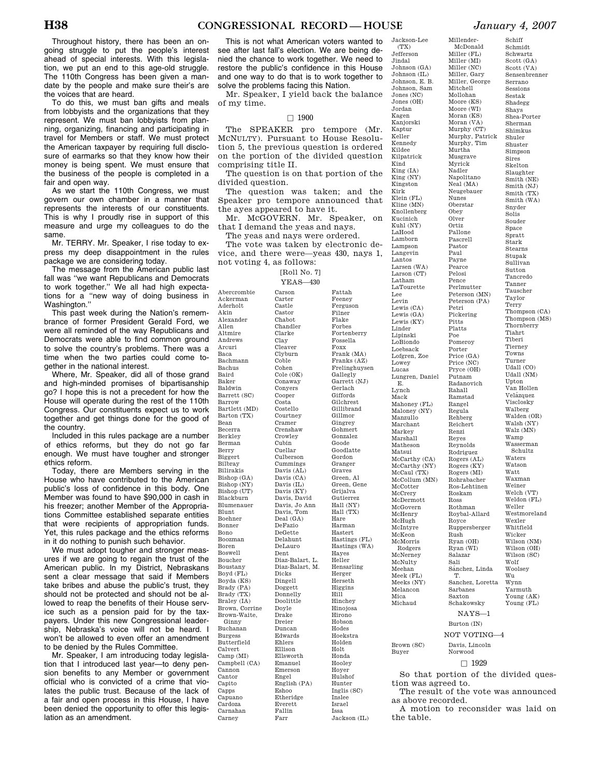Throughout history, there has been an ongoing struggle to put the people's interest ahead of special interests. With this legislation, we put an end to this age-old struggle. The 110th Congress has been given a mandate by the people and make sure their's are the voices that are heard.

To do this, we must ban gifts and meals from lobbyists and the organizations that they represent. We must ban lobbyists from planning, organizing, financing and participating in travel for Members or staff. We must protect the American taxpayer by requiring full disclosure of earmarks so that they know how their money is being spent. We must ensure that the business of the people is completed in a fair and open way.

As we start the 110th Congress, we must govern our own chamber in a manner that represents the interests of our constituents. This is why I proudly rise in support of this measure and urge my colleagues to do the same.

Mr. TERRY. Mr. Speaker, I rise today to express my deep disappointment in the rules package we are considering today.

The message from the American public last fall was ''we want Republicans and Democrats to work together.'' We all had high expectations for a ''new way of doing business in Washington.''

This past week during the Nation's remembrance of former President Gerald Ford, we were all reminded of the way Republicans and Democrats were able to find common ground to solve the country's problems. There was a time when the two parties could come together in the national interest.

Where, Mr. Speaker, did all of those grand and high-minded promises of bipartisanship go? I hope this is not a precedent for how the House will operate during the rest of the 110th Congress. Our constituents expect us to work together and get things done for the good of the country.

Included in this rules package are a number of ethics reforms, but they do not go far enough. We must have tougher and stronger ethics reform.

Today, there are Members serving in the House who have contributed to the American public's loss of confidence in this body. One Member was found to have \$90,000 in cash in his freezer; another Member of the Appropriations Committee established separate entities that were recipients of appropriation funds. Yet, this rules package and the ethics reforms in it do nothing to punish such behavior.

We must adopt tougher and stronger measures if we are going to regain the trust of the American public. In my District, Nebraskans sent a clear message that said if Members take bribes and abuse the public's trust, they should not be protected and should not be allowed to reap the benefits of their House service such as a pension paid for by the taxpayers. Under this new Congressional leadership, Nebraska's voice will not be heard. I won't be allowed to even offer an amendment to be denied by the Rules Committee.

Mr. Speaker, I am introducing today legislation that I introduced last year—to deny pension benefits to any Member or government official who is convicted of a crime that violates the public trust. Because of the lack of a fair and open process in this House, I have been denied the opportunity to offer this legislation as an amendment.

This is not what American voters wanted to see after last fall's election. We are being denied the chance to work together. We need to restore the public's confidence in this House and one way to do that is to work together to solve the problems facing this Nation.

Mr. Speaker, I yield back the balance of my time.

#### $\Box$  1900

The SPEAKER pro tempore (Mr. MCNULTY). Pursuant to House Resolution 5, the previous question is ordered on the portion of the divided question comprising title II.

The question is on that portion of the divided question.

The question was taken; and the Speaker pro tempore announced that the ayes appeared to have it.

Mr. MCGOVERN. Mr. Speaker, on that I demand the yeas and nays.

The yeas and nays were ordered.

The vote was taken by electronic device, and there were—yeas 430, nays 1, not voting 4, as follows:

[Roll No. 7]

 $\nabla$ EAS  $430$ 

|                     | ****~                   |                         |
|---------------------|-------------------------|-------------------------|
| Abercrombie         | Carson                  | Fattah                  |
| Ackerman            | Carter                  | Feeney                  |
| Aderholt            | Castle                  | Ferguson                |
| Akin                | $\operatorname{Castor}$ | Filner                  |
| Alexander           | Chabot                  | Flake                   |
| Allen               | Chandler                | Forbes                  |
| Altmire             | Clarke                  | Fortenberry             |
| Andrews             | Clay                    | Fossella                |
| Arcuri              | Cleaver                 | Foxx                    |
| Baca                | Clyburn                 | Frank (MA)              |
| Bachmann            | Coble                   | Franks (AZ)             |
| Bachus              | Cohen                   | Frelinghuysen           |
| Baird               | Cole (OK)               | Gallegly                |
| Baker               | Conaway                 | Garrett (NJ)            |
| Baldwin             | Conyers                 | Gerlach                 |
| Barrett (SC)        | Cooper                  | Giffords                |
| Barrow              | Costa<br>Costello       | Gilchrest<br>Gillibrand |
| Bartlett (MD)       |                         | Gillmor                 |
| Barton (TX)<br>Bean | Courtney<br>Cramer      |                         |
| Becerra             | Crenshaw                | Gingrey<br>Gohmert      |
| Berkley             | Crowley                 | Gonzalez                |
| Berman              | Cubin                   | Goode                   |
| Berry               | Cuellar                 | Goodlatte               |
| Biggert             | Culberson               | Gordon                  |
| Bilbray             | Cummings                | Granger                 |
| Bilirakis           | Davis (AL)              | Graves                  |
| Bishop (GA)         | Davis (CA)              | Green, Al               |
| Bishop (NY)         | Davis (IL)              | Green, Gene             |
| Bishop (UT)         | Davis (KY)              | Grijalva                |
| Blackburn           | Davis, David            | Gutierrez               |
| Blumenauer          | Davis, Jo Ann           | Hall (NY)               |
| Blunt               | Davis, Tom              | Hall (TX)               |
| Boehner             | Deal (GA)               | Hare                    |
| Bonner              | DeFazio                 | Harman                  |
| Bono                | DeGette                 | Hastert                 |
| Boozman             | Delahunt                | Hastings (FL)           |
| Boren               | DeLauro                 | Hastings (WA)           |
| Boswell             | Dent                    | Hayes                   |
| Boucher             | Diaz-Balart, L.         | Heller                  |
| Boustany            | Diaz-Balart, M.         | Hensarling              |
| Boyd (FL)           | Dicks                   | Herger                  |
| Boyda (KS)          | Dingell                 | Herseth                 |
| Brady (PA)          | Doggett                 | Higgins                 |
| Brady (TX)          | Donnelly                | Hill                    |
| Braley (IA)         | Doolittle               | Hinchey                 |
| Brown, Corrine      | Doyle                   | Hinojosa                |
| Brown-Waite,        | Drake                   | Hirono                  |
| Ginny               | Dreier                  | Hobson                  |
| Buchanan            | Duncan                  | Hodes                   |
| Burgess             | Edwards                 | Hoekstra                |
| Butterfield         | Ehlers                  | Holden                  |
| Calvert             | Ellison                 | Holt                    |
| Camp (MI)           | Ellsworth               | Honda                   |
| Campbell (CA)       | Emanuel                 | Hooley                  |
| Cannon              | Emerson                 | Hoyer                   |
| Cantor              | Engel                   | Hulshof                 |
| Capito              | English (PA)            | Hunter                  |
| Capps               | Eshoo                   | Inglis $(SC)$<br>Inslee |
| Capuano<br>Cardoza  | Etheridge<br>Everett    | Israel                  |
|                     |                         | Issa                    |
| Carnahan<br>Carney  | Fallin<br>Farr          | Jackson (IL)            |
|                     |                         |                         |
|                     |                         |                         |

(TX) Jefferson Jindal Johnson (GA) Johnson (IL) Johnson, E. B. Johnson, Sam Jones (NC) Jones (OH) Jordan Kagen Kanjorski Kaptur Keller Kennedy Kildee Kilpatrick Kind King (IA) King (NY) Kingston Kirk Klein (FL) Kline (MN) Knollenberg Kucinich Kuhl (NY) LaHood Lamborn Lampson Langevin Lantos Larsen (WA) Larson (CT) Latham LaTourette Lee Levin Lewis (CA) Lewis (GA) Lewis (KY) Linder Lipinski LoBiondo Loebsack Lofgren, Zoe Lowey Lucas Lungren, Daniel E. Lynch Mack Mahoney (FL) Maloney (NY) Manzullo Marchant Markey Marshall Matheson Matsui McCarthy (CA) McCarthy (NY) McCaul (TX) McCollum (MN) McCotter McCrery McDermott McGovern McHenry McHugh McIntyre McKeon McMorris Rodgers McNerney McNulty Meehan Meek (FL) Meeks (NY) Melancon Mica Michaud Brown (SC) Buyer

Jackson-Lee

Millender-

McDonald Miller (FL) Miller (MI) Miller (NC) Miller, Gary Miller, George Mitchell Mollohan Moore (KS) Moore (WI) Moran (KS) Moran (VA) Murphy (CT) Murphy, Patrick Murphy, Tim Murtha Musgrave Myrick Nadler Napolitano Neal (MA) Neugebauer Nunes Oberstar Obey Olver Ortiz Pallone Pascrell Pastor Paul Payne Pearce Pelosi Pence Perlmutter Peterson (MN) Peterson (PA) Petri Pickering Pitts Platts Poe Pomeroy Porter Price (GA) Price (NC) Pryce (OH) Putnam Radanovich Rahall Ramstad Rangel Regula Rehberg Reichert Renzi Reyes Reynolds Rodriguez Rogers (AL) Rogers (KY) Rogers (MI) Rohrabacher Ros-Lehtinen Roskam Ross Rothman Roybal-Allard Royce Ruppersberger Rush Ryan (OH) Ryan (WI) Salazar Sali Sánchez, Linda T. Sanchez, Loretta Sarbanes Saxton Schakowsky Wu NAYS—1 Burton (IN) NOT VOTING—4 Davis, Lincoln Norwood  $\Box$  1929

Schiff Schmidt Schwartz Scott (GA) Scott (VA) Sensenbrenner Serrano Sessions Sestak Shadegg Shays Shea-Porter Sherman Shimkus Shuler Shuster Simpson Sires Skelton Slaughter Smith (NE) Smith (NJ) Smith (TX) Smith (WA) Snyder Solis Souder Space Spratt Stark Stearns Stupak Sullivan Sutton Tancredo Tanner Tauscher Taylor Terry Thompson (CA) Thompson (MS) Thornberry Tiahrt Tiberi Tierney Towns Turner Udall (CO) Udall (NM) Upton Van Hollen Velázquez Visclosky Walberg Walden (OR) Walsh (NY) Walz (MN) Wamp Wasserman Schultz Waters Watson Watt Waxman Weiner Welch (VT) Weldon (FL) Weller Westmoreland Wexler Whitfield Wicker Wilson (NM) Wilson (OH) Wilson (SC) Wolf Woolsey Wynn Yarmuth Young (AK) Young (FL)

So that portion of the divided ques-

tion was agreed to. The result of the vote was announced

as above recorded.

A motion to reconsider was laid on the table.